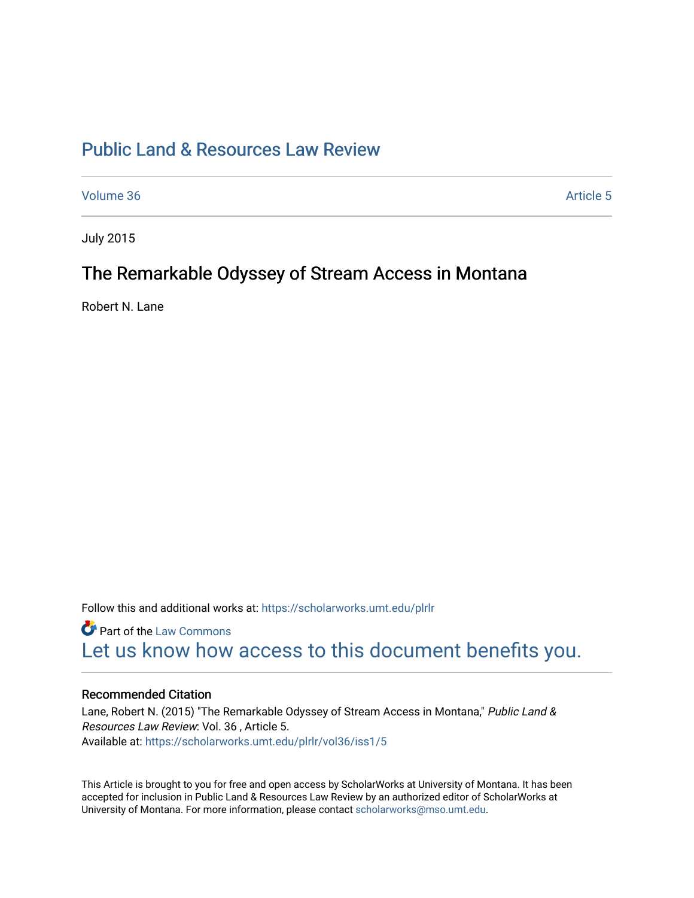# [Public Land & Resources Law Review](https://scholarworks.umt.edu/plrlr)

[Volume 36](https://scholarworks.umt.edu/plrlr/vol36) Article 5

July 2015

# The Remarkable Odyssey of Stream Access in Montana

Robert N. Lane

Follow this and additional works at: [https://scholarworks.umt.edu/plrlr](https://scholarworks.umt.edu/plrlr?utm_source=scholarworks.umt.edu%2Fplrlr%2Fvol36%2Fiss1%2F5&utm_medium=PDF&utm_campaign=PDFCoverPages) 

**Part of the [Law Commons](http://network.bepress.com/hgg/discipline/578?utm_source=scholarworks.umt.edu%2Fplrlr%2Fvol36%2Fiss1%2F5&utm_medium=PDF&utm_campaign=PDFCoverPages)** [Let us know how access to this document benefits you.](https://goo.gl/forms/s2rGfXOLzz71qgsB2) 

# Recommended Citation

Lane, Robert N. (2015) "The Remarkable Odyssey of Stream Access in Montana," Public Land & Resources Law Review: Vol. 36 , Article 5. Available at: [https://scholarworks.umt.edu/plrlr/vol36/iss1/5](https://scholarworks.umt.edu/plrlr/vol36/iss1/5?utm_source=scholarworks.umt.edu%2Fplrlr%2Fvol36%2Fiss1%2F5&utm_medium=PDF&utm_campaign=PDFCoverPages)

This Article is brought to you for free and open access by ScholarWorks at University of Montana. It has been accepted for inclusion in Public Land & Resources Law Review by an authorized editor of ScholarWorks at University of Montana. For more information, please contact [scholarworks@mso.umt.edu.](mailto:scholarworks@mso.umt.edu)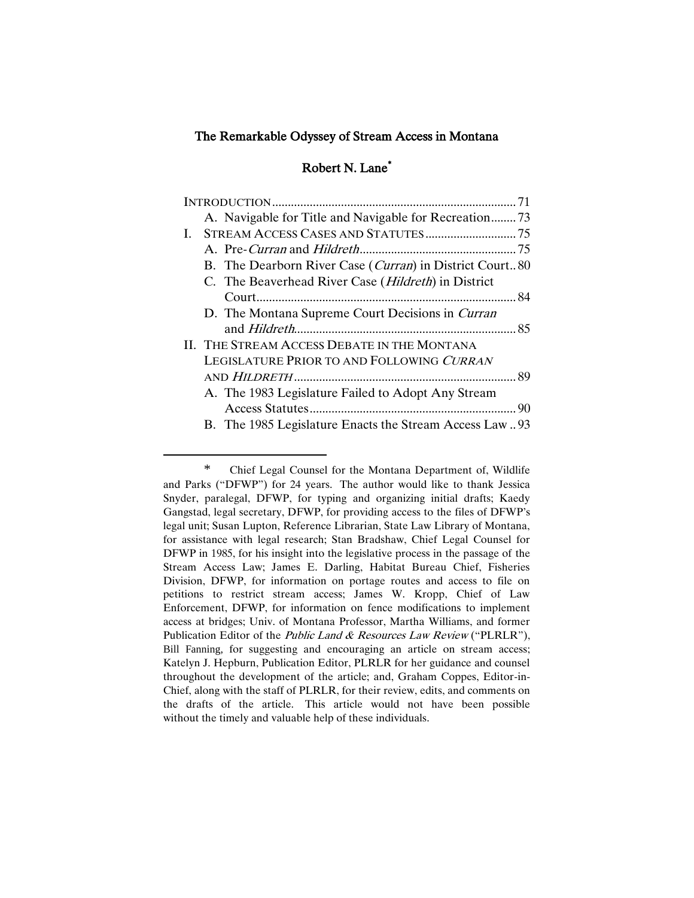## The Remarkable Odyssey of Stream Access in Montana

# Robert N. Lane\*

|    | A. Navigable for Title and Navigable for Recreation73            |  |
|----|------------------------------------------------------------------|--|
| L. |                                                                  |  |
|    |                                                                  |  |
|    | B. The Dearborn River Case ( <i>Curran</i> ) in District Court80 |  |
|    | C. The Beaverhead River Case ( <i>Hildreth</i> ) in District     |  |
|    |                                                                  |  |
|    | D. The Montana Supreme Court Decisions in Curran                 |  |
|    |                                                                  |  |
|    | II. THE STREAM ACCESS DEBATE IN THE MONTANA                      |  |
|    | LEGISLATURE PRIOR TO AND FOLLOWING CURRAN                        |  |
|    |                                                                  |  |
|    | A. The 1983 Legislature Failed to Adopt Any Stream               |  |
|    |                                                                  |  |
|    | B. The 1985 Legislature Enacts the Stream Access Law93           |  |

<sup>\*</sup> Chief Legal Counsel for the Montana Department of, Wildlife and Parks ("DFWP") for 24 years. The author would like to thank Jessica Snyder, paralegal, DFWP, for typing and organizing initial drafts; Kaedy Gangstad, legal secretary, DFWP, for providing access to the files of DFWP's legal unit; Susan Lupton, Reference Librarian, State Law Library of Montana, for assistance with legal research; Stan Bradshaw, Chief Legal Counsel for DFWP in 1985, for his insight into the legislative process in the passage of the Stream Access Law; James E. Darling, Habitat Bureau Chief, Fisheries Division, DFWP, for information on portage routes and access to file on petitions to restrict stream access; James W. Kropp, Chief of Law Enforcement, DFWP, for information on fence modifications to implement access at bridges; Univ. of Montana Professor, Martha Williams, and former Publication Editor of the Public Land & Resources Law Review ("PLRLR"), Bill Fanning, for suggesting and encouraging an article on stream access; Katelyn J. Hepburn, Publication Editor, PLRLR for her guidance and counsel throughout the development of the article; and, Graham Coppes, Editor-in-Chief, along with the staff of PLRLR, for their review, edits, and comments on the drafts of the article. This article would not have been possible without the timely and valuable help of these individuals.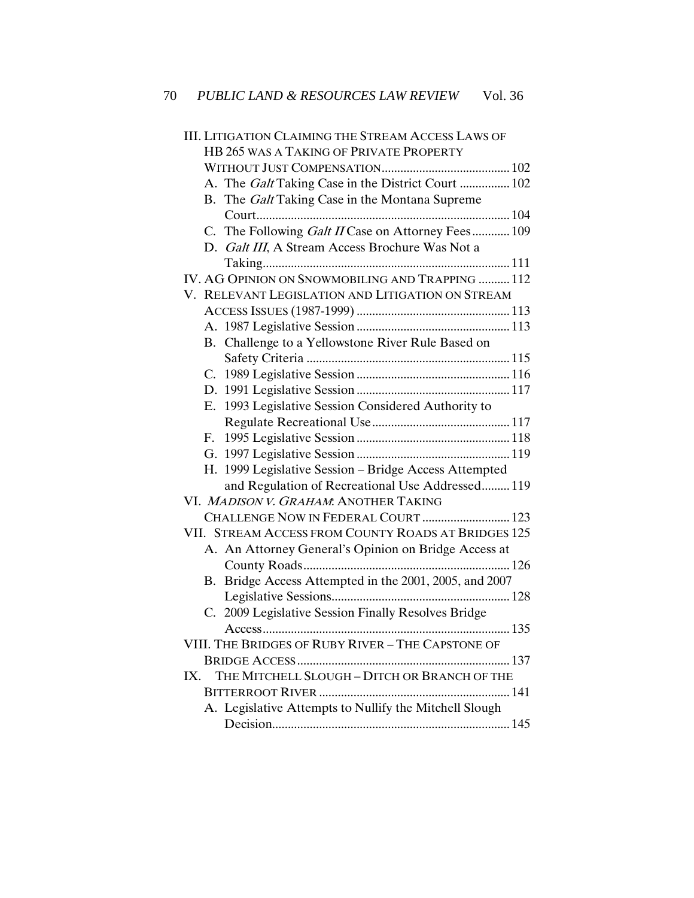| <b>III. LITIGATION CLAIMING THE STREAM ACCESS LAWS OF</b> |  |  |  |  |  |
|-----------------------------------------------------------|--|--|--|--|--|
| <b>HB 265 WAS A TAKING OF PRIVATE PROPERTY</b>            |  |  |  |  |  |
|                                                           |  |  |  |  |  |
| A. The Galt Taking Case in the District Court  102        |  |  |  |  |  |
| B. The Galt Taking Case in the Montana Supreme            |  |  |  |  |  |
|                                                           |  |  |  |  |  |
| C. The Following Galt II Case on Attorney Fees 109        |  |  |  |  |  |
| D. Galt III, A Stream Access Brochure Was Not a           |  |  |  |  |  |
|                                                           |  |  |  |  |  |
| IV. AG OPINION ON SNOWMOBILING AND TRAPPING  112          |  |  |  |  |  |
| V. RELEVANT LEGISLATION AND LITIGATION ON STREAM          |  |  |  |  |  |
|                                                           |  |  |  |  |  |
|                                                           |  |  |  |  |  |
| B. Challenge to a Yellowstone River Rule Based on         |  |  |  |  |  |
|                                                           |  |  |  |  |  |
|                                                           |  |  |  |  |  |
|                                                           |  |  |  |  |  |
| E. 1993 Legislative Session Considered Authority to       |  |  |  |  |  |
|                                                           |  |  |  |  |  |
| $F_{\cdot}$                                               |  |  |  |  |  |
|                                                           |  |  |  |  |  |
| H. 1999 Legislative Session - Bridge Access Attempted     |  |  |  |  |  |
| and Regulation of Recreational Use Addressed 119          |  |  |  |  |  |
| VI. MADISON V. GRAHAM. ANOTHER TAKING                     |  |  |  |  |  |
| CHALLENGE NOW IN FEDERAL COURT  123                       |  |  |  |  |  |
| VII. STREAM ACCESS FROM COUNTY ROADS AT BRIDGES 125       |  |  |  |  |  |
| A. An Attorney General's Opinion on Bridge Access at      |  |  |  |  |  |
|                                                           |  |  |  |  |  |
| B. Bridge Access Attempted in the 2001, 2005, and 2007    |  |  |  |  |  |
|                                                           |  |  |  |  |  |
| C. 2009 Legislative Session Finally Resolves Bridge       |  |  |  |  |  |
|                                                           |  |  |  |  |  |
| VIII. THE BRIDGES OF RUBY RIVER - THE CAPSTONE OF         |  |  |  |  |  |
|                                                           |  |  |  |  |  |
| THE MITCHELL SLOUGH - DITCH OR BRANCH OF THE<br>IX.       |  |  |  |  |  |
|                                                           |  |  |  |  |  |
| A. Legislative Attempts to Nullify the Mitchell Slough    |  |  |  |  |  |
|                                                           |  |  |  |  |  |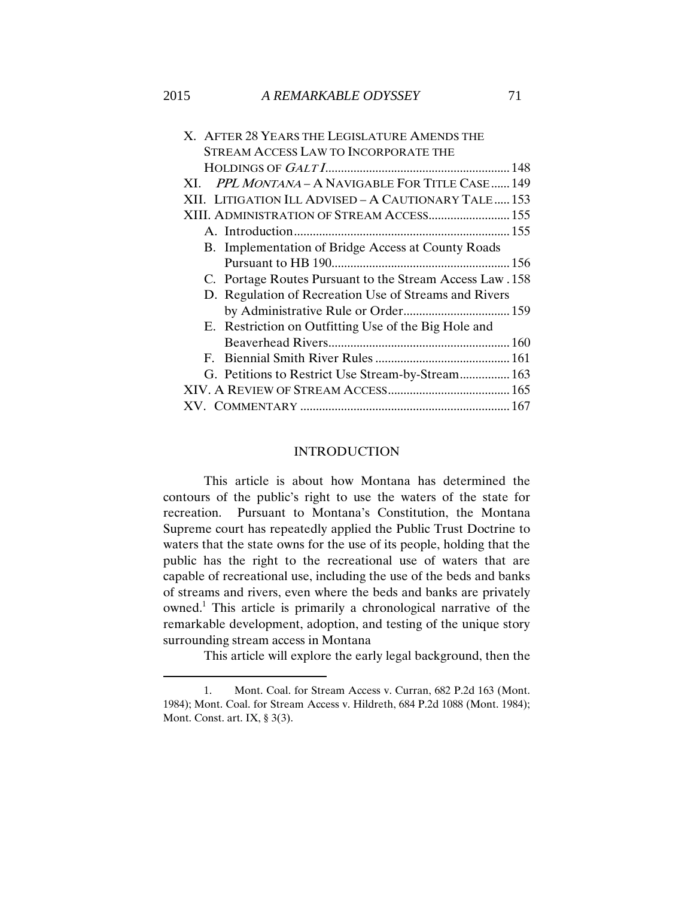| X. AFTER 28 YEARS THE LEGISLATURE AMENDS THE              |  |
|-----------------------------------------------------------|--|
| STREAM ACCESS LAW TO INCORPORATE THE                      |  |
|                                                           |  |
| XI. PPL MONTANA - A NAVIGABLE FOR TITLE CASE 149          |  |
| XII. LITIGATION ILL ADVISED – A CAUTIONARY TALE 153       |  |
| XIII. ADMINISTRATION OF STREAM ACCESS 155                 |  |
|                                                           |  |
| B. Implementation of Bridge Access at County Roads        |  |
|                                                           |  |
| C. Portage Routes Pursuant to the Stream Access Law . 158 |  |
| D. Regulation of Recreation Use of Streams and Rivers     |  |
|                                                           |  |
| E. Restriction on Outfitting Use of the Big Hole and      |  |

| E. Restriction on Outfitting Use of the Big Hole and |  |
|------------------------------------------------------|--|
|                                                      |  |
|                                                      |  |
| G. Petitions to Restrict Use Stream-by-Stream 163    |  |
|                                                      |  |
|                                                      |  |

### INTRODUCTION

<span id="page-3-0"></span>This article is about how Montana has determined the contours of the public's right to use the waters of the state for recreation. Pursuant to Montana's Constitution, the Montana Supreme court has repeatedly applied the Public Trust Doctrine to waters that the state owns for the use of its people, holding that the public has the right to the recreational use of waters that are capable of recreational use, including the use of the beds and banks of streams and rivers, even where the beds and banks are privately owned.<sup>1</sup> This article is primarily a chronological narrative of the remarkable development, adoption, and testing of the unique story surrounding stream access in Montana

This article will explore the early legal background, then the

<sup>1.</sup> Mont. Coal. for Stream Access v. Curran, 682 P.2d 163 (Mont. 1984); Mont. Coal. for Stream Access v. Hildreth, 684 P.2d 1088 (Mont. 1984); Mont. Const. art. IX, § 3(3).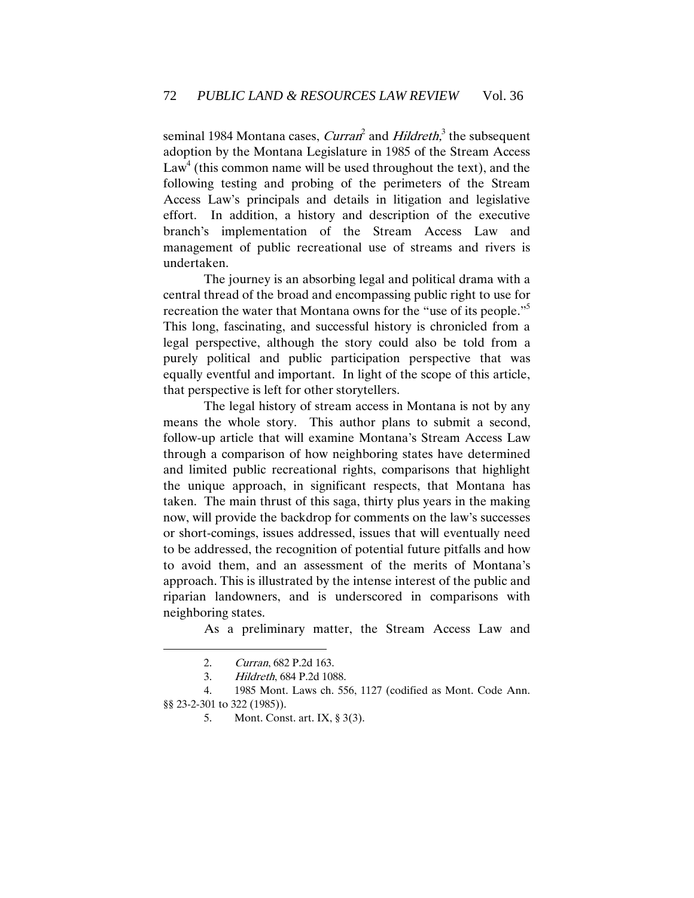seminal 1984 Montana cases, *Curran*<sup>2</sup> and *Hildreth*,<sup>3</sup> the subsequent adoption by the Montana Legislature in 1985 of the Stream Access  $Law<sup>4</sup>$  (this common name will be used throughout the text), and the following testing and probing of the perimeters of the Stream Access Law's principals and details in litigation and legislative effort. In addition, a history and description of the executive branch's implementation of the Stream Access Law and management of public recreational use of streams and rivers is undertaken.

The journey is an absorbing legal and political drama with a central thread of the broad and encompassing public right to use for recreation the water that Montana owns for the "use of its people."<sup>5</sup> This long, fascinating, and successful history is chronicled from a legal perspective, although the story could also be told from a purely political and public participation perspective that was equally eventful and important. In light of the scope of this article, that perspective is left for other storytellers.

The legal history of stream access in Montana is not by any means the whole story. This author plans to submit a second, follow-up article that will examine Montana's Stream Access Law through a comparison of how neighboring states have determined and limited public recreational rights, comparisons that highlight the unique approach, in significant respects, that Montana has taken. The main thrust of this saga, thirty plus years in the making now, will provide the backdrop for comments on the law's successes or short-comings, issues addressed, issues that will eventually need to be addressed, the recognition of potential future pitfalls and how to avoid them, and an assessment of the merits of Montana's approach. This is illustrated by the intense interest of the public and riparian landowners, and is underscored in comparisons with neighboring states.

As a preliminary matter, the Stream Access Law and

<sup>2.</sup> Curran, 682 P.2d 163.

<sup>3.</sup> Hildreth, 684 P.2d 1088.

<sup>4.</sup> 1985 Mont. Laws ch. 556, 1127 (codified as Mont. Code Ann. §§ 23-2-301 to 322 (1985)).

<sup>5.</sup> Mont. Const. art. IX, § 3(3).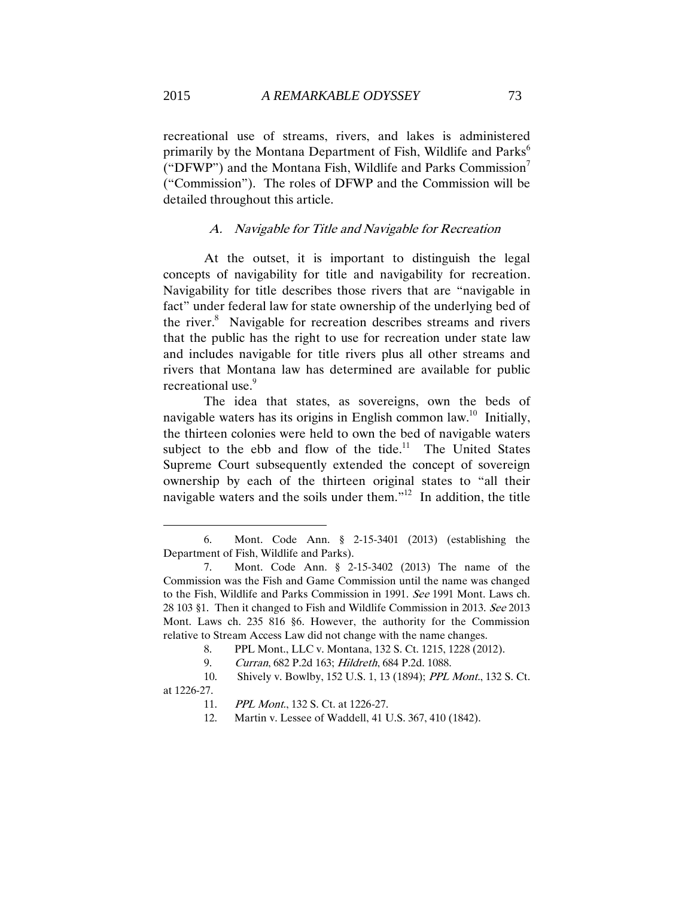recreational use of streams, rivers, and lakes is administered primarily by the Montana Department of Fish, Wildlife and Parks<sup>6</sup> ("DFWP") and the Montana Fish, Wildlife and Parks Commission<sup>7</sup> ("Commission"). The roles of DFWP and the Commission will be detailed throughout this article.

#### A. Navigable for Title and Navigable for Recreation

<span id="page-5-0"></span>At the outset, it is important to distinguish the legal concepts of navigability for title and navigability for recreation. Navigability for title describes those rivers that are "navigable in fact" under federal law for state ownership of the underlying bed of the river.<sup>8</sup> Navigable for recreation describes streams and rivers that the public has the right to use for recreation under state law and includes navigable for title rivers plus all other streams and rivers that Montana law has determined are available for public recreational use.<sup>9</sup>

The idea that states, as sovereigns, own the beds of navigable waters has its origins in English common law.<sup>10</sup> Initially, the thirteen colonies were held to own the bed of navigable waters subject to the ebb and flow of the tide.<sup>11</sup> The United States Supreme Court subsequently extended the concept of sovereign ownership by each of the thirteen original states to "all their navigable waters and the soils under them."<sup>12</sup> In addition, the title

<sup>6.</sup> Mont. Code Ann. § 2-15-3401 (2013) (establishing the Department of Fish, Wildlife and Parks).

<sup>7.</sup> Mont. Code Ann. § 2-15-3402 (2013) The name of the Commission was the Fish and Game Commission until the name was changed to the Fish, Wildlife and Parks Commission in 1991. See 1991 Mont. Laws ch. 28 103 §1. Then it changed to Fish and Wildlife Commission in 2013. See 2013 Mont. Laws ch. 235 816 §6. However, the authority for the Commission relative to Stream Access Law did not change with the name changes.

<sup>8.</sup> PPL Mont., LLC v. Montana, 132 S. Ct. 1215, 1228 (2012).

<sup>9.</sup> Curran, 682 P.2d 163; Hildreth, 684 P.2d. 1088.

<sup>10.</sup> Shively v. Bowlby, 152 U.S. 1, 13 (1894); PPL Mont., 132 S. Ct. at 1226-27.

<sup>11.</sup> PPL Mont., 132 S. Ct. at 1226-27.

<sup>12.</sup> Martin v. Lessee of Waddell, 41 U.S. 367, 410 (1842).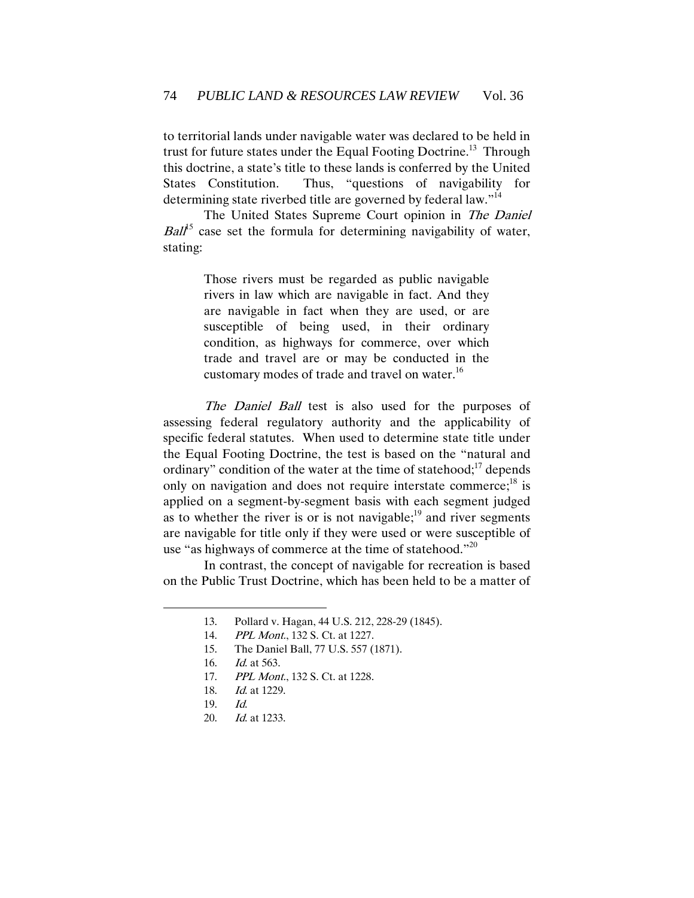to territorial lands under navigable water was declared to be held in trust for future states under the Equal Footing Doctrine.<sup>13</sup> Through this doctrine, a state's title to these lands is conferred by the United States Constitution. Thus, "questions of navigability for determining state riverbed title are governed by federal law."<sup>14</sup>

The United States Supreme Court opinion in The Daniel  $Ball<sup>5</sup>$  case set the formula for determining navigability of water, stating:

> Those rivers must be regarded as public navigable rivers in law which are navigable in fact. And they are navigable in fact when they are used, or are susceptible of being used, in their ordinary condition, as highways for commerce, over which trade and travel are or may be conducted in the customary modes of trade and travel on water.<sup>16</sup>

The Daniel Ball test is also used for the purposes of assessing federal regulatory authority and the applicability of specific federal statutes. When used to determine state title under the Equal Footing Doctrine, the test is based on the "natural and ordinary" condition of the water at the time of statehood; $^{17}$  depends only on navigation and does not require interstate commerce;<sup>18</sup> is applied on a segment-by-segment basis with each segment judged as to whether the river is or is not navigable; $^{19}$  and river segments are navigable for title only if they were used or were susceptible of use "as highways of commerce at the time of statehood."<sup>20</sup>

In contrast, the concept of navigable for recreation is based on the Public Trust Doctrine, which has been held to be a matter of

<sup>13.</sup> Pollard v. Hagan, 44 U.S. 212, 228-29 (1845).

<sup>14.</sup> PPL Mont., 132 S. Ct. at 1227.

<sup>15.</sup> The Daniel Ball, 77 U.S. 557 (1871).

<sup>16.</sup> Id. at 563.

<sup>17.</sup> *PPL Mont.*, 132 S. Ct. at 1228.

<sup>18.</sup> Id. at 1229.

<sup>19.</sup> Id.

<sup>20.</sup> Id. at 1233.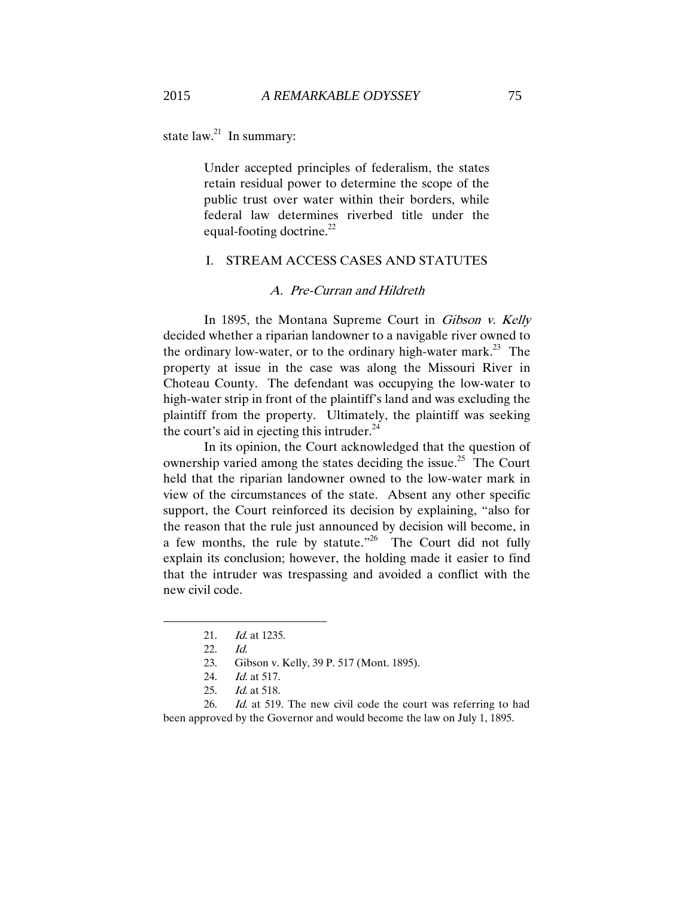state  $law.<sup>21</sup>$  In summary:

Under accepted principles of federalism, the states retain residual power to determine the scope of the public trust over water within their borders, while federal law determines riverbed title under the equal-footing doctrine.<sup>22</sup>

## <span id="page-7-0"></span>I. STREAM ACCESS CASES AND STATUTES

#### A. Pre-Curran and Hildreth

<span id="page-7-1"></span>In 1895, the Montana Supreme Court in Gibson v. Kelly decided whether a riparian landowner to a navigable river owned to the ordinary low-water, or to the ordinary high-water mark.<sup>23</sup> The property at issue in the case was along the Missouri River in Choteau County. The defendant was occupying the low-water to high-water strip in front of the plaintiff's land and was excluding the plaintiff from the property. Ultimately, the plaintiff was seeking the court's aid in ejecting this intruder. $24$ 

In its opinion, the Court acknowledged that the question of ownership varied among the states deciding the issue.<sup>25</sup> The Court held that the riparian landowner owned to the low-water mark in view of the circumstances of the state. Absent any other specific support, the Court reinforced its decision by explaining, "also for the reason that the rule just announced by decision will become, in a few months, the rule by statute.<sup> $26$ </sup> The Court did not fully explain its conclusion; however, the holding made it easier to find that the intruder was trespassing and avoided a conflict with the new civil code.

<sup>21.</sup> Id. at 1235.

<sup>22.</sup> Id.

<sup>23.</sup> Gibson v. Kelly, 39 P. 517 (Mont. 1895).

<sup>24.</sup> Id. at 517.

<sup>25.</sup> Id. at 518.

<sup>26.</sup> Id. at 519. The new civil code the court was referring to had been approved by the Governor and would become the law on July 1, 1895.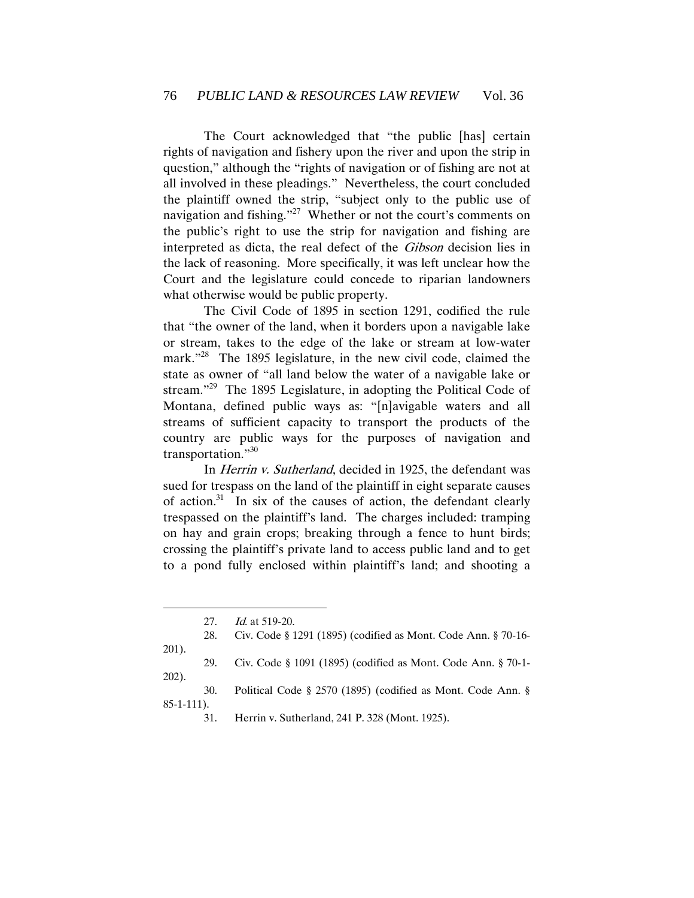The Court acknowledged that "the public [has] certain rights of navigation and fishery upon the river and upon the strip in question," although the "rights of navigation or of fishing are not at all involved in these pleadings." Nevertheless, the court concluded the plaintiff owned the strip, "subject only to the public use of navigation and fishing."<sup>27</sup> Whether or not the court's comments on the public's right to use the strip for navigation and fishing are interpreted as dicta, the real defect of the Gibson decision lies in the lack of reasoning. More specifically, it was left unclear how the Court and the legislature could concede to riparian landowners what otherwise would be public property.

The Civil Code of 1895 in section 1291, codified the rule that "the owner of the land, when it borders upon a navigable lake or stream, takes to the edge of the lake or stream at low-water mark."<sup>28</sup> The 1895 legislature, in the new civil code, claimed the state as owner of "all land below the water of a navigable lake or stream."<sup>29</sup> The 1895 Legislature, in adopting the Political Code of Montana, defined public ways as: "[n]avigable waters and all streams of sufficient capacity to transport the products of the country are public ways for the purposes of navigation and transportation."30

In Herrin v. Sutherland, decided in 1925, the defendant was sued for trespass on the land of the plaintiff in eight separate causes of action.<sup>31</sup> In six of the causes of action, the defendant clearly trespassed on the plaintiff's land. The charges included: tramping on hay and grain crops; breaking through a fence to hunt birds; crossing the plaintiff's private land to access public land and to get to a pond fully enclosed within plaintiff's land; and shooting a

 $\overline{a}$ 27. *Id.* at 519-20. 28. Civ. Code § 1291 (1895) (codified as Mont. Code Ann. § 70-16- 201). 29. Civ. Code § 1091 (1895) (codified as Mont. Code Ann. § 70-1- 202). 30. Political Code § 2570 (1895) (codified as Mont. Code Ann. § 85-1-111). 31. Herrin v. Sutherland, 241 P. 328 (Mont. 1925).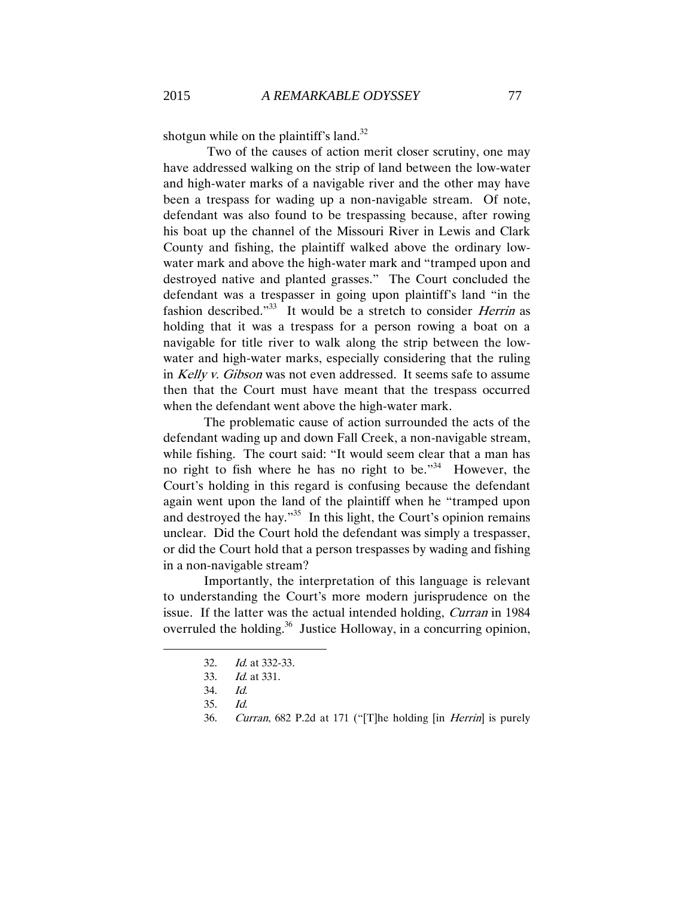shotgun while on the plaintiff's land. $32$ 

Two of the causes of action merit closer scrutiny, one may have addressed walking on the strip of land between the low-water and high-water marks of a navigable river and the other may have been a trespass for wading up a non-navigable stream. Of note, defendant was also found to be trespassing because, after rowing his boat up the channel of the Missouri River in Lewis and Clark County and fishing, the plaintiff walked above the ordinary lowwater mark and above the high-water mark and "tramped upon and destroyed native and planted grasses." The Court concluded the defendant was a trespasser in going upon plaintiff's land "in the fashion described."<sup>33</sup> It would be a stretch to consider *Herrin* as holding that it was a trespass for a person rowing a boat on a navigable for title river to walk along the strip between the lowwater and high-water marks, especially considering that the ruling in Kelly v. Gibson was not even addressed. It seems safe to assume then that the Court must have meant that the trespass occurred when the defendant went above the high-water mark.

The problematic cause of action surrounded the acts of the defendant wading up and down Fall Creek, a non-navigable stream, while fishing. The court said: "It would seem clear that a man has no right to fish where he has no right to be.<sup> $34$ </sup> However, the Court's holding in this regard is confusing because the defendant again went upon the land of the plaintiff when he "tramped upon and destroyed the hay."<sup>35</sup> In this light, the Court's opinion remains unclear. Did the Court hold the defendant was simply a trespasser, or did the Court hold that a person trespasses by wading and fishing in a non-navigable stream?

Importantly, the interpretation of this language is relevant to understanding the Court's more modern jurisprudence on the issue. If the latter was the actual intended holding, Curran in 1984 overruled the holding.<sup>36</sup> Justice Holloway, in a concurring opinion,

<sup>32.</sup> Id. at 332-33.

<sup>33.</sup> Id. at 331.

<sup>34.</sup> Id.

<sup>35.</sup> Id.

<sup>36.</sup> Curran, 682 P.2d at 171 ("[T]he holding [in Herrin] is purely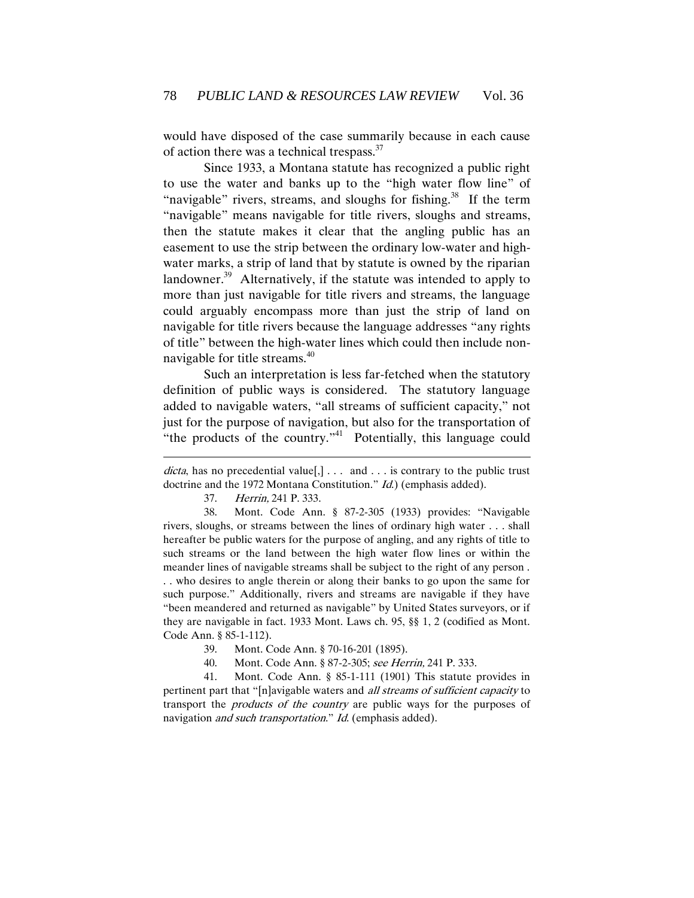would have disposed of the case summarily because in each cause of action there was a technical trespass. $37$ 

 Since 1933, a Montana statute has recognized a public right to use the water and banks up to the "high water flow line" of "navigable" rivers, streams, and sloughs for fishing. $38$  If the term "navigable" means navigable for title rivers, sloughs and streams, then the statute makes it clear that the angling public has an easement to use the strip between the ordinary low-water and highwater marks, a strip of land that by statute is owned by the riparian landowner.<sup>39</sup> Alternatively, if the statute was intended to apply to more than just navigable for title rivers and streams, the language could arguably encompass more than just the strip of land on navigable for title rivers because the language addresses "any rights of title" between the high-water lines which could then include nonnavigable for title streams.<sup>40</sup>

Such an interpretation is less far-fetched when the statutory definition of public ways is considered. The statutory language added to navigable waters, "all streams of sufficient capacity," not just for the purpose of navigation, but also for the transportation of "the products of the country." Potentially, this language could

37. Herrin, 241 P. 333.

 $\overline{a}$ 

38. Mont. Code Ann. § 87-2-305 (1933) provides: "Navigable rivers, sloughs, or streams between the lines of ordinary high water . . . shall hereafter be public waters for the purpose of angling, and any rights of title to such streams or the land between the high water flow lines or within the meander lines of navigable streams shall be subject to the right of any person . . . who desires to angle therein or along their banks to go upon the same for such purpose." Additionally, rivers and streams are navigable if they have "been meandered and returned as navigable" by United States surveyors, or if they are navigable in fact. 1933 Mont. Laws ch. 95, §§ 1, 2 (codified as Mont. Code Ann. § 85-1-112).

39. Mont. Code Ann. § 70-16-201 (1895).

40. Mont. Code Ann. § 87-2-305; see Herrin, 241 P. 333.

41. Mont. Code Ann. § 85-1-111 (1901) This statute provides in pertinent part that "[n]avigable waters and all streams of sufficient capacity to transport the products of the country are public ways for the purposes of navigation *and such transportation.*" *Id.* (emphasis added).

dicta, has no precedential value[,]  $\dots$  and  $\dots$  is contrary to the public trust doctrine and the 1972 Montana Constitution." *Id.*) (emphasis added).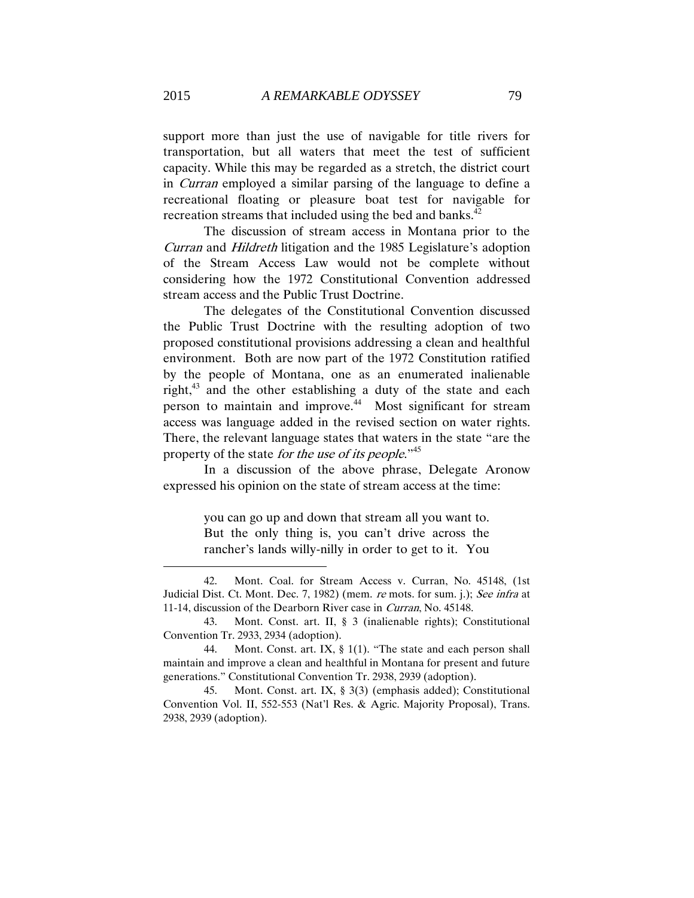support more than just the use of navigable for title rivers for transportation, but all waters that meet the test of sufficient capacity. While this may be regarded as a stretch, the district court in Curran employed a similar parsing of the language to define a recreational floating or pleasure boat test for navigable for recreation streams that included using the bed and banks. $42$ 

The discussion of stream access in Montana prior to the Curran and Hildreth litigation and the 1985 Legislature's adoption of the Stream Access Law would not be complete without considering how the 1972 Constitutional Convention addressed stream access and the Public Trust Doctrine.

The delegates of the Constitutional Convention discussed the Public Trust Doctrine with the resulting adoption of two proposed constitutional provisions addressing a clean and healthful environment. Both are now part of the 1972 Constitution ratified by the people of Montana, one as an enumerated inalienable right,<sup>43</sup> and the other establishing a duty of the state and each person to maintain and improve.<sup>44</sup> Most significant for stream access was language added in the revised section on water rights. There, the relevant language states that waters in the state "are the property of the state *for the use of its people*."<sup>45</sup>

In a discussion of the above phrase, Delegate Aronow expressed his opinion on the state of stream access at the time:

> you can go up and down that stream all you want to. But the only thing is, you can't drive across the rancher's lands willy-nilly in order to get to it. You

<sup>42.</sup> Mont. Coal. for Stream Access v. Curran, No. 45148, (1st Judicial Dist. Ct. Mont. Dec. 7, 1982) (mem. re mots. for sum. j.); See infra at 11-14, discussion of the Dearborn River case in Curran, No. 45148.

<sup>43.</sup> Mont. Const. art. II, § 3 (inalienable rights); Constitutional Convention Tr. 2933, 2934 (adoption).

<sup>44.</sup> Mont. Const. art. IX, § 1(1). "The state and each person shall maintain and improve a clean and healthful in Montana for present and future generations." Constitutional Convention Tr. 2938, 2939 (adoption).

<sup>45.</sup> Mont. Const. art. IX, § 3(3) (emphasis added); Constitutional Convention Vol. II, 552-553 (Nat'l Res. & Agric. Majority Proposal), Trans. 2938, 2939 (adoption).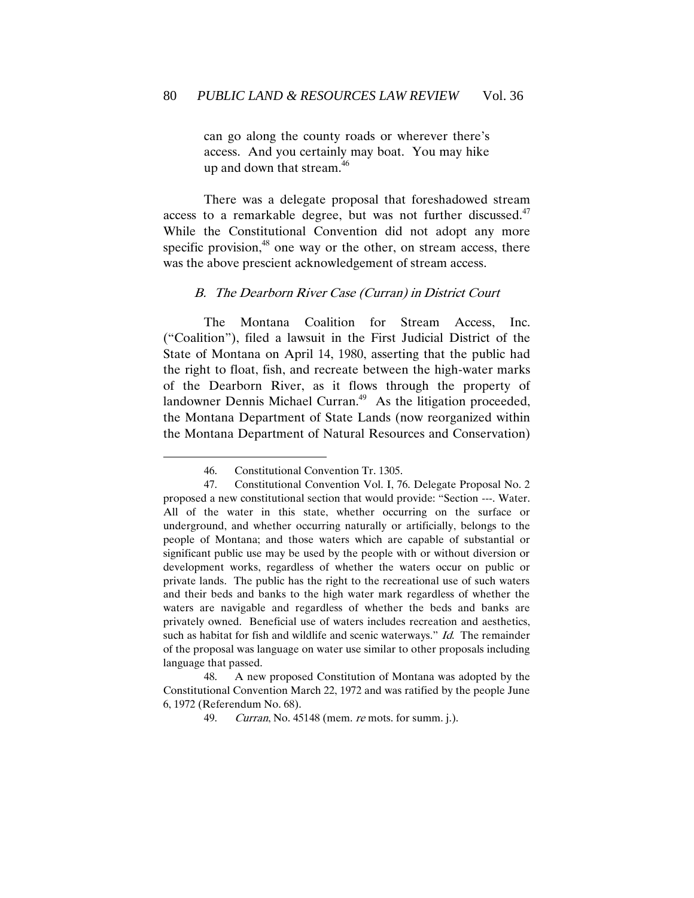can go along the county roads or wherever there's access. And you certainly may boat. You may hike up and down that stream.<sup>46</sup>

There was a delegate proposal that foreshadowed stream access to a remarkable degree, but was not further discussed. $47$ While the Constitutional Convention did not adopt any more specific provision,<sup>48</sup> one way or the other, on stream access, there was the above prescient acknowledgement of stream access.

#### <span id="page-12-0"></span>B. The Dearborn River Case (Curran) in District Court

The Montana Coalition for Stream Access, Inc. ("Coalition"), filed a lawsuit in the First Judicial District of the State of Montana on April 14, 1980, asserting that the public had the right to float, fish, and recreate between the high-water marks of the Dearborn River, as it flows through the property of landowner Dennis Michael Curran.<sup>49</sup> As the litigation proceeded, the Montana Department of State Lands (now reorganized within the Montana Department of Natural Resources and Conservation)

 $\overline{a}$ 

48. A new proposed Constitution of Montana was adopted by the Constitutional Convention March 22, 1972 and was ratified by the people June 6, 1972 (Referendum No. 68).

<sup>46.</sup> Constitutional Convention Tr. 1305.

<sup>47.</sup> Constitutional Convention Vol. I, 76. Delegate Proposal No. 2 proposed a new constitutional section that would provide: "Section ---. Water. All of the water in this state, whether occurring on the surface or underground, and whether occurring naturally or artificially, belongs to the people of Montana; and those waters which are capable of substantial or significant public use may be used by the people with or without diversion or development works, regardless of whether the waters occur on public or private lands. The public has the right to the recreational use of such waters and their beds and banks to the high water mark regardless of whether the waters are navigable and regardless of whether the beds and banks are privately owned. Beneficial use of waters includes recreation and aesthetics, such as habitat for fish and wildlife and scenic waterways." Id. The remainder of the proposal was language on water use similar to other proposals including language that passed.

<sup>49.</sup> Curran, No. 45148 (mem. re mots. for summ. j.).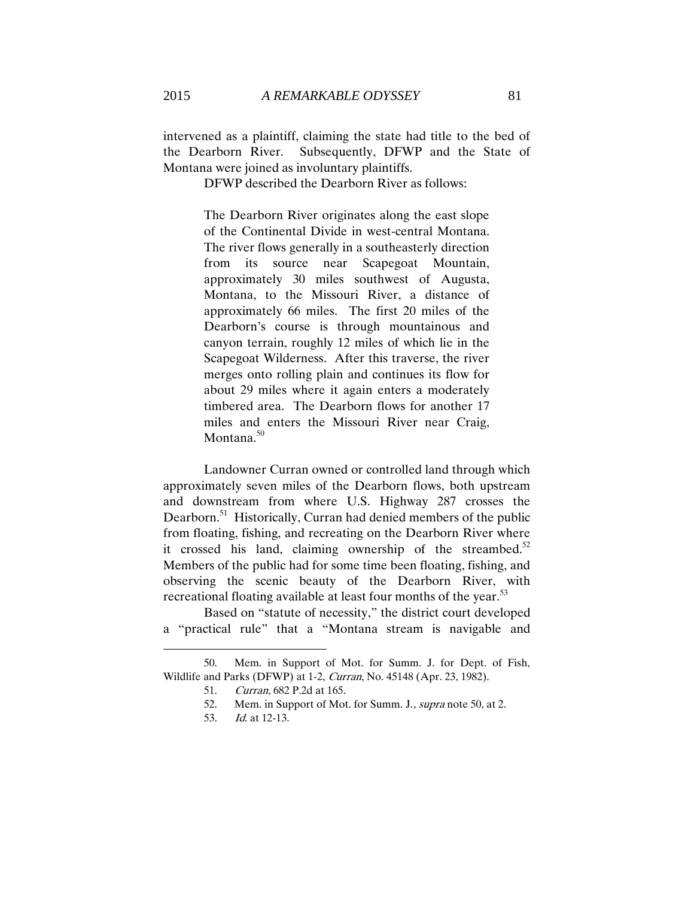intervened as a plaintiff, claiming the state had title to the bed of the Dearborn River. Subsequently, DFWP and the State of Montana were joined as involuntary plaintiffs.

DFWP described the Dearborn River as follows:

The Dearborn River originates along the east slope of the Continental Divide in west-central Montana. The river flows generally in a southeasterly direction from its source near Scapegoat Mountain, approximately 30 miles southwest of Augusta, Montana, to the Missouri River, a distance of approximately 66 miles. The first 20 miles of the Dearborn's course is through mountainous and canyon terrain, roughly 12 miles of which lie in the Scapegoat Wilderness. After this traverse, the river merges onto rolling plain and continues its flow for about 29 miles where it again enters a moderately timbered area. The Dearborn flows for another 17 miles and enters the Missouri River near Craig, Montana.<sup>50</sup>

 Landowner Curran owned or controlled land through which approximately seven miles of the Dearborn flows, both upstream and downstream from where U.S. Highway 287 crosses the Dearborn.<sup>51</sup> Historically, Curran had denied members of the public from floating, fishing, and recreating on the Dearborn River where it crossed his land, claiming ownership of the streambed.<sup>52</sup> Members of the public had for some time been floating, fishing, and observing the scenic beauty of the Dearborn River, with recreational floating available at least four months of the year.<sup>53</sup>

Based on "statute of necessity," the district court developed a "practical rule" that a "Montana stream is navigable and

<sup>50.</sup> Mem. in Support of Mot. for Summ. J. for Dept. of Fish, Wildlife and Parks (DFWP) at 1-2, Curran, No. 45148 (Apr. 23, 1982).

<sup>51.</sup> Curran, 682 P.2d at 165.

<sup>52.</sup> Mem. in Support of Mot. for Summ. J., supra note 50, at 2.

<sup>53.</sup> Id. at 12-13.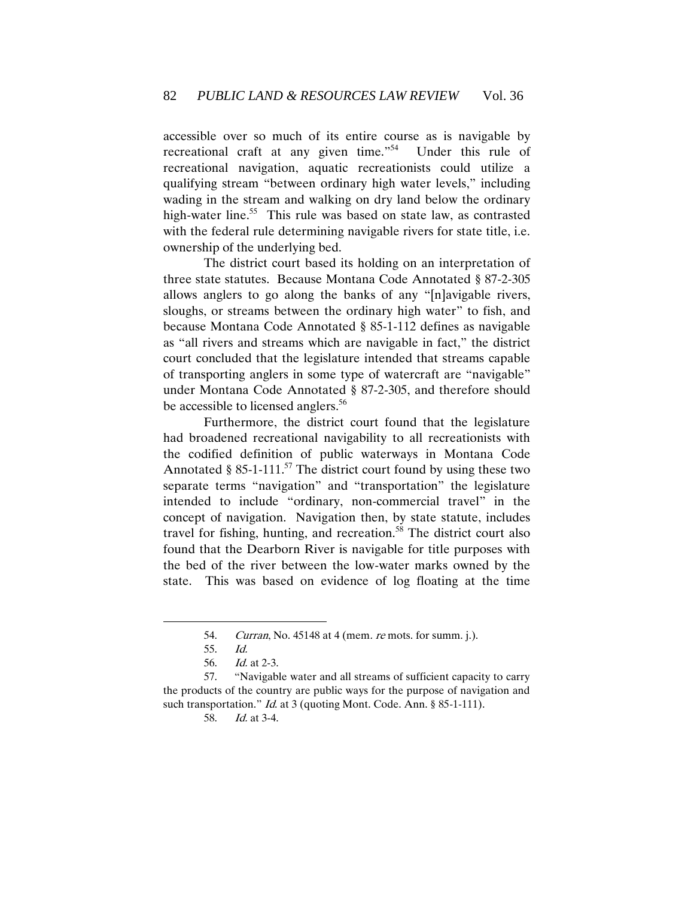accessible over so much of its entire course as is navigable by recreational craft at any given time."<sup>54</sup> Under this rule of recreational navigation, aquatic recreationists could utilize a qualifying stream "between ordinary high water levels," including wading in the stream and walking on dry land below the ordinary high-water line.<sup>55</sup> This rule was based on state law, as contrasted with the federal rule determining navigable rivers for state title, i.e. ownership of the underlying bed.

The district court based its holding on an interpretation of three state statutes. Because Montana Code Annotated § 87-2-305 allows anglers to go along the banks of any "[n]avigable rivers, sloughs, or streams between the ordinary high water" to fish, and because Montana Code Annotated § 85-1-112 defines as navigable as "all rivers and streams which are navigable in fact," the district court concluded that the legislature intended that streams capable of transporting anglers in some type of watercraft are "navigable" under Montana Code Annotated § 87-2-305, and therefore should be accessible to licensed anglers.<sup>56</sup>

Furthermore, the district court found that the legislature had broadened recreational navigability to all recreationists with the codified definition of public waterways in Montana Code Annotated § 85-1-111.<sup>57</sup> The district court found by using these two separate terms "navigation" and "transportation" the legislature intended to include "ordinary, non-commercial travel" in the concept of navigation. Navigation then, by state statute, includes travel for fishing, hunting, and recreation.<sup>58</sup> The district court also found that the Dearborn River is navigable for title purposes with the bed of the river between the low-water marks owned by the state. This was based on evidence of log floating at the time

<sup>54.</sup> *Curran*, No. 45148 at 4 (mem. *re* mots. for summ. j.).

<sup>55.</sup> Id.

<sup>56.</sup> Id. at 2-3.

<sup>57.</sup> "Navigable water and all streams of sufficient capacity to carry the products of the country are public ways for the purpose of navigation and such transportation." *Id.* at 3 (quoting Mont. Code. Ann. § 85-1-111).

<sup>58.</sup> Id. at 3-4.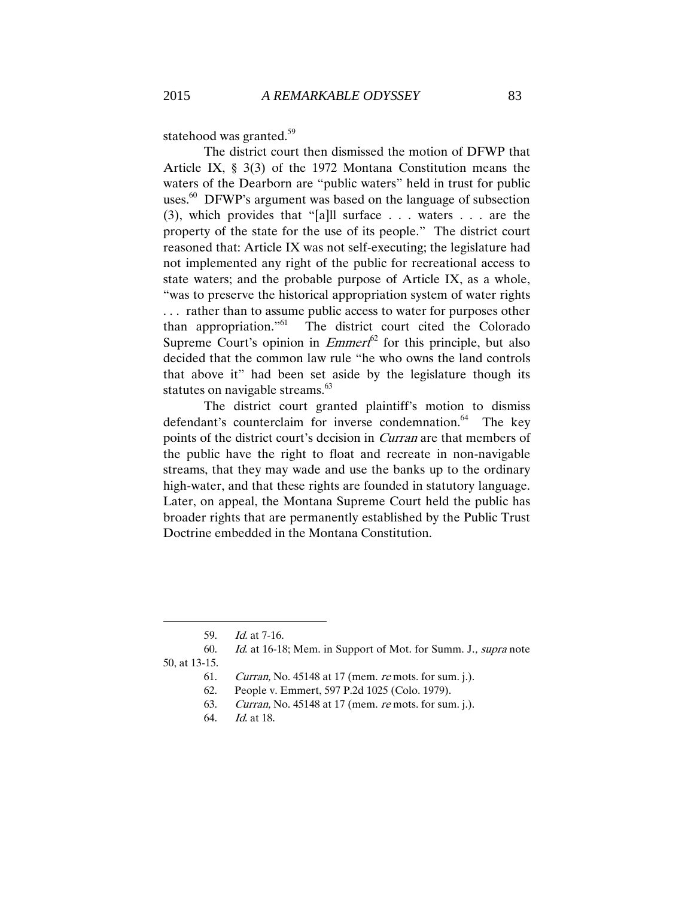statehood was granted. $59$ 

The district court then dismissed the motion of DFWP that Article IX, § 3(3) of the 1972 Montana Constitution means the waters of the Dearborn are "public waters" held in trust for public uses.<sup>60</sup> DFWP's argument was based on the language of subsection (3), which provides that "[a]ll surface . . . waters . . . are the property of the state for the use of its people." The district court reasoned that: Article IX was not self-executing; the legislature had not implemented any right of the public for recreational access to state waters; and the probable purpose of Article IX, as a whole, "was to preserve the historical appropriation system of water rights . . . rather than to assume public access to water for purposes other than appropriation." 61 The district court cited the Colorado Supreme Court's opinion in  $Emmerf^2$  for this principle, but also decided that the common law rule "he who owns the land controls that above it" had been set aside by the legislature though its statutes on navigable streams.<sup>63</sup>

The district court granted plaintiff's motion to dismiss defendant's counterclaim for inverse condemnation.<sup>64</sup> The key points of the district court's decision in Curran are that members of the public have the right to float and recreate in non-navigable streams, that they may wade and use the banks up to the ordinary high-water, and that these rights are founded in statutory language. Later, on appeal, the Montana Supreme Court held the public has broader rights that are permanently established by the Public Trust Doctrine embedded in the Montana Constitution.

 $\overline{a}$ 

64. Id. at 18.

<sup>59.</sup> Id. at 7-16.

<sup>60.</sup> Id. at 16-18; Mem. in Support of Mot. for Summ. J., supra note

<sup>50,</sup> at 13-15.

<sup>61.</sup> Curran, No. 45148 at 17 (mem. re mots. for sum. j.).

<sup>62.</sup> People v. Emmert, 597 P.2d 1025 (Colo. 1979).

<sup>63.</sup> Curran, No. 45148 at 17 (mem. re mots. for sum. j.).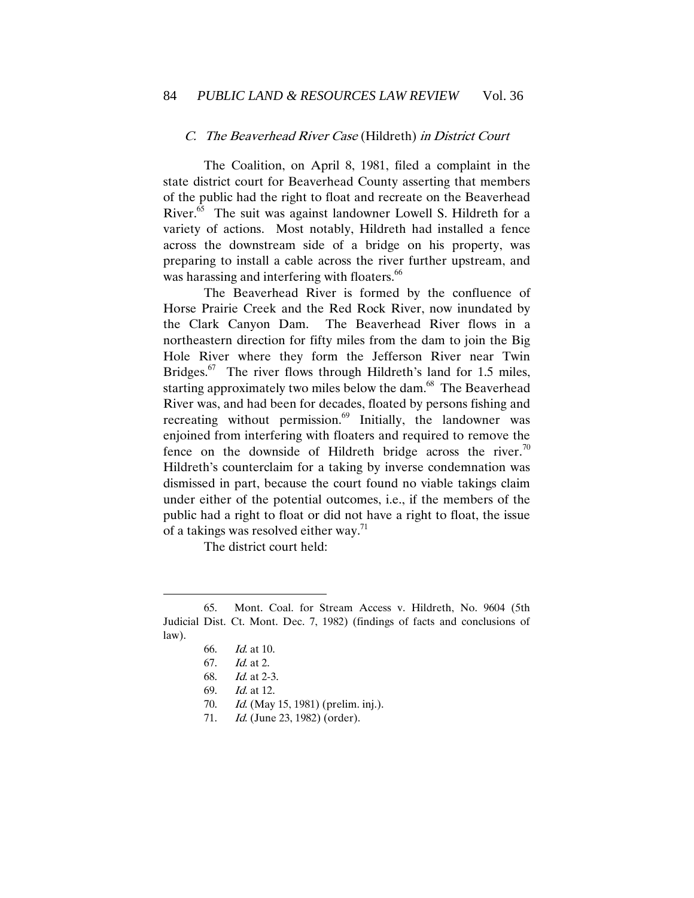#### <span id="page-16-0"></span>C. The Beaverhead River Case (Hildreth) in District Court

The Coalition, on April 8, 1981, filed a complaint in the state district court for Beaverhead County asserting that members of the public had the right to float and recreate on the Beaverhead River.<sup>65</sup> The suit was against landowner Lowell S. Hildreth for a variety of actions. Most notably, Hildreth had installed a fence across the downstream side of a bridge on his property, was preparing to install a cable across the river further upstream, and was harassing and interfering with floaters.<sup>66</sup>

The Beaverhead River is formed by the confluence of Horse Prairie Creek and the Red Rock River, now inundated by the Clark Canyon Dam. The Beaverhead River flows in a northeastern direction for fifty miles from the dam to join the Big Hole River where they form the Jefferson River near Twin Bridges. $67$  The river flows through Hildreth's land for 1.5 miles, starting approximately two miles below the dam.<sup>68</sup> The Beaverhead River was, and had been for decades, floated by persons fishing and recreating without permission.<sup>69</sup> Initially, the landowner was enjoined from interfering with floaters and required to remove the fence on the downside of Hildreth bridge across the river.<sup>70</sup> Hildreth's counterclaim for a taking by inverse condemnation was dismissed in part, because the court found no viable takings claim under either of the potential outcomes, i.e., if the members of the public had a right to float or did not have a right to float, the issue of a takings was resolved either way.<sup>71</sup>

The district court held:

<sup>65.</sup> Mont. Coal. for Stream Access v. Hildreth, No. 9604 (5th Judicial Dist. Ct. Mont. Dec. 7, 1982) (findings of facts and conclusions of law).

<sup>66.</sup> Id. at 10.

<sup>67.</sup> Id. at 2.

<sup>68.</sup> Id. at 2-3.

<sup>69.</sup> Id. at 12.

<sup>70.</sup> *Id.* (May 15, 1981) (prelim. inj.).

<sup>71.</sup> *Id.* (June 23, 1982) (order).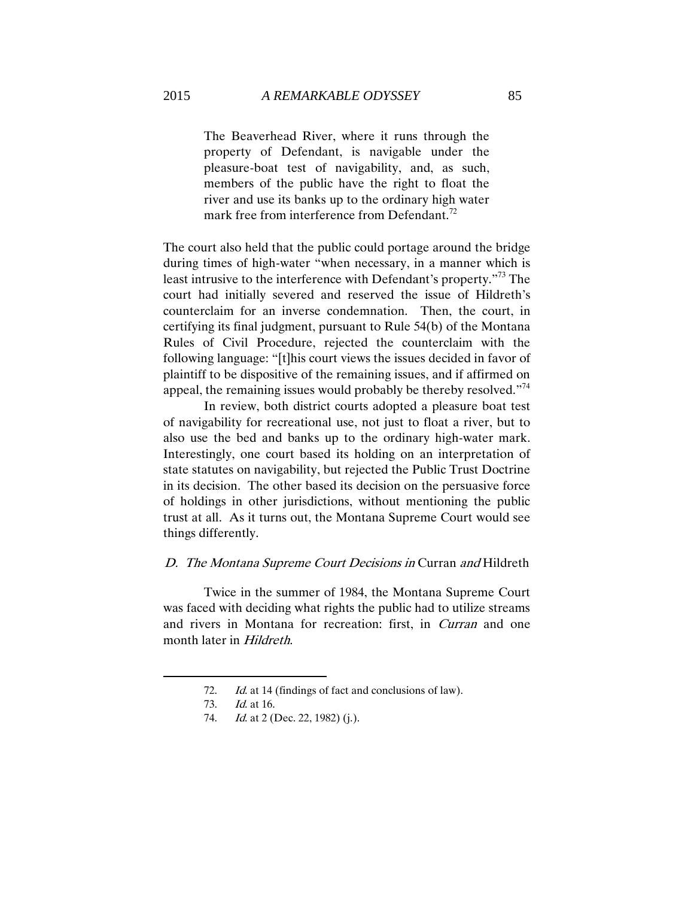The Beaverhead River, where it runs through the property of Defendant, is navigable under the pleasure-boat test of navigability, and, as such, members of the public have the right to float the river and use its banks up to the ordinary high water mark free from interference from Defendant.<sup>72</sup>

The court also held that the public could portage around the bridge during times of high-water "when necessary, in a manner which is least intrusive to the interference with Defendant's property."<sup>73</sup> The court had initially severed and reserved the issue of Hildreth's counterclaim for an inverse condemnation. Then, the court, in certifying its final judgment, pursuant to Rule 54(b) of the Montana Rules of Civil Procedure, rejected the counterclaim with the following language: "[t]his court views the issues decided in favor of plaintiff to be dispositive of the remaining issues, and if affirmed on appeal, the remaining issues would probably be thereby resolved."<sup>74</sup>

In review, both district courts adopted a pleasure boat test of navigability for recreational use, not just to float a river, but to also use the bed and banks up to the ordinary high-water mark. Interestingly, one court based its holding on an interpretation of state statutes on navigability, but rejected the Public Trust Doctrine in its decision. The other based its decision on the persuasive force of holdings in other jurisdictions, without mentioning the public trust at all. As it turns out, the Montana Supreme Court would see things differently.

## <span id="page-17-0"></span>D. The Montana Supreme Court Decisions in Curran and Hildreth

Twice in the summer of 1984, the Montana Supreme Court was faced with deciding what rights the public had to utilize streams and rivers in Montana for recreation: first, in Curran and one month later in Hildreth.

<sup>72.</sup> Id. at 14 (findings of fact and conclusions of law).

<sup>73.</sup> Id. at 16.

<sup>74.</sup> *Id.* at 2 (Dec. 22, 1982) (j.).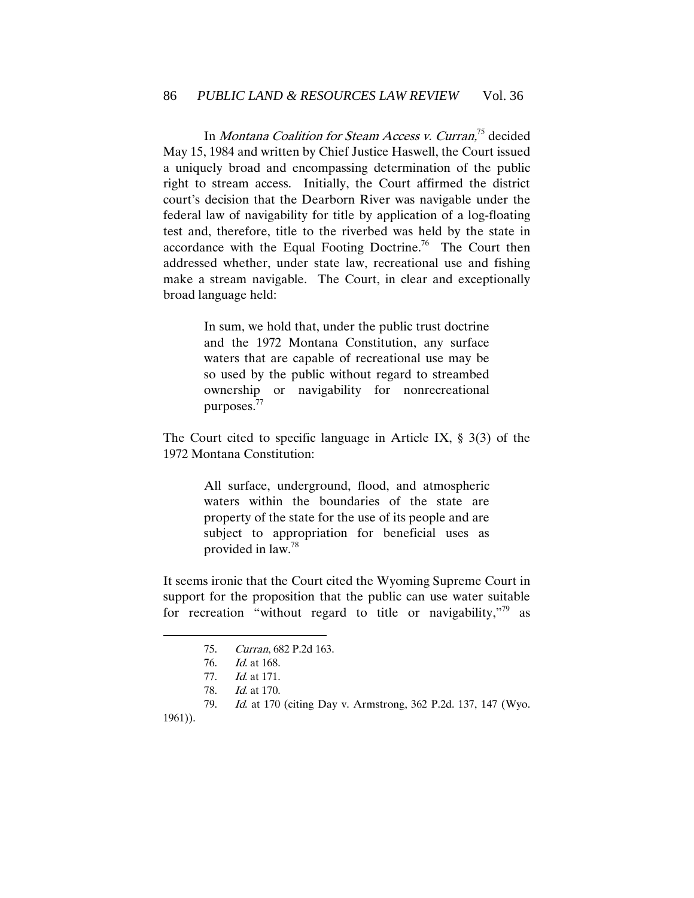In Montana Coalition for Steam Access v. Curran,<sup>75</sup> decided May 15, 1984 and written by Chief Justice Haswell, the Court issued a uniquely broad and encompassing determination of the public right to stream access. Initially, the Court affirmed the district court's decision that the Dearborn River was navigable under the federal law of navigability for title by application of a log-floating test and, therefore, title to the riverbed was held by the state in accordance with the Equal Footing Doctrine.<sup>76</sup> The Court then addressed whether, under state law, recreational use and fishing make a stream navigable. The Court, in clear and exceptionally broad language held:

> In sum, we hold that, under the public trust doctrine and the 1972 Montana Constitution, any surface waters that are capable of recreational use may be so used by the public without regard to streambed ownership or navigability for nonrecreational purposes.<sup>77</sup>

The Court cited to specific language in Article IX, § 3(3) of the 1972 Montana Constitution:

> All surface, underground, flood, and atmospheric waters within the boundaries of the state are property of the state for the use of its people and are subject to appropriation for beneficial uses as provided in law.<sup>78</sup>

It seems ironic that the Court cited the Wyoming Supreme Court in support for the proposition that the public can use water suitable for recreation "without regard to title or navigability," $79$  as

1961)).

<sup>75.</sup> Curran, 682 P.2d 163.

<sup>76.</sup> Id. at 168.

<sup>77.</sup> Id. at 171.

<sup>78.</sup> Id. at 170.

<sup>79.</sup> Id. at 170 (citing Day v. Armstrong, 362 P.2d. 137, 147 (Wyo.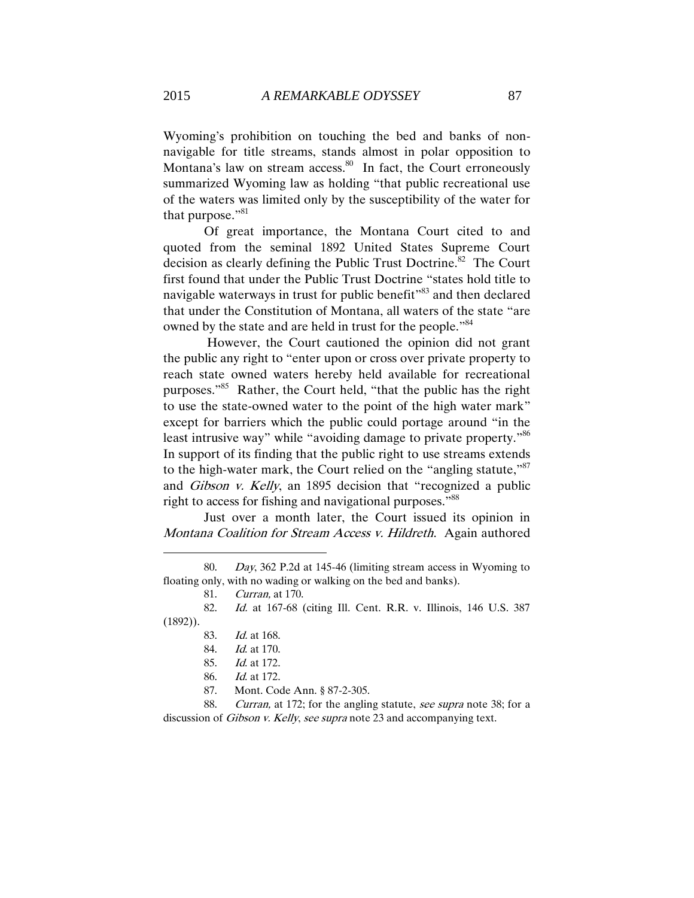Wyoming's prohibition on touching the bed and banks of nonnavigable for title streams, stands almost in polar opposition to Montana's law on stream access.<sup>80</sup> In fact, the Court erroneously summarized Wyoming law as holding "that public recreational use of the waters was limited only by the susceptibility of the water for that purpose." $81$ 

Of great importance, the Montana Court cited to and quoted from the seminal 1892 United States Supreme Court decision as clearly defining the Public Trust Doctrine.<sup>82</sup> The Court first found that under the Public Trust Doctrine "states hold title to navigable waterways in trust for public benefit<sup>383</sup> and then declared that under the Constitution of Montana, all waters of the state "are owned by the state and are held in trust for the people."<sup>84</sup>

However, the Court cautioned the opinion did not grant the public any right to "enter upon or cross over private property to reach state owned waters hereby held available for recreational purposes."<sup>85</sup> Rather, the Court held, "that the public has the right to use the state-owned water to the point of the high water mark" except for barriers which the public could portage around "in the least intrusive way" while "avoiding damage to private property."<sup>86</sup> In support of its finding that the public right to use streams extends to the high-water mark, the Court relied on the "angling statute,"<sup>87</sup> and Gibson v. Kelly, an 1895 decision that "recognized a public right to access for fishing and navigational purposes."<sup>88</sup>

Just over a month later, the Court issued its opinion in Montana Coalition for Stream Access v. Hildreth. Again authored

81. Curran, at 170.

<sup>80.</sup> Day, 362 P.2d at 145-46 (limiting stream access in Wyoming to floating only, with no wading or walking on the bed and banks).

<sup>82.</sup> Id. at 167-68 (citing Ill. Cent. R.R. v. Illinois, 146 U.S. 387 (1892)).

<sup>83.</sup> Id. at 168.

<sup>84.</sup> Id. at 170.

<sup>85.</sup> Id. at 172.

<sup>86.</sup> Id. at 172.

<sup>87.</sup> Mont. Code Ann. § 87-2-305.

<sup>88.</sup> Curran, at 172; for the angling statute, see supra note 38; for a discussion of *Gibson v. Kelly, see supra* note 23 and accompanying text.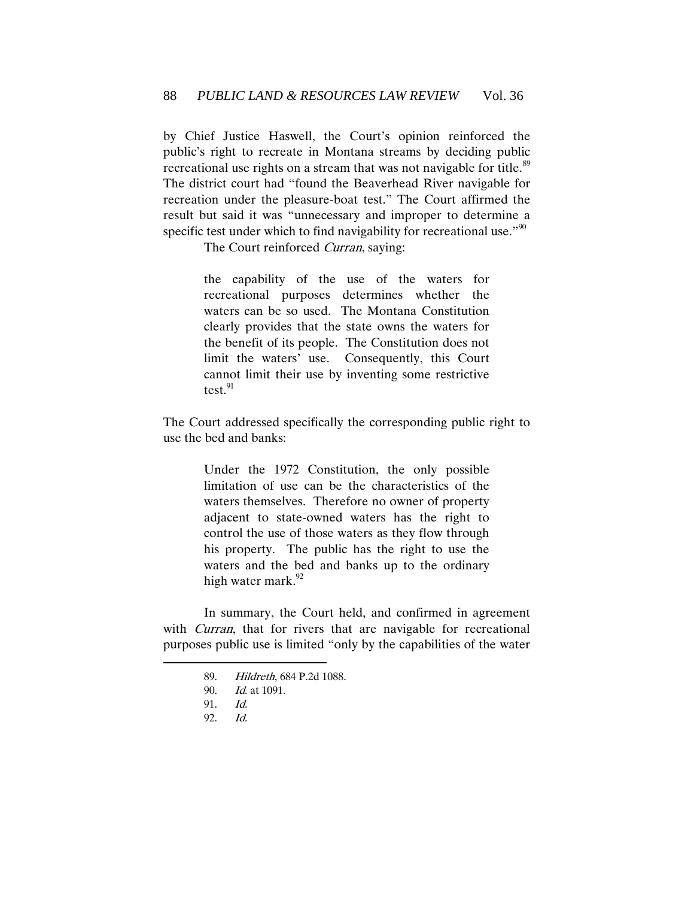by Chief Justice Haswell, the Court's opinion reinforced the public's right to recreate in Montana streams by deciding public recreational use rights on a stream that was not navigable for title.<sup>89</sup> The district court had "found the Beaverhead River navigable for recreation under the pleasure-boat test." The Court affirmed the result but said it was "unnecessary and improper to determine a specific test under which to find navigability for recreational use."<sup>90</sup>

The Court reinforced *Curran*, saying:

the capability of the use of the waters for recreational purposes determines whether the waters can be so used. The Montana Constitution clearly provides that the state owns the waters for the benefit of its people. The Constitution does not limit the waters' use. Consequently, this Court cannot limit their use by inventing some restrictive test. $91$ 

The Court addressed specifically the corresponding public right to use the bed and banks:

> Under the 1972 Constitution, the only possible limitation of use can be the characteristics of the waters themselves. Therefore no owner of property adjacent to state-owned waters has the right to control the use of those waters as they flow through his property. The public has the right to use the waters and the bed and banks up to the ordinary high water mark.<sup>92</sup>

In summary, the Court held, and confirmed in agreement with *Curran*, that for rivers that are navigable for recreational purposes public use is limited "only by the capabilities of the water

<sup>89.</sup> Hildreth, 684 P.2d 1088.

<sup>90.</sup> *Id.* at 1091.

<sup>91.</sup> Id.

<sup>92.</sup> Id.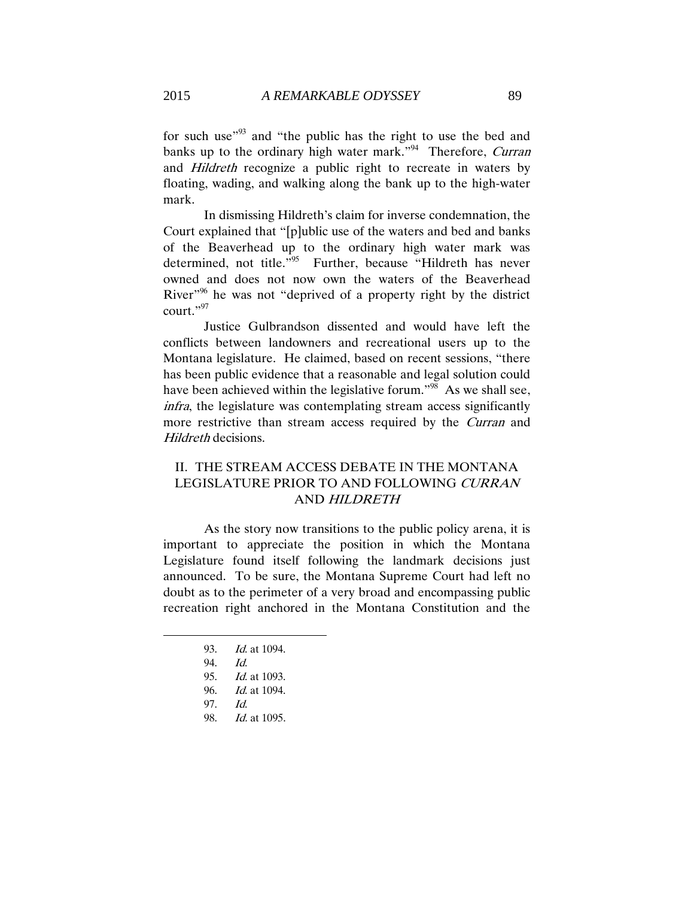for such use<sup>193</sup> and "the public has the right to use the bed and banks up to the ordinary high water mark."<sup>94</sup> Therefore, Curran and Hildreth recognize a public right to recreate in waters by floating, wading, and walking along the bank up to the high-water mark.

In dismissing Hildreth's claim for inverse condemnation, the Court explained that "[p]ublic use of the waters and bed and banks of the Beaverhead up to the ordinary high water mark was determined, not title." 95 Further, because "Hildreth has never owned and does not now own the waters of the Beaverhead River<sup>196</sup> he was not "deprived of a property right by the district court."<sup>97</sup>

Justice Gulbrandson dissented and would have left the conflicts between landowners and recreational users up to the Montana legislature. He claimed, based on recent sessions, "there has been public evidence that a reasonable and legal solution could have been achieved within the legislative forum."<sup>98</sup> As we shall see, infra, the legislature was contemplating stream access significantly more restrictive than stream access required by the *Curran* and Hildreth decisions.

# <span id="page-21-0"></span>II. THE STREAM ACCESS DEBATE IN THE MONTANA LEGISLATURE PRIOR TO AND FOLLOWING CURRAN AND HILDRETH

As the story now transitions to the public policy arena, it is important to appreciate the position in which the Montana Legislature found itself following the landmark decisions just announced. To be sure, the Montana Supreme Court had left no doubt as to the perimeter of a very broad and encompassing public recreation right anchored in the Montana Constitution and the

- 93. Id. at 1094.
- 94. Id.

- 95. Id. at 1093.
- 96. Id. at 1094.
- 97. Id.
- 98. *Id.* at 1095.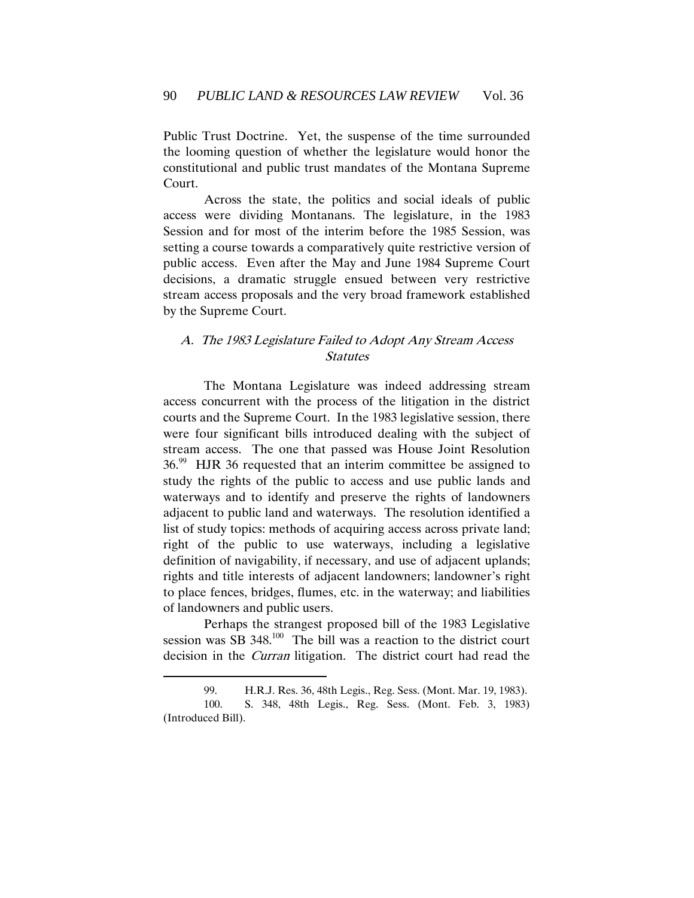Public Trust Doctrine. Yet, the suspense of the time surrounded the looming question of whether the legislature would honor the constitutional and public trust mandates of the Montana Supreme Court.

Across the state, the politics and social ideals of public access were dividing Montanans. The legislature, in the 1983 Session and for most of the interim before the 1985 Session, was setting a course towards a comparatively quite restrictive version of public access. Even after the May and June 1984 Supreme Court decisions, a dramatic struggle ensued between very restrictive stream access proposals and the very broad framework established by the Supreme Court.

# <span id="page-22-0"></span>A. The 1983 Legislature Failed to Adopt Any Stream Access Statutes

The Montana Legislature was indeed addressing stream access concurrent with the process of the litigation in the district courts and the Supreme Court. In the 1983 legislative session, there were four significant bills introduced dealing with the subject of stream access. The one that passed was House Joint Resolution  $36.99$  HJR 36 requested that an interim committee be assigned to study the rights of the public to access and use public lands and waterways and to identify and preserve the rights of landowners adjacent to public land and waterways. The resolution identified a list of study topics: methods of acquiring access across private land; right of the public to use waterways, including a legislative definition of navigability, if necessary, and use of adjacent uplands; rights and title interests of adjacent landowners; landowner's right to place fences, bridges, flumes, etc. in the waterway; and liabilities of landowners and public users.

Perhaps the strangest proposed bill of the 1983 Legislative session was SB  $348$ <sup>100</sup>. The bill was a reaction to the district court decision in the Curran litigation. The district court had read the

<sup>99.</sup> H.R.J. Res. 36, 48th Legis., Reg. Sess. (Mont. Mar. 19, 1983). 100. S. 348, 48th Legis., Reg. Sess. (Mont. Feb. 3, 1983) (Introduced Bill).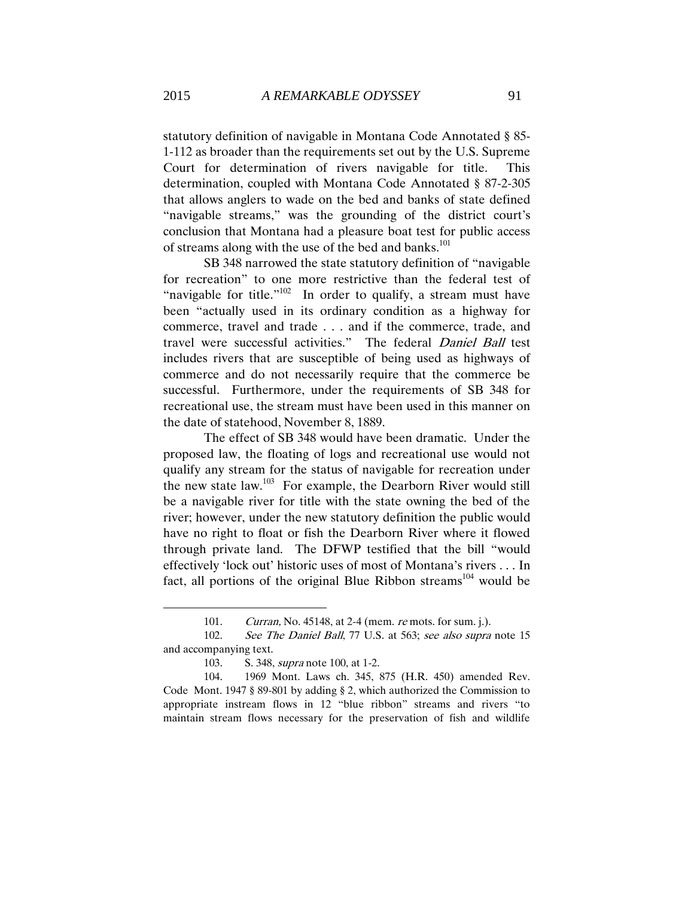statutory definition of navigable in Montana Code Annotated § 85- 1-112 as broader than the requirements set out by the U.S. Supreme Court for determination of rivers navigable for title. This determination, coupled with Montana Code Annotated § 87-2-305 that allows anglers to wade on the bed and banks of state defined "navigable streams," was the grounding of the district court's conclusion that Montana had a pleasure boat test for public access of streams along with the use of the bed and banks.<sup>101</sup>

SB 348 narrowed the state statutory definition of "navigable for recreation" to one more restrictive than the federal test of "navigable for title."<sup>102</sup> In order to qualify, a stream must have been "actually used in its ordinary condition as a highway for commerce, travel and trade . . . and if the commerce, trade, and travel were successful activities." The federal Daniel Ball test includes rivers that are susceptible of being used as highways of commerce and do not necessarily require that the commerce be successful. Furthermore, under the requirements of SB 348 for recreational use, the stream must have been used in this manner on the date of statehood, November 8, 1889.

The effect of SB 348 would have been dramatic. Under the proposed law, the floating of logs and recreational use would not qualify any stream for the status of navigable for recreation under the new state law.<sup>103</sup> For example, the Dearborn River would still be a navigable river for title with the state owning the bed of the river; however, under the new statutory definition the public would have no right to float or fish the Dearborn River where it flowed through private land. The DFWP testified that the bill "would effectively 'lock out' historic uses of most of Montana's rivers . . . In fact, all portions of the original Blue Ribbon streams<sup>104</sup> would be

<sup>101.</sup> Curran, No. 45148, at 2-4 (mem. re mots. for sum. j.).

<sup>102.</sup> See The Daniel Ball, 77 U.S. at 563; see also supra note 15 and accompanying text.

<sup>103.</sup> S. 348, *supra* note 100, at 1-2.

<sup>104.</sup> 1969 Mont. Laws ch. 345, 875 (H.R. 450) amended Rev. Code Mont. 1947 § 89-801 by adding § 2, which authorized the Commission to appropriate instream flows in 12 "blue ribbon" streams and rivers "to maintain stream flows necessary for the preservation of fish and wildlife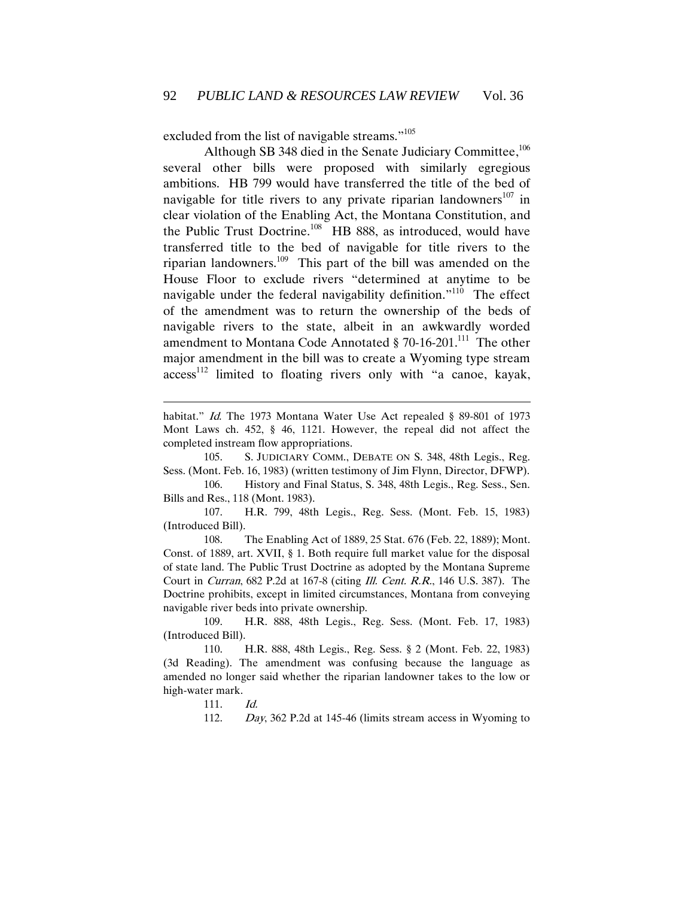excluded from the list of navigable streams."<sup>105</sup>

Although SB 348 died in the Senate Judiciary Committee,<sup>106</sup> several other bills were proposed with similarly egregious ambitions. HB 799 would have transferred the title of the bed of navigable for title rivers to any private riparian landowners<sup>107</sup> in clear violation of the Enabling Act, the Montana Constitution, and the Public Trust Doctrine.<sup>108</sup> HB 888, as introduced, would have transferred title to the bed of navigable for title rivers to the riparian landowners.<sup>109</sup> This part of the bill was amended on the House Floor to exclude rivers "determined at anytime to be navigable under the federal navigability definition."<sup>110</sup> The effect of the amendment was to return the ownership of the beds of navigable rivers to the state, albeit in an awkwardly worded amendment to Montana Code Annotated § 70-16-201.<sup>111</sup> The other major amendment in the bill was to create a Wyoming type stream access<sup>112</sup> limited to floating rivers only with "a canoe, kayak,

habitat." Id. The 1973 Montana Water Use Act repealed § 89-801 of 1973 Mont Laws ch. 452, § 46, 1121. However, the repeal did not affect the completed instream flow appropriations.

105. S. JUDICIARY COMM., DEBATE ON S. 348, 48th Legis., Reg. Sess. (Mont. Feb. 16, 1983) (written testimony of Jim Flynn, Director, DFWP).

106. History and Final Status, S. 348, 48th Legis., Reg. Sess., Sen. Bills and Res., 118 (Mont. 1983).

107. H.R. 799, 48th Legis., Reg. Sess. (Mont. Feb. 15, 1983) (Introduced Bill).

108. The Enabling Act of 1889, 25 Stat. 676 (Feb. 22, 1889); Mont. Const. of 1889, art. XVII, § 1. Both require full market value for the disposal of state land. The Public Trust Doctrine as adopted by the Montana Supreme Court in Curran, 682 P.2d at 167-8 (citing Ill. Cent. R.R., 146 U.S. 387). The Doctrine prohibits, except in limited circumstances, Montana from conveying navigable river beds into private ownership.

109. H.R. 888, 48th Legis., Reg. Sess. (Mont. Feb. 17, 1983) (Introduced Bill).

110. H.R. 888, 48th Legis., Reg. Sess. § 2 (Mont. Feb. 22, 1983) (3d Reading). The amendment was confusing because the language as amended no longer said whether the riparian landowner takes to the low or high-water mark.

111. Id.

 $\overline{a}$ 

112. Day, 362 P.2d at 145-46 (limits stream access in Wyoming to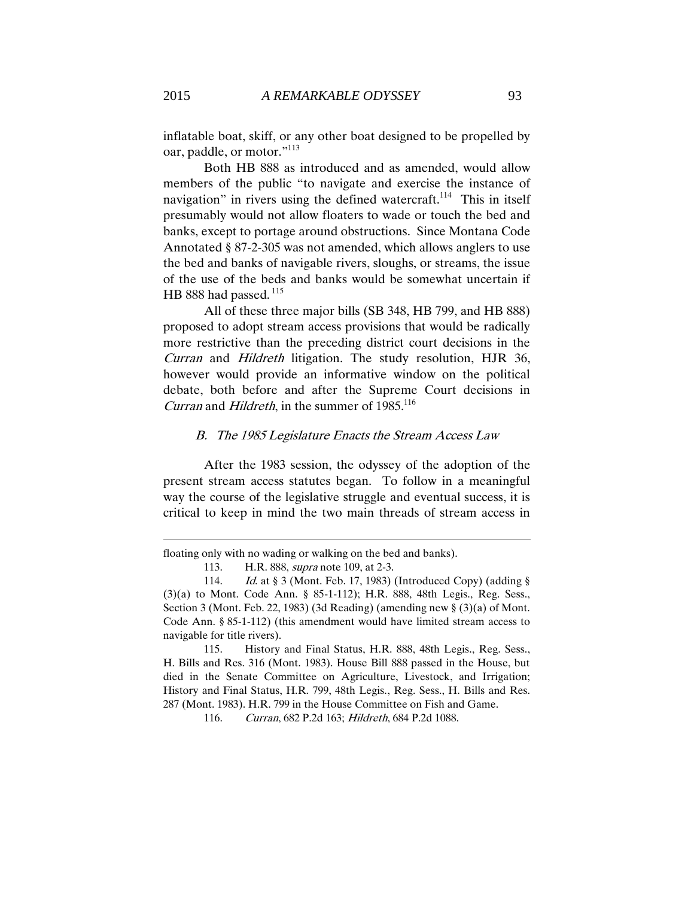inflatable boat, skiff, or any other boat designed to be propelled by oar, paddle, or motor."<sup>113</sup>

Both HB 888 as introduced and as amended, would allow members of the public "to navigate and exercise the instance of navigation" in rivers using the defined watercraft.<sup>114</sup> This in itself presumably would not allow floaters to wade or touch the bed and banks, except to portage around obstructions. Since Montana Code Annotated § 87-2-305 was not amended, which allows anglers to use the bed and banks of navigable rivers, sloughs, or streams, the issue of the use of the beds and banks would be somewhat uncertain if HB 888 had passed.<sup>115</sup>

All of these three major bills (SB 348, HB 799, and HB 888) proposed to adopt stream access provisions that would be radically more restrictive than the preceding district court decisions in the Curran and Hildreth litigation. The study resolution, HJR 36, however would provide an informative window on the political debate, both before and after the Supreme Court decisions in Curran and Hildreth, in the summer of  $1985$ <sup>116</sup>

#### <span id="page-25-0"></span>B. The 1985 Legislature Enacts the Stream Access Law

After the 1983 session, the odyssey of the adoption of the present stream access statutes began. To follow in a meaningful way the course of the legislative struggle and eventual success, it is critical to keep in mind the two main threads of stream access in

floating only with no wading or walking on the bed and banks).

<sup>113.</sup> H.R. 888, *supra* note 109, at 2-3.

<sup>114.</sup> Id. at § 3 (Mont. Feb. 17, 1983) (Introduced Copy) (adding § (3)(a) to Mont. Code Ann. § 85-1-112); H.R. 888, 48th Legis., Reg. Sess., Section 3 (Mont. Feb. 22, 1983) (3d Reading) (amending new § (3)(a) of Mont. Code Ann. § 85-1-112) (this amendment would have limited stream access to navigable for title rivers).

<sup>115.</sup> History and Final Status, H.R. 888, 48th Legis., Reg. Sess., H. Bills and Res. 316 (Mont. 1983). House Bill 888 passed in the House, but died in the Senate Committee on Agriculture, Livestock, and Irrigation; History and Final Status, H.R. 799, 48th Legis., Reg. Sess., H. Bills and Res. 287 (Mont. 1983). H.R. 799 in the House Committee on Fish and Game.

<sup>116.</sup> Curran, 682 P.2d 163; Hildreth, 684 P.2d 1088.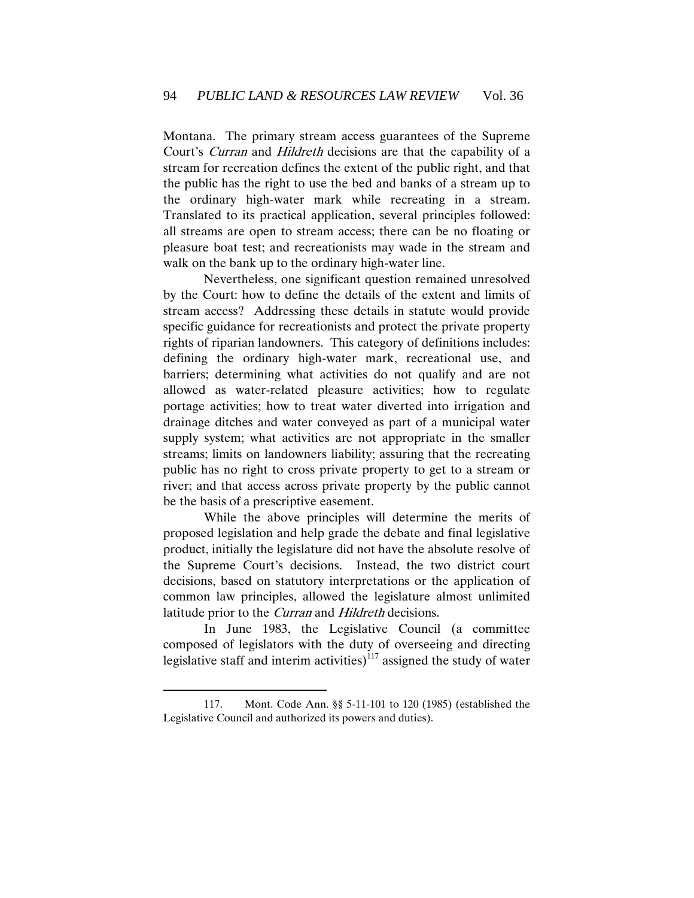Montana. The primary stream access guarantees of the Supreme Court's Curran and Hildreth decisions are that the capability of a stream for recreation defines the extent of the public right, and that the public has the right to use the bed and banks of a stream up to the ordinary high-water mark while recreating in a stream. Translated to its practical application, several principles followed: all streams are open to stream access; there can be no floating or pleasure boat test; and recreationists may wade in the stream and walk on the bank up to the ordinary high-water line.

Nevertheless, one significant question remained unresolved by the Court: how to define the details of the extent and limits of stream access? Addressing these details in statute would provide specific guidance for recreationists and protect the private property rights of riparian landowners. This category of definitions includes: defining the ordinary high-water mark, recreational use, and barriers; determining what activities do not qualify and are not allowed as water-related pleasure activities; how to regulate portage activities; how to treat water diverted into irrigation and drainage ditches and water conveyed as part of a municipal water supply system; what activities are not appropriate in the smaller streams; limits on landowners liability; assuring that the recreating public has no right to cross private property to get to a stream or river; and that access across private property by the public cannot be the basis of a prescriptive easement.

While the above principles will determine the merits of proposed legislation and help grade the debate and final legislative product, initially the legislature did not have the absolute resolve of the Supreme Court's decisions. Instead, the two district court decisions, based on statutory interpretations or the application of common law principles, allowed the legislature almost unlimited latitude prior to the *Curran* and *Hildreth* decisions.

In June 1983, the Legislative Council (a committee composed of legislators with the duty of overseeing and directing legislative staff and interim activities) $117$  assigned the study of water

<sup>117.</sup> Mont. Code Ann. §§ 5-11-101 to 120 (1985) (established the Legislative Council and authorized its powers and duties).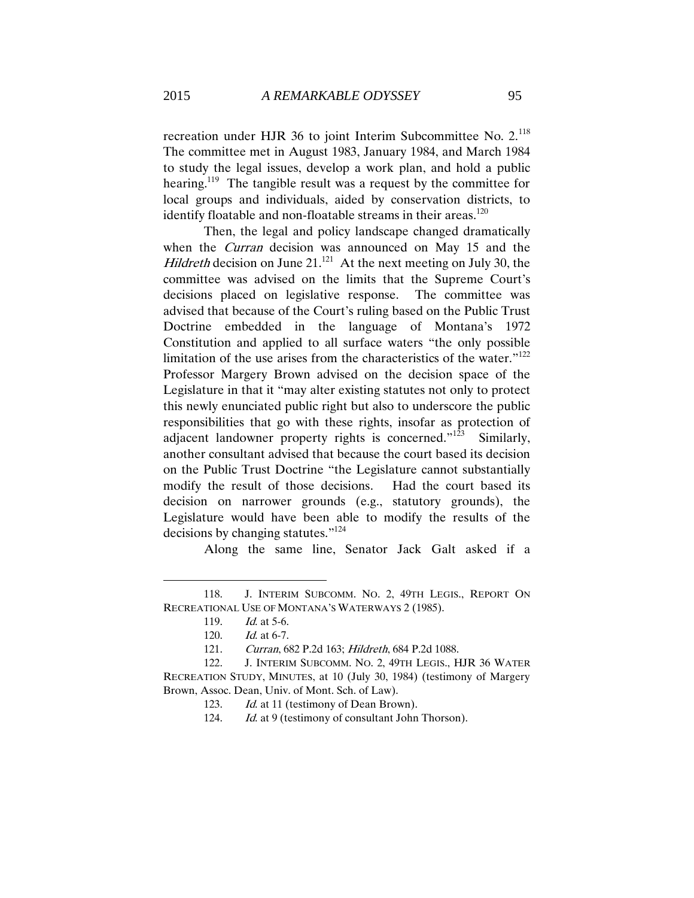recreation under HJR 36 to joint Interim Subcommittee No. 2.<sup>118</sup> The committee met in August 1983, January 1984, and March 1984 to study the legal issues, develop a work plan, and hold a public hearing.<sup>119</sup> The tangible result was a request by the committee for local groups and individuals, aided by conservation districts, to identify floatable and non-floatable streams in their areas.<sup>120</sup>

Then, the legal and policy landscape changed dramatically when the *Curran* decision was announced on May 15 and the *Hildreth* decision on June 21.<sup>121</sup> At the next meeting on July 30, the committee was advised on the limits that the Supreme Court's decisions placed on legislative response. The committee was advised that because of the Court's ruling based on the Public Trust Doctrine embedded in the language of Montana's 1972 Constitution and applied to all surface waters "the only possible limitation of the use arises from the characteristics of the water."<sup>122</sup> Professor Margery Brown advised on the decision space of the Legislature in that it "may alter existing statutes not only to protect this newly enunciated public right but also to underscore the public responsibilities that go with these rights, insofar as protection of adjacent landowner property rights is concerned." $123$  Similarly, another consultant advised that because the court based its decision on the Public Trust Doctrine "the Legislature cannot substantially modify the result of those decisions. Had the court based its decision on narrower grounds (e.g., statutory grounds), the Legislature would have been able to modify the results of the decisions by changing statutes." 124

Along the same line, Senator Jack Galt asked if a

<sup>118.</sup> J. INTERIM SUBCOMM. NO. 2, 49TH LEGIS., REPORT ON RECREATIONAL USE OF MONTANA'S WATERWAYS 2 (1985).

<sup>119.</sup> *Id.* at 5-6.

<sup>120.</sup> Id. at 6-7.

<sup>121.</sup> Curran, 682 P.2d 163; Hildreth, 684 P.2d 1088.

<sup>122.</sup> J. INTERIM SUBCOMM. NO. 2, 49TH LEGIS., HJR 36 WATER RECREATION STUDY, MINUTES, at 10 (July 30, 1984) (testimony of Margery Brown, Assoc. Dean, Univ. of Mont. Sch. of Law).

<sup>123.</sup> Id. at 11 (testimony of Dean Brown).

<sup>124.</sup> Id. at 9 (testimony of consultant John Thorson).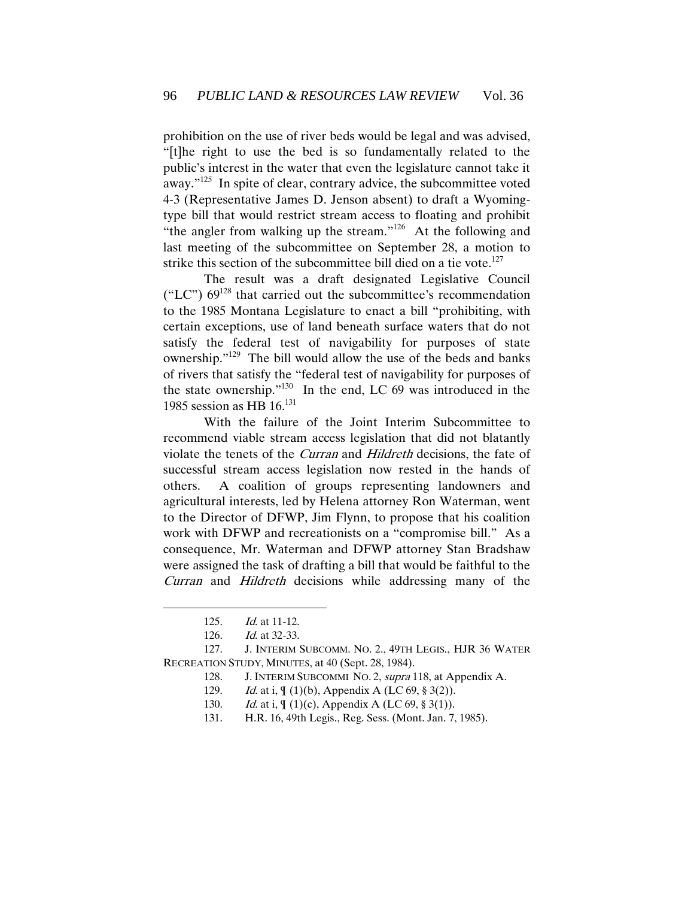prohibition on the use of river beds would be legal and was advised, "[t]he right to use the bed is so fundamentally related to the public's interest in the water that even the legislature cannot take it away."<sup>125</sup> In spite of clear, contrary advice, the subcommittee voted 4-3 (Representative James D. Jenson absent) to draft a Wyomingtype bill that would restrict stream access to floating and prohibit "the angler from walking up the stream."<sup>126</sup> At the following and last meeting of the subcommittee on September 28, a motion to strike this section of the subcommittee bill died on a tie vote.<sup>127</sup>

The result was a draft designated Legislative Council ("LC")  $69^{128}$  that carried out the subcommittee's recommendation to the 1985 Montana Legislature to enact a bill "prohibiting, with certain exceptions, use of land beneath surface waters that do not satisfy the federal test of navigability for purposes of state ownership."<sup>129</sup> The bill would allow the use of the beds and banks of rivers that satisfy the "federal test of navigability for purposes of the state ownership."<sup>130</sup> In the end, LC 69 was introduced in the 1985 session as HB  $16^{131}$ 

With the failure of the Joint Interim Subcommittee to recommend viable stream access legislation that did not blatantly violate the tenets of the Curran and Hildreth decisions, the fate of successful stream access legislation now rested in the hands of others. A coalition of groups representing landowners and agricultural interests, led by Helena attorney Ron Waterman, went to the Director of DFWP, Jim Flynn, to propose that his coalition work with DFWP and recreationists on a "compromise bill." As a consequence, Mr. Waterman and DFWP attorney Stan Bradshaw were assigned the task of drafting a bill that would be faithful to the Curran and Hildreth decisions while addressing many of the

<sup>125.</sup> Id. at 11-12.

<sup>126.</sup> *Id.* at 32-33.

<sup>127.</sup> J. INTERIM SUBCOMM. NO. 2., 49TH LEGIS., HJR 36 WATER RECREATION STUDY, MINUTES, at 40 (Sept. 28, 1984).

<sup>128.</sup> J. INTERIM SUBCOMMI NO. 2, supra 118, at Appendix A.

<sup>129.</sup> Id. at i,  $\int$  (1)(b), Appendix A (LC 69, § 3(2)).

<sup>130.</sup> *Id.* at i,  $\int (1)(c)$ , Appendix A (LC 69, § 3(1)).

<sup>131.</sup> H.R. 16, 49th Legis., Reg. Sess. (Mont. Jan. 7, 1985).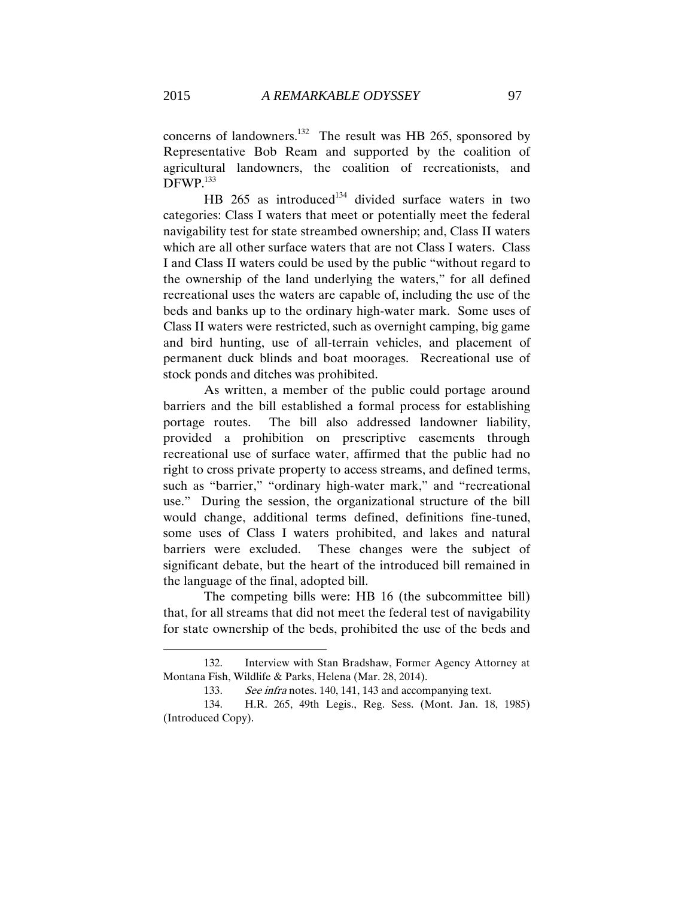concerns of landowners.<sup>132</sup> The result was HB 265, sponsored by Representative Bob Ream and supported by the coalition of agricultural landowners, the coalition of recreationists, and DFWP.<sup>133</sup>

HB 265 as introduced<sup>134</sup> divided surface waters in two categories: Class I waters that meet or potentially meet the federal navigability test for state streambed ownership; and, Class II waters which are all other surface waters that are not Class I waters. Class I and Class II waters could be used by the public "without regard to the ownership of the land underlying the waters," for all defined recreational uses the waters are capable of, including the use of the beds and banks up to the ordinary high-water mark. Some uses of Class II waters were restricted, such as overnight camping, big game and bird hunting, use of all-terrain vehicles, and placement of permanent duck blinds and boat moorages. Recreational use of stock ponds and ditches was prohibited.

As written, a member of the public could portage around barriers and the bill established a formal process for establishing portage routes. The bill also addressed landowner liability, provided a prohibition on prescriptive easements through recreational use of surface water, affirmed that the public had no right to cross private property to access streams, and defined terms, such as "barrier," "ordinary high-water mark," and "recreational use." During the session, the organizational structure of the bill would change, additional terms defined, definitions fine-tuned, some uses of Class I waters prohibited, and lakes and natural barriers were excluded. These changes were the subject of significant debate, but the heart of the introduced bill remained in the language of the final, adopted bill.

The competing bills were: HB 16 (the subcommittee bill) that, for all streams that did not meet the federal test of navigability for state ownership of the beds, prohibited the use of the beds and

<sup>132.</sup> Interview with Stan Bradshaw, Former Agency Attorney at Montana Fish, Wildlife & Parks, Helena (Mar. 28, 2014).

<sup>133.</sup> See infra notes. 140, 141, 143 and accompanying text.

<sup>134.</sup> H.R. 265, 49th Legis., Reg. Sess. (Mont. Jan. 18, 1985) (Introduced Copy).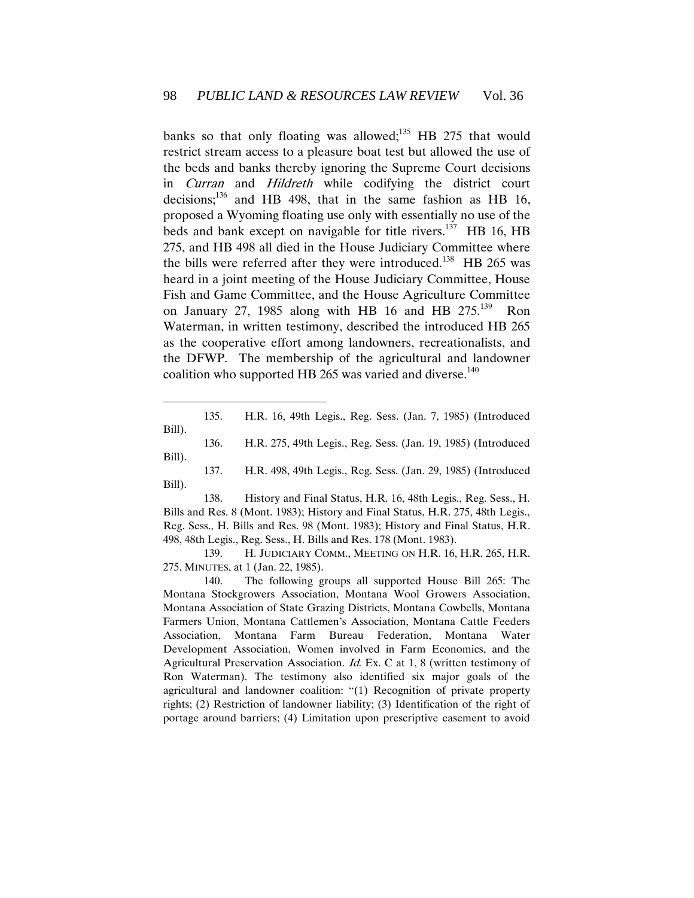banks so that only floating was allowed; $^{135}$  HB 275 that would restrict stream access to a pleasure boat test but allowed the use of the beds and banks thereby ignoring the Supreme Court decisions in Curran and Hildreth while codifying the district court decisions; $^{136}$  and HB 498, that in the same fashion as HB 16, proposed a Wyoming floating use only with essentially no use of the beds and bank except on navigable for title rivers.<sup>137</sup> HB 16, HB 275, and HB 498 all died in the House Judiciary Committee where the bills were referred after they were introduced.<sup>138</sup> HB 265 was heard in a joint meeting of the House Judiciary Committee, House Fish and Game Committee, and the House Agriculture Committee on January 27, 1985 along with HB 16 and HB  $275.^{139}$  Ron Waterman, in written testimony, described the introduced HB 265 as the cooperative effort among landowners, recreationalists, and the DFWP. The membership of the agricultural and landowner coalition who supported HB 265 was varied and diverse.<sup>140</sup>

135. H.R. 16, 49th Legis., Reg. Sess. (Jan. 7, 1985) (Introduced Bill).

 $\overline{a}$ 

136. H.R. 275, 49th Legis., Reg. Sess. (Jan. 19, 1985) (Introduced Bill).

138. History and Final Status, H.R. 16, 48th Legis., Reg. Sess., H. Bills and Res. 8 (Mont. 1983); History and Final Status, H.R. 275, 48th Legis., Reg. Sess., H. Bills and Res. 98 (Mont. 1983); History and Final Status, H.R. 498, 48th Legis., Reg. Sess., H. Bills and Res. 178 (Mont. 1983).

139. H. JUDICIARY COMM., MEETING ON H.R. 16, H.R. 265, H.R. 275, MINUTES, at 1 (Jan. 22, 1985).

140. The following groups all supported House Bill 265: The Montana Stockgrowers Association, Montana Wool Growers Association, Montana Association of State Grazing Districts, Montana Cowbells, Montana Farmers Union, Montana Cattlemen's Association, Montana Cattle Feeders Association, Montana Farm Bureau Federation, Montana Water Development Association, Women involved in Farm Economics, and the Agricultural Preservation Association. Id. Ex. C at 1, 8 (written testimony of Ron Waterman). The testimony also identified six major goals of the agricultural and landowner coalition: "(1) Recognition of private property rights; (2) Restriction of landowner liability; (3) Identification of the right of portage around barriers; (4) Limitation upon prescriptive easement to avoid

<sup>137.</sup> H.R. 498, 49th Legis., Reg. Sess. (Jan. 29, 1985) (Introduced Bill).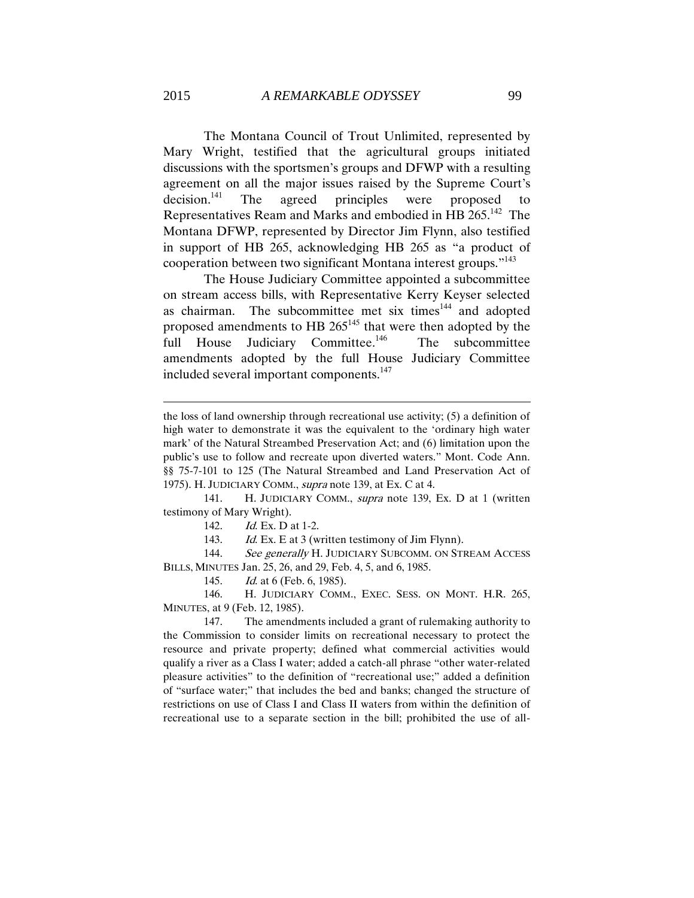The Montana Council of Trout Unlimited, represented by Mary Wright, testified that the agricultural groups initiated discussions with the sportsmen's groups and DFWP with a resulting agreement on all the major issues raised by the Supreme Court's  $decision.<sup>141</sup>$  The agreed principles were proposed to Representatives Ream and Marks and embodied in HB  $265.^{142}$  The Montana DFWP, represented by Director Jim Flynn, also testified in support of HB 265, acknowledging HB 265 as "a product of cooperation between two significant Montana interest groups."<sup>143</sup>

The House Judiciary Committee appointed a subcommittee on stream access bills, with Representative Kerry Keyser selected as chairman. The subcommittee met six times<sup>144</sup> and adopted proposed amendments to HB 265<sup>145</sup> that were then adopted by the full House Judiciary Committee.<sup>146</sup> The subcommittee amendments adopted by the full House Judiciary Committee included several important components.<sup>147</sup>

141. H. JUDICIARY COMM., supra note 139, Ex. D at 1 (written testimony of Mary Wright).

142. *Id.* Ex. D at 1-2.

143. Id. Ex. E at 3 (written testimony of Jim Flynn).

144. See generally H. JUDICIARY SUBCOMM. ON STREAM ACCESS BILLS, MINUTES Jan. 25, 26, and 29, Feb. 4, 5, and 6, 1985.

145. *Id.* at 6 (Feb. 6, 1985).

146. H. JUDICIARY COMM., EXEC. SESS. ON MONT. H.R. 265, MINUTES, at 9 (Feb. 12, 1985).

147. The amendments included a grant of rulemaking authority to the Commission to consider limits on recreational necessary to protect the resource and private property; defined what commercial activities would qualify a river as a Class I water; added a catch-all phrase "other water-related pleasure activities" to the definition of "recreational use;" added a definition of "surface water;" that includes the bed and banks; changed the structure of restrictions on use of Class I and Class II waters from within the definition of recreational use to a separate section in the bill; prohibited the use of all-

the loss of land ownership through recreational use activity; (5) a definition of high water to demonstrate it was the equivalent to the 'ordinary high water mark' of the Natural Streambed Preservation Act; and (6) limitation upon the public's use to follow and recreate upon diverted waters." Mont. Code Ann. §§ 75-7-101 to 125 (The Natural Streambed and Land Preservation Act of 1975). H. JUDICIARY COMM., supra note 139, at Ex. C at 4.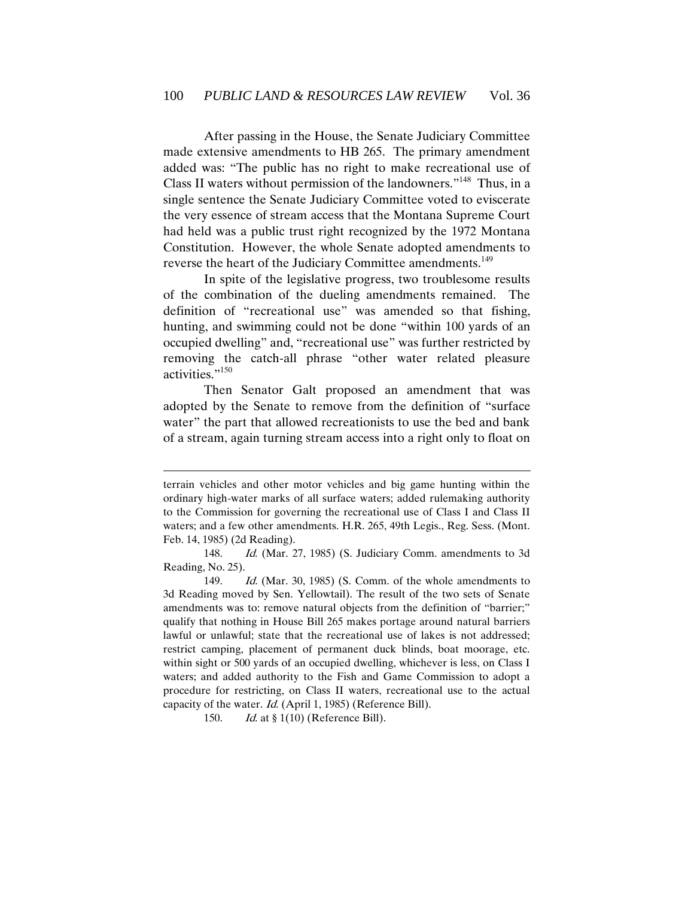After passing in the House, the Senate Judiciary Committee made extensive amendments to HB 265. The primary amendment added was: "The public has no right to make recreational use of Class II waters without permission of the landowners."<sup>148</sup> Thus, in a single sentence the Senate Judiciary Committee voted to eviscerate the very essence of stream access that the Montana Supreme Court had held was a public trust right recognized by the 1972 Montana Constitution. However, the whole Senate adopted amendments to reverse the heart of the Judiciary Committee amendments.<sup>149</sup>

In spite of the legislative progress, two troublesome results of the combination of the dueling amendments remained. The definition of "recreational use" was amended so that fishing, hunting, and swimming could not be done "within 100 yards of an occupied dwelling" and, "recreational use" was further restricted by removing the catch-all phrase "other water related pleasure activities."<sup>150</sup>

Then Senator Galt proposed an amendment that was adopted by the Senate to remove from the definition of "surface water" the part that allowed recreationists to use the bed and bank of a stream, again turning stream access into a right only to float on

150. *Id.* at § 1(10) (Reference Bill).

terrain vehicles and other motor vehicles and big game hunting within the ordinary high-water marks of all surface waters; added rulemaking authority to the Commission for governing the recreational use of Class I and Class II waters; and a few other amendments. H.R. 265, 49th Legis., Reg. Sess. (Mont. Feb. 14, 1985) (2d Reading).

<sup>148.</sup> Id. (Mar. 27, 1985) (S. Judiciary Comm. amendments to 3d Reading, No. 25).

<sup>149.</sup> Id. (Mar. 30, 1985) (S. Comm. of the whole amendments to 3d Reading moved by Sen. Yellowtail). The result of the two sets of Senate amendments was to: remove natural objects from the definition of "barrier;" qualify that nothing in House Bill 265 makes portage around natural barriers lawful or unlawful; state that the recreational use of lakes is not addressed; restrict camping, placement of permanent duck blinds, boat moorage, etc. within sight or 500 yards of an occupied dwelling, whichever is less, on Class I waters; and added authority to the Fish and Game Commission to adopt a procedure for restricting, on Class II waters, recreational use to the actual capacity of the water. Id. (April 1, 1985) (Reference Bill).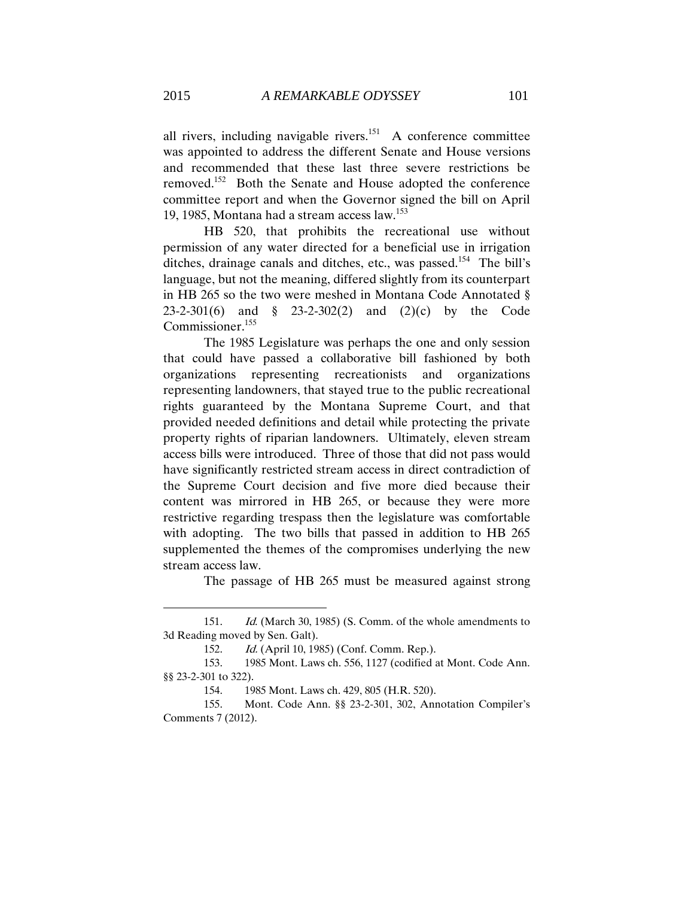all rivers, including navigable rivers. $151$  A conference committee was appointed to address the different Senate and House versions and recommended that these last three severe restrictions be removed.<sup>152</sup> Both the Senate and House adopted the conference committee report and when the Governor signed the bill on April 19, 1985, Montana had a stream access law.<sup>153</sup>

HB 520, that prohibits the recreational use without permission of any water directed for a beneficial use in irrigation ditches, drainage canals and ditches, etc., was passed.<sup>154</sup> The bill's language, but not the meaning, differed slightly from its counterpart in HB 265 so the two were meshed in Montana Code Annotated § 23-2-301(6) and § 23-2-302(2) and (2)(c) by the Code Commissioner.<sup>155</sup>

The 1985 Legislature was perhaps the one and only session that could have passed a collaborative bill fashioned by both organizations representing recreationists and organizations representing landowners, that stayed true to the public recreational rights guaranteed by the Montana Supreme Court, and that provided needed definitions and detail while protecting the private property rights of riparian landowners. Ultimately, eleven stream access bills were introduced. Three of those that did not pass would have significantly restricted stream access in direct contradiction of the Supreme Court decision and five more died because their content was mirrored in HB 265, or because they were more restrictive regarding trespass then the legislature was comfortable with adopting. The two bills that passed in addition to HB 265 supplemented the themes of the compromises underlying the new stream access law.

The passage of HB 265 must be measured against strong

<sup>151.</sup> *Id.* (March 30, 1985) (S. Comm. of the whole amendments to 3d Reading moved by Sen. Galt).

<sup>152.</sup> Id. (April 10, 1985) (Conf. Comm. Rep.).

<sup>153.</sup> 1985 Mont. Laws ch. 556, 1127 (codified at Mont. Code Ann. §§ 23-2-301 to 322).

<sup>154.</sup> 1985 Mont. Laws ch. 429, 805 (H.R. 520).

<sup>155.</sup> Mont. Code Ann. §§ 23-2-301, 302, Annotation Compiler's Comments 7 (2012).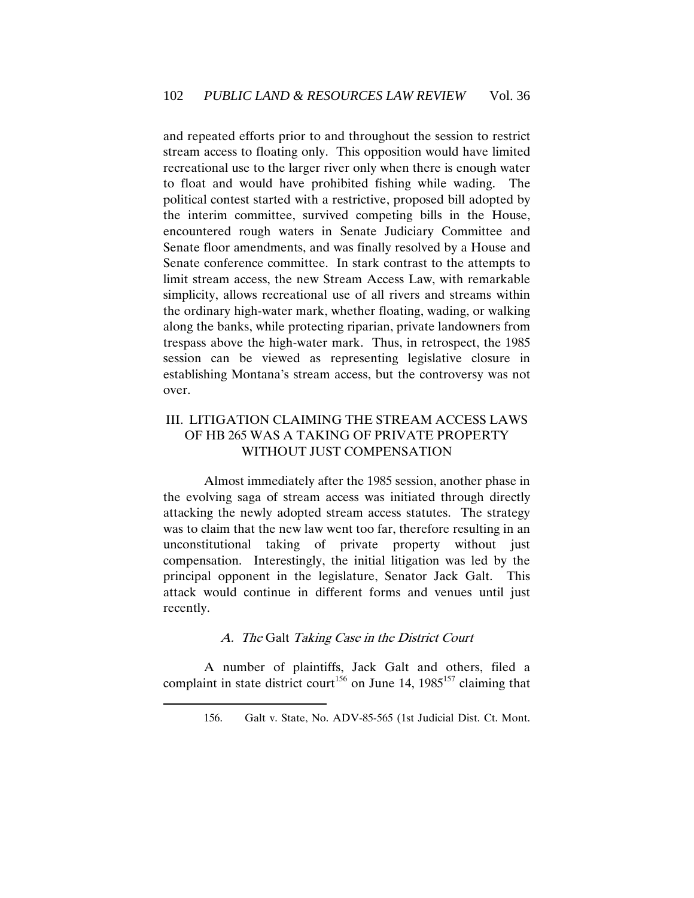and repeated efforts prior to and throughout the session to restrict stream access to floating only. This opposition would have limited recreational use to the larger river only when there is enough water to float and would have prohibited fishing while wading. The political contest started with a restrictive, proposed bill adopted by the interim committee, survived competing bills in the House, encountered rough waters in Senate Judiciary Committee and Senate floor amendments, and was finally resolved by a House and Senate conference committee. In stark contrast to the attempts to limit stream access, the new Stream Access Law, with remarkable simplicity, allows recreational use of all rivers and streams within the ordinary high-water mark, whether floating, wading, or walking along the banks, while protecting riparian, private landowners from trespass above the high-water mark. Thus, in retrospect, the 1985 session can be viewed as representing legislative closure in establishing Montana's stream access, but the controversy was not over.

# <span id="page-34-0"></span>III. LITIGATION CLAIMING THE STREAM ACCESS LAWS OF HB 265 WAS A TAKING OF PRIVATE PROPERTY WITHOUT JUST COMPENSATION

Almost immediately after the 1985 session, another phase in the evolving saga of stream access was initiated through directly attacking the newly adopted stream access statutes. The strategy was to claim that the new law went too far, therefore resulting in an unconstitutional taking of private property without just compensation. Interestingly, the initial litigation was led by the principal opponent in the legislature, Senator Jack Galt. This attack would continue in different forms and venues until just recently.

### A. The Galt Taking Case in the District Court

<span id="page-34-1"></span>A number of plaintiffs, Jack Galt and others, filed a complaint in state district court<sup>156</sup> on June 14, 1985<sup>157</sup> claiming that

<sup>156.</sup> Galt v. State, No. ADV-85-565 (1st Judicial Dist. Ct. Mont.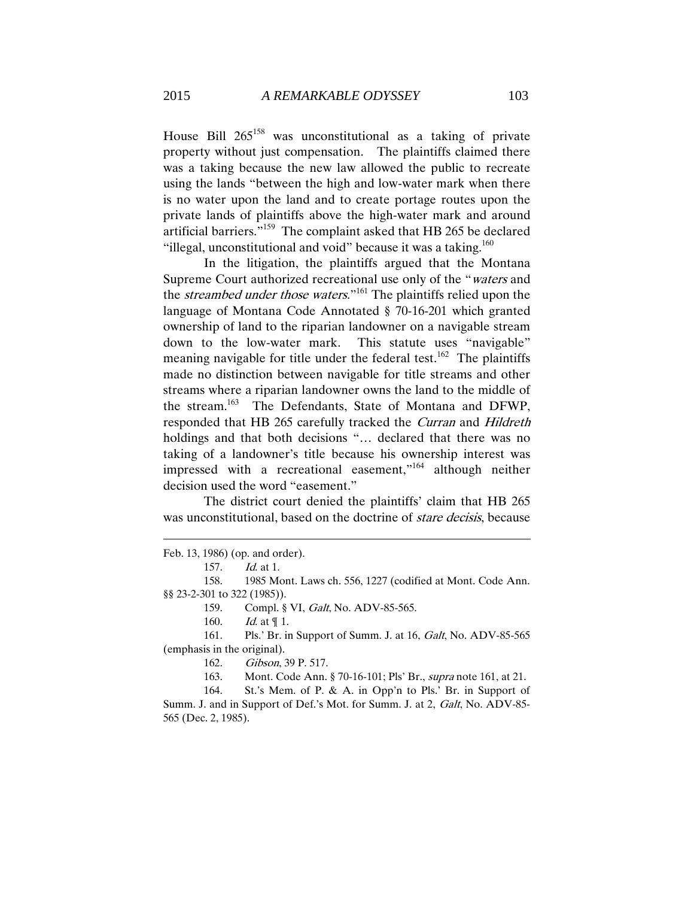House Bill  $265^{158}$  was unconstitutional as a taking of private property without just compensation. The plaintiffs claimed there was a taking because the new law allowed the public to recreate using the lands "between the high and low-water mark when there is no water upon the land and to create portage routes upon the private lands of plaintiffs above the high-water mark and around artificial barriers." 159 The complaint asked that HB 265 be declared "illegal, unconstitutional and void" because it was a taking. $160$ 

 In the litigation, the plaintiffs argued that the Montana Supreme Court authorized recreational use only of the "waters and the *streambed under those waters*."<sup>161</sup> The plaintiffs relied upon the language of Montana Code Annotated § 70-16-201 which granted ownership of land to the riparian landowner on a navigable stream down to the low-water mark. This statute uses "navigable" meaning navigable for title under the federal test.<sup>162</sup> The plaintiffs made no distinction between navigable for title streams and other streams where a riparian landowner owns the land to the middle of the stream.<sup>163</sup> The Defendants, State of Montana and DFWP, responded that HB 265 carefully tracked the Curran and Hildreth holdings and that both decisions "... declared that there was no taking of a landowner's title because his ownership interest was impressed with a recreational easement,"<sup>164</sup> although neither decision used the word "easement."

The district court denied the plaintiffs' claim that HB 265 was unconstitutional, based on the doctrine of *stare decisis*, because

Feb. 13, 1986) (op. and order).

 $\overline{a}$ 

158. 1985 Mont. Laws ch. 556, 1227 (codified at Mont. Code Ann. §§ 23-2-301 to 322 (1985)).

159. Compl. § VI, *Galt*, No. ADV-85-565.

161. Pls.' Br. in Support of Summ. J. at 16, Galt, No. ADV-85-565 (emphasis in the original).

162. Gibson, 39 P. 517.

163. Mont. Code Ann. § 70-16-101; Pls' Br., supra note 161, at 21.

164. St.'s Mem. of P. & A. in Opp'n to Pls.' Br. in Support of Summ. J. and in Support of Def.'s Mot. for Summ. J. at 2, Galt, No. ADV-85- 565 (Dec. 2, 1985).

<sup>157.</sup> Id. at 1.

<sup>160.</sup> *Id.* at  $\P$  1.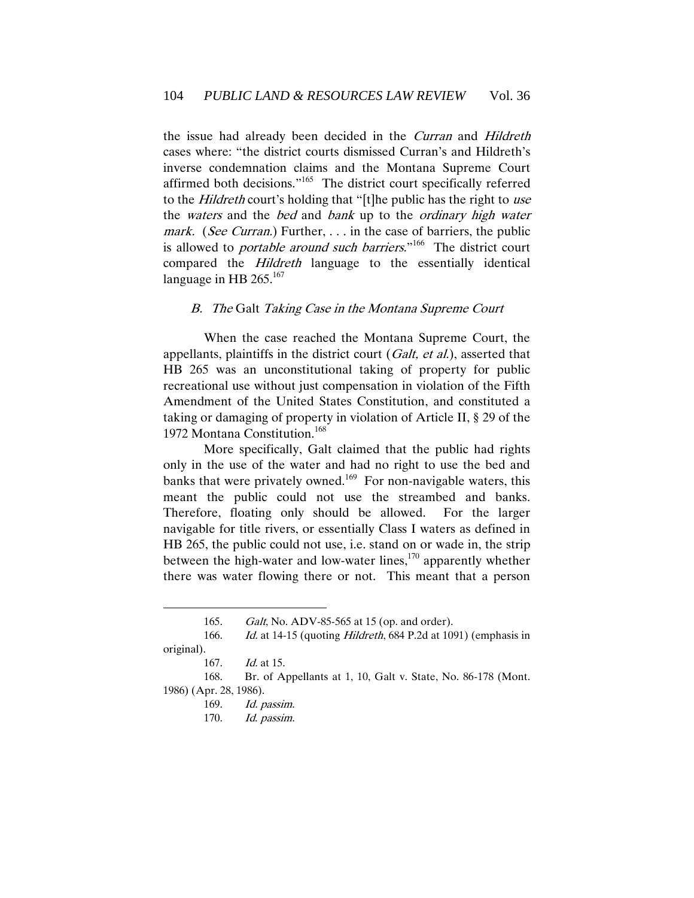the issue had already been decided in the *Curran* and *Hildreth* cases where: "the district courts dismissed Curran's and Hildreth's inverse condemnation claims and the Montana Supreme Court affirmed both decisions."<sup>165</sup> The district court specifically referred to the Hildreth court's holding that "[t]he public has the right to use the *waters* and the *bed* and *bank* up to the *ordinary high water* mark. (See Curran.) Further, ... in the case of barriers, the public is allowed to *portable around such barriers*."<sup>166</sup> The district court compared the Hildreth language to the essentially identical language in HB 265.<sup>167</sup>

### B. The Galt Taking Case in the Montana Supreme Court

When the case reached the Montana Supreme Court, the appellants, plaintiffs in the district court  $(Galt, et al.)$ , asserted that HB 265 was an unconstitutional taking of property for public recreational use without just compensation in violation of the Fifth Amendment of the United States Constitution, and constituted a taking or damaging of property in violation of Article II, § 29 of the 1972 Montana Constitution.<sup>168</sup>

More specifically, Galt claimed that the public had rights only in the use of the water and had no right to use the bed and banks that were privately owned.<sup>169</sup> For non-navigable waters, this meant the public could not use the streambed and banks. Therefore, floating only should be allowed. For the larger navigable for title rivers, or essentially Class I waters as defined in HB 265, the public could not use, i.e. stand on or wade in, the strip between the high-water and low-water lines, $170$  apparently whether there was water flowing there or not. This meant that a person

<sup>165.</sup> Galt, No. ADV-85-565 at 15 (op. and order).

<sup>166.</sup> Id. at 14-15 (quoting *Hildreth*, 684 P.2d at 1091) (emphasis in original). 167. Id. at 15.

<sup>168.</sup> Br. of Appellants at 1, 10, Galt v. State, No. 86-178 (Mont. 1986) (Apr. 28, 1986).

<sup>169.</sup> Id. passim.

<sup>170.</sup> Id. passim.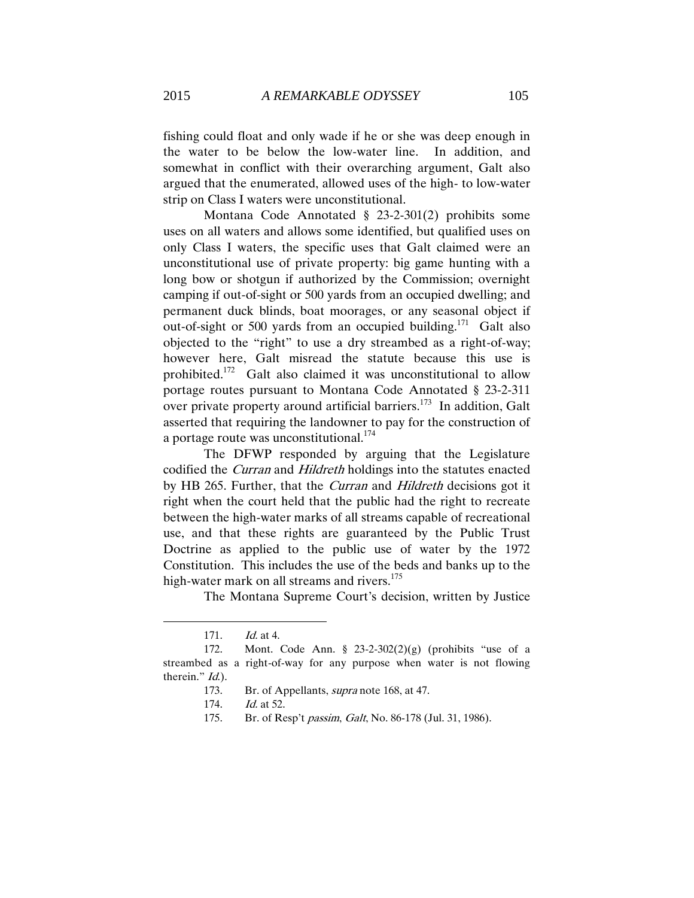fishing could float and only wade if he or she was deep enough in the water to be below the low-water line. In addition, and somewhat in conflict with their overarching argument, Galt also argued that the enumerated, allowed uses of the high- to low-water strip on Class I waters were unconstitutional.

Montana Code Annotated § 23-2-301(2) prohibits some uses on all waters and allows some identified, but qualified uses on only Class I waters, the specific uses that Galt claimed were an unconstitutional use of private property: big game hunting with a long bow or shotgun if authorized by the Commission; overnight camping if out-of-sight or 500 yards from an occupied dwelling; and permanent duck blinds, boat moorages, or any seasonal object if out-of-sight or 500 yards from an occupied building.<sup>171</sup> Galt also objected to the "right" to use a dry streambed as a right-of-way; however here, Galt misread the statute because this use is prohibited.<sup>172</sup> Galt also claimed it was unconstitutional to allow portage routes pursuant to Montana Code Annotated § 23-2-311 over private property around artificial barriers.<sup>173</sup> In addition, Galt asserted that requiring the landowner to pay for the construction of a portage route was unconstitutional.<sup>174</sup>

The DFWP responded by arguing that the Legislature codified the Curran and Hildreth holdings into the statutes enacted by HB 265. Further, that the Curran and Hildreth decisions got it right when the court held that the public had the right to recreate between the high-water marks of all streams capable of recreational use, and that these rights are guaranteed by the Public Trust Doctrine as applied to the public use of water by the 1972 Constitution. This includes the use of the beds and banks up to the high-water mark on all streams and rivers.<sup>175</sup>

The Montana Supreme Court's decision, written by Justice

<sup>171.</sup> Id. at 4.

<sup>172.</sup> Mont. Code Ann. § 23-2-302(2)(g) (prohibits "use of a streambed as a right-of-way for any purpose when water is not flowing therein." *Id.*).

<sup>173.</sup> Br. of Appellants, supra note 168, at 47.

<sup>174.</sup> Id. at 52.

<sup>175.</sup> Br. of Resp't passim, Galt, No. 86-178 (Jul. 31, 1986).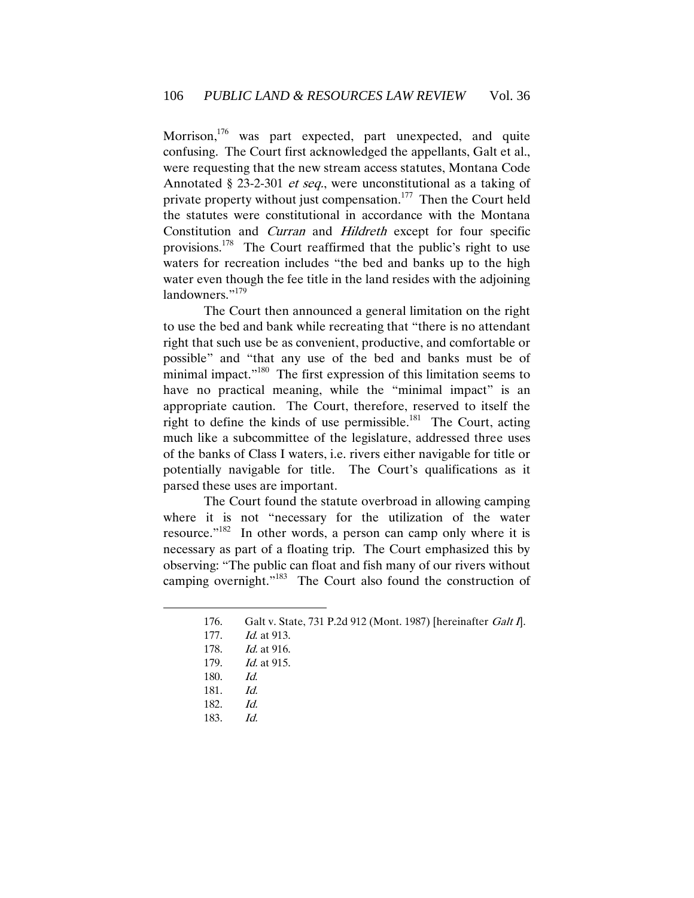Morrison,<sup>176</sup> was part expected, part unexpected, and quite confusing. The Court first acknowledged the appellants, Galt et al., were requesting that the new stream access statutes, Montana Code Annotated § 23-2-301 *et seq.*, were unconstitutional as a taking of private property without just compensation.<sup>177</sup> Then the Court held the statutes were constitutional in accordance with the Montana Constitution and Curran and Hildreth except for four specific provisions.<sup>178</sup> The Court reaffirmed that the public's right to use waters for recreation includes "the bed and banks up to the high water even though the fee title in the land resides with the adjoining landowners."<sup>179</sup>

The Court then announced a general limitation on the right to use the bed and bank while recreating that "there is no attendant right that such use be as convenient, productive, and comfortable or possible" and "that any use of the bed and banks must be of minimal impact."<sup>180</sup> The first expression of this limitation seems to have no practical meaning, while the "minimal impact" is an appropriate caution. The Court, therefore, reserved to itself the right to define the kinds of use permissible.<sup>181</sup> The Court, acting much like a subcommittee of the legislature, addressed three uses of the banks of Class I waters, i.e. rivers either navigable for title or potentially navigable for title. The Court's qualifications as it parsed these uses are important.

The Court found the statute overbroad in allowing camping where it is not "necessary for the utilization of the water resource."<sup>182</sup> In other words, a person can camp only where it is necessary as part of a floating trip. The Court emphasized this by observing: "The public can float and fish many of our rivers without camping overnight."<sup>183</sup> The Court also found the construction of

<sup>176.</sup> Galt v. State, 731 P.2d 912 (Mont. 1987) [hereinafter Galt I].

<sup>177.</sup> *Id.* at 913.

<sup>178.</sup> Id. at 916.

<sup>179.</sup> Id. at 915.

<sup>180.</sup> Id.

<sup>181.</sup> Id.

<sup>182.</sup> Id.

<sup>183.</sup> Id.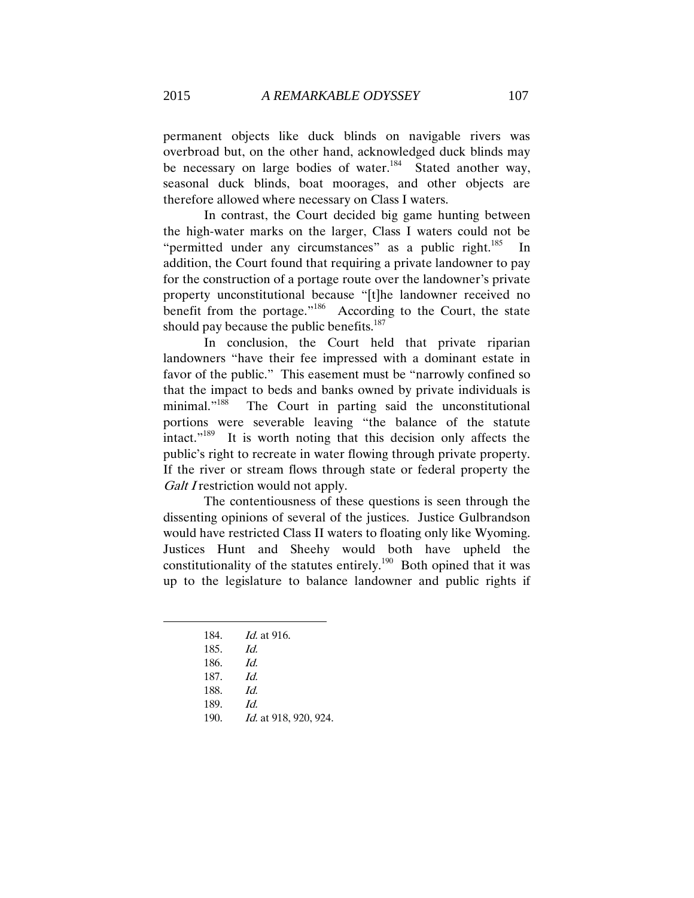permanent objects like duck blinds on navigable rivers was overbroad but, on the other hand, acknowledged duck blinds may be necessary on large bodies of water.<sup>184</sup> Stated another way, seasonal duck blinds, boat moorages, and other objects are therefore allowed where necessary on Class I waters.

In contrast, the Court decided big game hunting between the high-water marks on the larger, Class I waters could not be "permitted under any circumstances" as a public right.<sup>185</sup> In addition, the Court found that requiring a private landowner to pay for the construction of a portage route over the landowner's private property unconstitutional because "[t]he landowner received no benefit from the portage."<sup>186</sup> According to the Court, the state should pay because the public benefits. $187$ 

In conclusion, the Court held that private riparian landowners "have their fee impressed with a dominant estate in favor of the public." This easement must be "narrowly confined so that the impact to beds and banks owned by private individuals is minimal."<sup>188</sup> The Court in parting said the unconstitutional portions were severable leaving "the balance of the statute intact."<sup>189</sup> It is worth noting that this decision only affects the public's right to recreate in water flowing through private property. If the river or stream flows through state or federal property the Galt I restriction would not apply.

The contentiousness of these questions is seen through the dissenting opinions of several of the justices. Justice Gulbrandson would have restricted Class II waters to floating only like Wyoming. Justices Hunt and Sheehy would both have upheld the constitutionality of the statutes entirely.<sup>190</sup> Both opined that it was up to the legislature to balance landowner and public rights if

| 184. | <i>Id.</i> at 916. |
|------|--------------------|
| 185. | Id.                |
| 186. | Id.                |
| 187. | Id.                |
| 188. | Id.                |
| 189. | Id                 |

 $\overline{a}$ 

190. Id. at 918, 920, 924.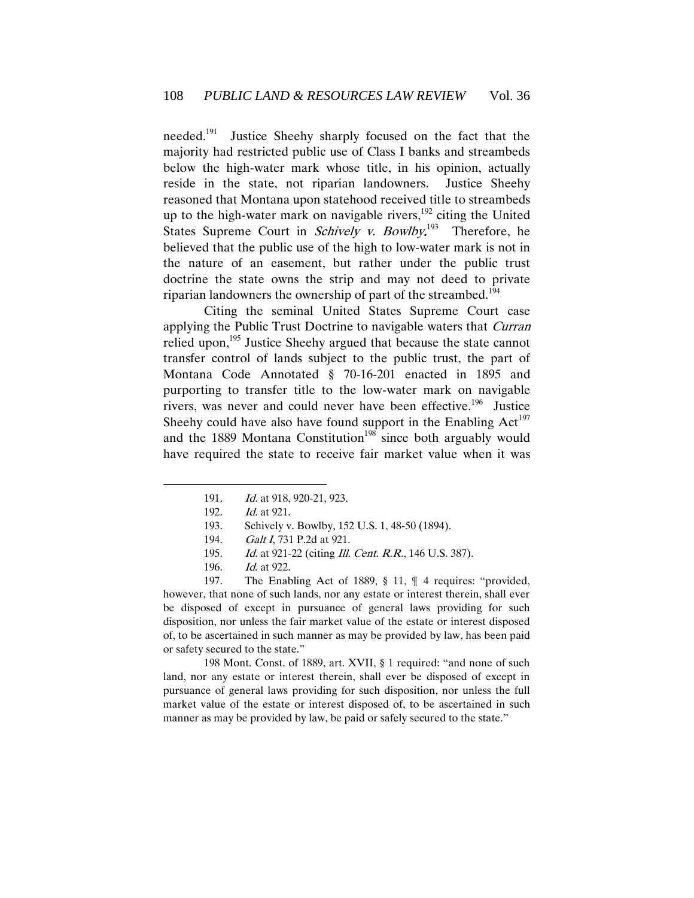needed.<sup>191</sup> Justice Sheehy sharply focused on the fact that the majority had restricted public use of Class I banks and streambeds below the high-water mark whose title, in his opinion, actually reside in the state, not riparian landowners. Justice Sheehy reasoned that Montana upon statehood received title to streambeds up to the high-water mark on navigable rivers,<sup>192</sup> citing the United States Supreme Court in *Schively v. Bowlby*.<sup>193</sup> Therefore, he believed that the public use of the high to low-water mark is not in the nature of an easement, but rather under the public trust doctrine the state owns the strip and may not deed to private riparian landowners the ownership of part of the streambed.<sup>194</sup>

Citing the seminal United States Supreme Court case applying the Public Trust Doctrine to navigable waters that *Curran* relied upon,<sup>195</sup> Justice Sheehy argued that because the state cannot transfer control of lands subject to the public trust, the part of Montana Code Annotated § 70-16-201 enacted in 1895 and purporting to transfer title to the low-water mark on navigable rivers, was never and could never have been effective.<sup>196</sup> Justice Sheehy could have also have found support in the Enabling  $Act^{197}$ and the 1889 Montana Constitution<sup>198</sup> since both arguably would have required the state to receive fair market value when it was

 $\overline{a}$ 

197. The Enabling Act of 1889, § 11, ¶ 4 requires: "provided, however, that none of such lands, nor any estate or interest therein, shall ever be disposed of except in pursuance of general laws providing for such disposition, nor unless the fair market value of the estate or interest disposed of, to be ascertained in such manner as may be provided by law, has been paid or safety secured to the state."

198 Mont. Const. of 1889, art. XVII, § 1 required: "and none of such land, nor any estate or interest therein, shall ever be disposed of except in pursuance of general laws providing for such disposition, nor unless the full market value of the estate or interest disposed of, to be ascertained in such manner as may be provided by law, be paid or safely secured to the state."

<sup>191.</sup> Id. at 918, 920-21, 923.

<sup>192.</sup> Id. at 921.

<sup>193.</sup> Schively v. Bowlby, 152 U.S. 1, 48-50 (1894).

<sup>194.</sup> Galt I, 731 P.2d at 921.

<sup>195.</sup> Id. at 921-22 (citing *Ill. Cent. R.R.*, 146 U.S. 387).

<sup>196.</sup> Id. at 922.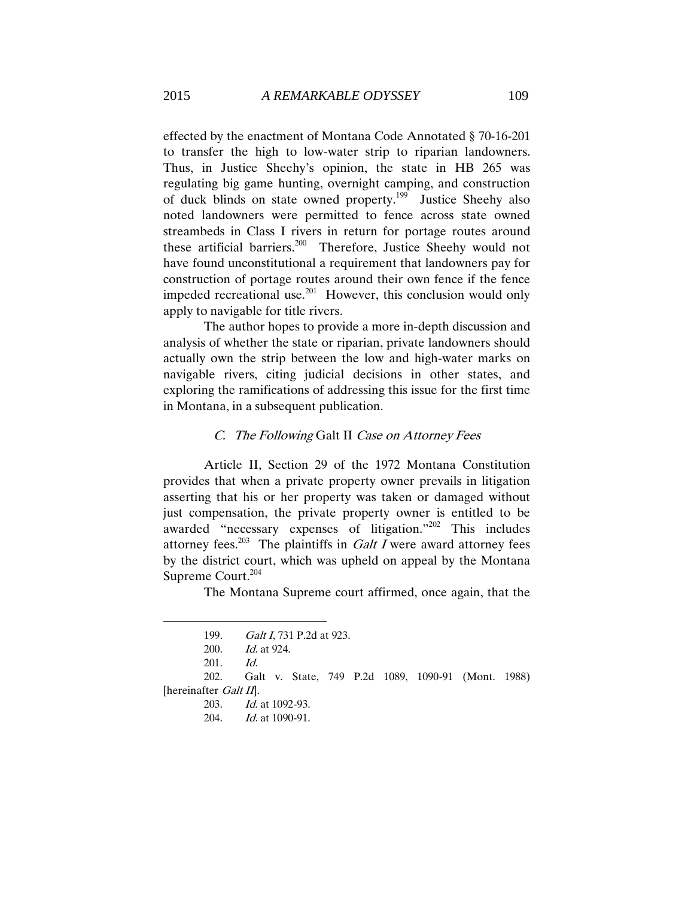effected by the enactment of Montana Code Annotated § 70-16-201 to transfer the high to low-water strip to riparian landowners. Thus, in Justice Sheehy's opinion, the state in HB 265 was regulating big game hunting, overnight camping, and construction of duck blinds on state owned property.<sup>199</sup> Justice Sheehy also noted landowners were permitted to fence across state owned streambeds in Class I rivers in return for portage routes around these artificial barriers.<sup>200</sup> Therefore, Justice Sheehy would not have found unconstitutional a requirement that landowners pay for construction of portage routes around their own fence if the fence impeded recreational use.<sup>201</sup> However, this conclusion would only apply to navigable for title rivers.

The author hopes to provide a more in-depth discussion and analysis of whether the state or riparian, private landowners should actually own the strip between the low and high-water marks on navigable rivers, citing judicial decisions in other states, and exploring the ramifications of addressing this issue for the first time in Montana, in a subsequent publication.

#### C. The Following Galt II Case on Attorney Fees

Article II, Section 29 of the 1972 Montana Constitution provides that when a private property owner prevails in litigation asserting that his or her property was taken or damaged without just compensation, the private property owner is entitled to be awarded "necessary expenses of litigation."<sup>202</sup> This includes attorney fees.<sup>203</sup> The plaintiffs in *Galt I* were award attorney fees by the district court, which was upheld on appeal by the Montana Supreme Court.<sup>204</sup>

The Montana Supreme court affirmed, once again, that the

<sup>199.</sup> Galt I, 731 P.2d at 923.

<sup>200.</sup> Id. at 924.

<sup>201.</sup> Id.

<sup>202.</sup> Galt v. State, 749 P.2d 1089, 1090-91 (Mont. 1988) [hereinafter *Galt II*].

<sup>203.</sup> Id. at 1092-93.

<sup>204.</sup> Id. at 1090-91.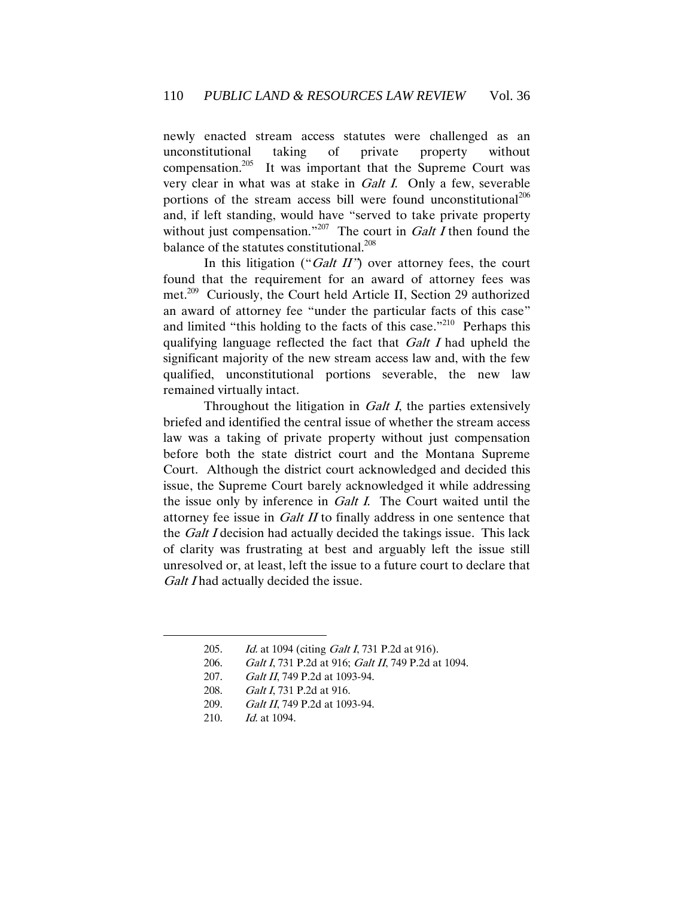newly enacted stream access statutes were challenged as an unconstitutional taking of private property without compensation. $205$  It was important that the Supreme Court was very clear in what was at stake in Galt I. Only a few, severable portions of the stream access bill were found unconstitutional<sup>206</sup> and, if left standing, would have "served to take private property without just compensation."<sup>207</sup> The court in Galt I then found the balance of the statutes constitutional.<sup>208</sup>

In this litigation ("Galt  $II$ ") over attorney fees, the court found that the requirement for an award of attorney fees was met.<sup>209</sup> Curiously, the Court held Article II, Section 29 authorized an award of attorney fee "under the particular facts of this case" and limited "this holding to the facts of this case."<sup>210</sup> Perhaps this qualifying language reflected the fact that Galt I had upheld the significant majority of the new stream access law and, with the few qualified, unconstitutional portions severable, the new law remained virtually intact.

Throughout the litigation in *Galt I*, the parties extensively briefed and identified the central issue of whether the stream access law was a taking of private property without just compensation before both the state district court and the Montana Supreme Court. Although the district court acknowledged and decided this issue, the Supreme Court barely acknowledged it while addressing the issue only by inference in Galt I. The Court waited until the attorney fee issue in *Galt II* to finally address in one sentence that the *Galt I* decision had actually decided the takings issue. This lack of clarity was frustrating at best and arguably left the issue still unresolved or, at least, left the issue to a future court to declare that Galt I had actually decided the issue.

206. Galt I, 731 P.2d at 916; Galt II, 749 P.2d at 1094.

- 208. Galt I, 731 P.2d at 916.
- 209. Galt II, 749 P.2d at 1093-94.
- 210. *Id.* at 1094.

<sup>205.</sup> Id. at 1094 (citing Galt I, 731 P.2d at 916).

<sup>207.</sup> Galt II, 749 P.2d at 1093-94.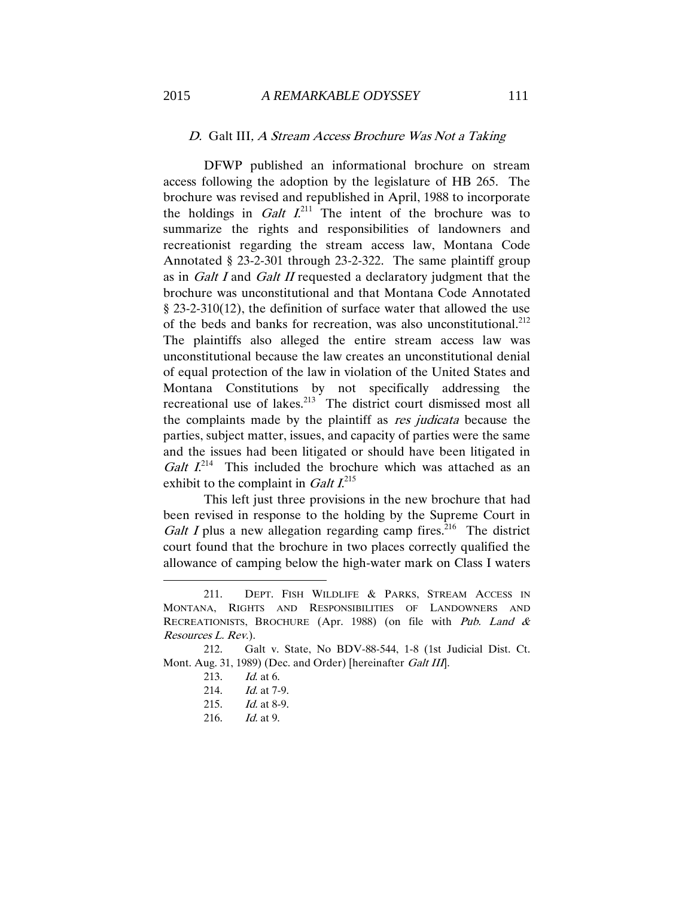# D. Galt III, A Stream Access Brochure Was Not a Taking

DFWP published an informational brochure on stream access following the adoption by the legislature of HB 265. The brochure was revised and republished in April, 1988 to incorporate the holdings in *Galt I*.<sup>211</sup> The intent of the brochure was to summarize the rights and responsibilities of landowners and recreationist regarding the stream access law, Montana Code Annotated § 23-2-301 through 23-2-322. The same plaintiff group as in Galt I and Galt II requested a declaratory judgment that the brochure was unconstitutional and that Montana Code Annotated § 23-2-310(12), the definition of surface water that allowed the use of the beds and banks for recreation, was also unconstitutional.<sup>212</sup> The plaintiffs also alleged the entire stream access law was unconstitutional because the law creates an unconstitutional denial of equal protection of the law in violation of the United States and Montana Constitutions by not specifically addressing the recreational use of lakes.<sup>213</sup> The district court dismissed most all the complaints made by the plaintiff as res judicata because the parties, subject matter, issues, and capacity of parties were the same and the issues had been litigated or should have been litigated in *Galt*  $I^{214}$  This included the brochure which was attached as an exhibit to the complaint in *Galt*  $I^{215}$ 

This left just three provisions in the new brochure that had been revised in response to the holding by the Supreme Court in *Galt I* plus a new allegation regarding camp fires.<sup>216</sup> The district court found that the brochure in two places correctly qualified the allowance of camping below the high-water mark on Class I waters

 $\overline{a}$ 

216. Id. at 9.

<sup>211.</sup> DEPT. FISH WILDLIFE & PARKS, STREAM ACCESS IN MONTANA, RIGHTS AND RESPONSIBILITIES OF LANDOWNERS AND RECREATIONISTS, BROCHURE (Apr. 1988) (on file with Pub. Land & Resources L. Rev.).

<sup>212.</sup> Galt v. State, No BDV-88-544, 1-8 (1st Judicial Dist. Ct. Mont. Aug. 31, 1989) (Dec. and Order) [hereinafter Galt III].

<sup>213.</sup> *Id.* at 6.

<sup>214.</sup> *Id.* at 7-9.

<sup>215.</sup> Id. at 8-9.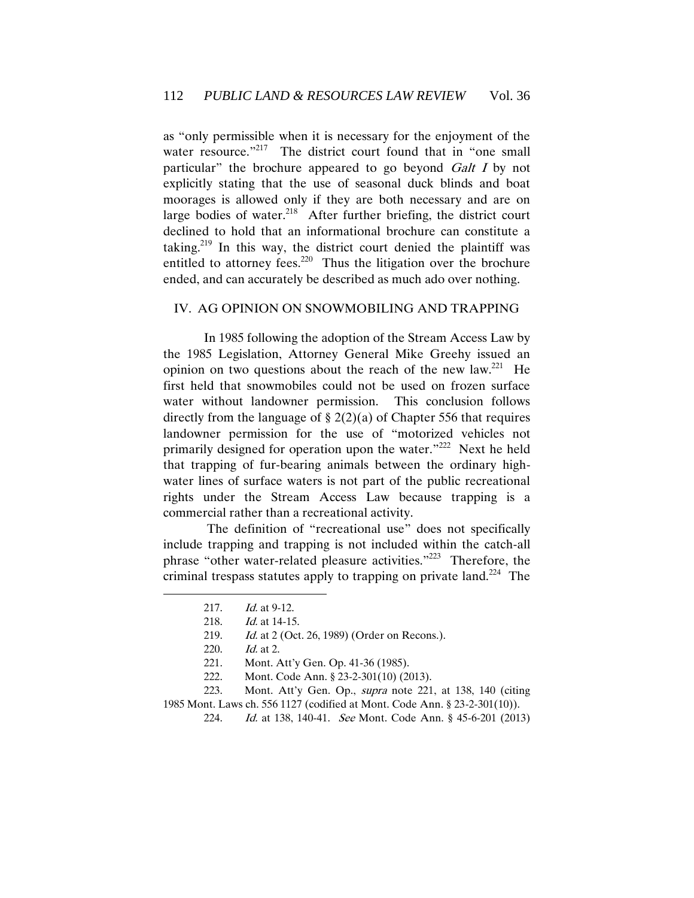as "only permissible when it is necessary for the enjoyment of the water resource."<sup>217</sup> The district court found that in "one small particular" the brochure appeared to go beyond Galt I by not explicitly stating that the use of seasonal duck blinds and boat moorages is allowed only if they are both necessary and are on large bodies of water. $2^{18}$  After further briefing, the district court declined to hold that an informational brochure can constitute a taking.<sup>219</sup> In this way, the district court denied the plaintiff was entitled to attorney fees.<sup>220</sup> Thus the litigation over the brochure ended, and can accurately be described as much ado over nothing.

### IV. AG OPINION ON SNOWMOBILING AND TRAPPING

In 1985 following the adoption of the Stream Access Law by the 1985 Legislation, Attorney General Mike Greehy issued an opinion on two questions about the reach of the new  $law.^{221}$  He first held that snowmobiles could not be used on frozen surface water without landowner permission. This conclusion follows directly from the language of  $\S 2(2)(a)$  of Chapter 556 that requires landowner permission for the use of "motorized vehicles not primarily designed for operation upon the water."<sup>222</sup> Next he held that trapping of fur-bearing animals between the ordinary highwater lines of surface waters is not part of the public recreational rights under the Stream Access Law because trapping is a commercial rather than a recreational activity.

The definition of "recreational use" does not specifically include trapping and trapping is not included within the catch-all phrase "other water-related pleasure activities."<sup>223</sup> Therefore, the criminal trespass statutes apply to trapping on private land.<sup>224</sup> The

<sup>217.</sup> *Id.* at 9-12.

<sup>218.</sup> *Id.* at 14-15.

<sup>219.</sup> Id. at 2 (Oct. 26, 1989) (Order on Recons.).

<sup>220.</sup> Id. at 2.

<sup>221.</sup> Mont. Att'y Gen. Op. 41-36 (1985).

<sup>222.</sup> Mont. Code Ann. § 23-2-301(10) (2013).

<sup>223.</sup> Mont. Att'y Gen. Op., supra note 221, at 138, 140 (citing 1985 Mont. Laws ch. 556 1127 (codified at Mont. Code Ann. § 23-2-301(10)).

<sup>224.</sup> *Id.* at 138, 140-41. *See* Mont. Code Ann. § 45-6-201 (2013)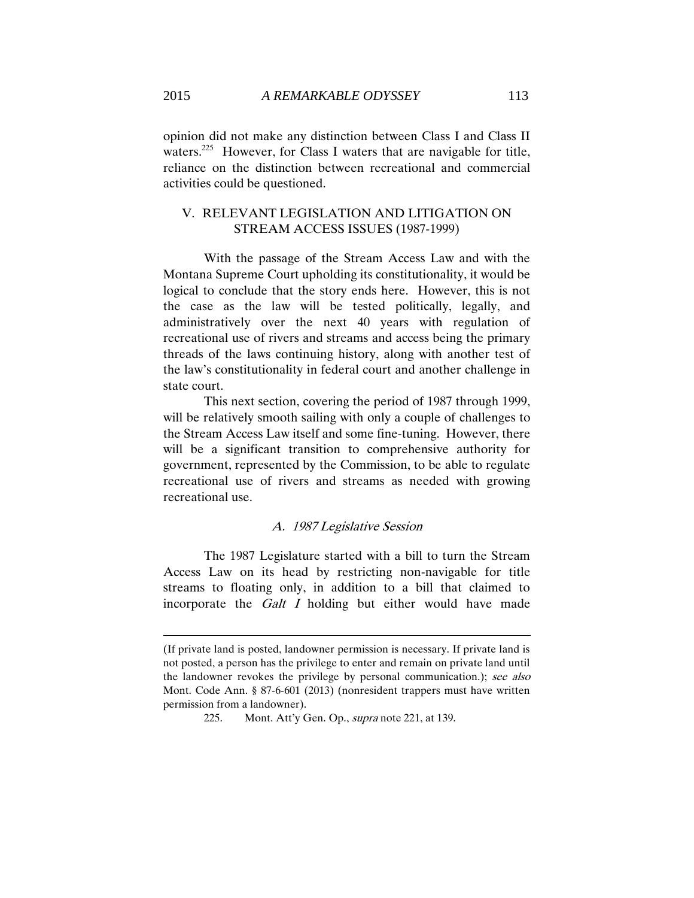opinion did not make any distinction between Class I and Class II waters.<sup>225</sup> However, for Class I waters that are navigable for title, reliance on the distinction between recreational and commercial activities could be questioned.

## V. RELEVANT LEGISLATION AND LITIGATION ON STREAM ACCESS ISSUES (1987-1999)

With the passage of the Stream Access Law and with the Montana Supreme Court upholding its constitutionality, it would be logical to conclude that the story ends here. However, this is not the case as the law will be tested politically, legally, and administratively over the next 40 years with regulation of recreational use of rivers and streams and access being the primary threads of the laws continuing history, along with another test of the law's constitutionality in federal court and another challenge in state court.

This next section, covering the period of 1987 through 1999, will be relatively smooth sailing with only a couple of challenges to the Stream Access Law itself and some fine-tuning. However, there will be a significant transition to comprehensive authority for government, represented by the Commission, to be able to regulate recreational use of rivers and streams as needed with growing recreational use.

#### A. 1987 Legislative Session

The 1987 Legislature started with a bill to turn the Stream Access Law on its head by restricting non-navigable for title streams to floating only, in addition to a bill that claimed to incorporate the Galt I holding but either would have made

<sup>(</sup>If private land is posted, landowner permission is necessary. If private land is not posted, a person has the privilege to enter and remain on private land until the landowner revokes the privilege by personal communication.); see also Mont. Code Ann. § 87-6-601 (2013) (nonresident trappers must have written permission from a landowner).

<sup>225.</sup> Mont. Att'y Gen. Op., supra note 221, at 139.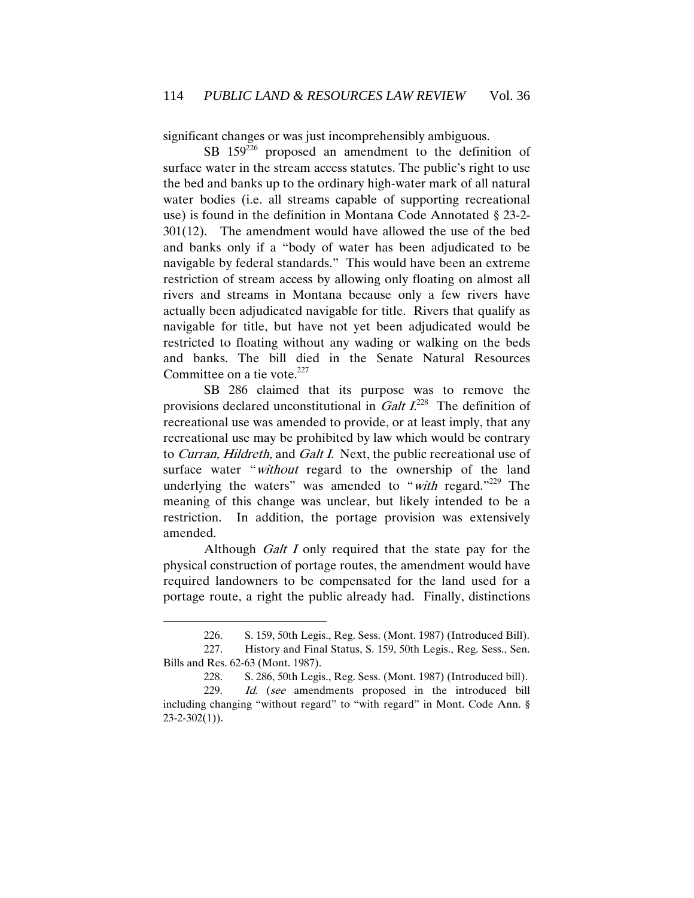significant changes or was just incomprehensibly ambiguous.

SB 159<sup>226</sup> proposed an amendment to the definition of surface water in the stream access statutes. The public's right to use the bed and banks up to the ordinary high-water mark of all natural water bodies (i.e. all streams capable of supporting recreational use) is found in the definition in Montana Code Annotated § 23-2- 301(12). The amendment would have allowed the use of the bed and banks only if a "body of water has been adjudicated to be navigable by federal standards." This would have been an extreme restriction of stream access by allowing only floating on almost all rivers and streams in Montana because only a few rivers have actually been adjudicated navigable for title. Rivers that qualify as navigable for title, but have not yet been adjudicated would be restricted to floating without any wading or walking on the beds and banks. The bill died in the Senate Natural Resources Committee on a tie vote. $227$ 

SB 286 claimed that its purpose was to remove the provisions declared unconstitutional in *Galt I*<sup>228</sup> The definition of recreational use was amended to provide, or at least imply, that any recreational use may be prohibited by law which would be contrary to Curran, Hildreth, and Galt I. Next, the public recreational use of surface water "*without* regard to the ownership of the land underlying the waters" was amended to "with regard."<sup>229</sup> The meaning of this change was unclear, but likely intended to be a restriction. In addition, the portage provision was extensively amended.

Although *Galt I* only required that the state pay for the physical construction of portage routes, the amendment would have required landowners to be compensated for the land used for a portage route, a right the public already had. Finally, distinctions

<sup>226.</sup> S. 159, 50th Legis., Reg. Sess. (Mont. 1987) (Introduced Bill).

<sup>227.</sup> History and Final Status, S. 159, 50th Legis., Reg. Sess., Sen. Bills and Res. 62-63 (Mont. 1987).

<sup>228.</sup> S. 286, 50th Legis., Reg. Sess. (Mont. 1987) (Introduced bill).

<sup>229.</sup> Id. (see amendments proposed in the introduced bill including changing "without regard" to "with regard" in Mont. Code Ann. §  $23 - 2 - 302(1)$ .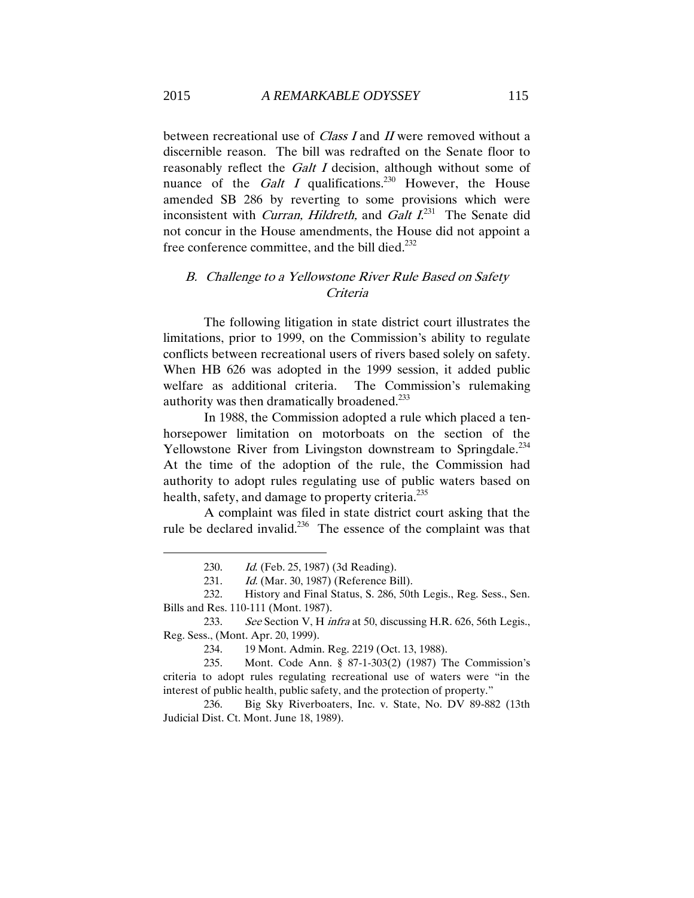between recreational use of *Class I* and *II* were removed without a discernible reason. The bill was redrafted on the Senate floor to reasonably reflect the Galt I decision, although without some of nuance of the *Galt I* qualifications.<sup>230</sup> However, the House amended SB 286 by reverting to some provisions which were inconsistent with *Curran, Hildreth*, and *Galt*  $I^{231}$  The Senate did not concur in the House amendments, the House did not appoint a free conference committee, and the bill died.<sup>232</sup>

# B. Challenge to a Yellowstone River Rule Based on Safety Criteria

The following litigation in state district court illustrates the limitations, prior to 1999, on the Commission's ability to regulate conflicts between recreational users of rivers based solely on safety. When HB 626 was adopted in the 1999 session, it added public welfare as additional criteria. The Commission's rulemaking authority was then dramatically broadened.<sup>233</sup>

In 1988, the Commission adopted a rule which placed a tenhorsepower limitation on motorboats on the section of the Yellowstone River from Livingston downstream to Springdale.<sup>234</sup> At the time of the adoption of the rule, the Commission had authority to adopt rules regulating use of public waters based on health, safety, and damage to property criteria.<sup>235</sup>

A complaint was filed in state district court asking that the rule be declared invalid.<sup>236</sup> The essence of the complaint was that

234. 19 Mont. Admin. Reg. 2219 (Oct. 13, 1988).

235. Mont. Code Ann. § 87-1-303(2) (1987) The Commission's criteria to adopt rules regulating recreational use of waters were "in the interest of public health, public safety, and the protection of property."

236. Big Sky Riverboaters, Inc. v. State, No. DV 89-882 (13th Judicial Dist. Ct. Mont. June 18, 1989).

<sup>230.</sup> Id. (Feb. 25, 1987) (3d Reading).

<sup>231.</sup> Id. (Mar. 30, 1987) (Reference Bill).

<sup>232.</sup> History and Final Status, S. 286, 50th Legis., Reg. Sess., Sen. Bills and Res. 110-111 (Mont. 1987).

<sup>233.</sup> See Section V, H infra at 50, discussing H.R. 626, 56th Legis., Reg. Sess., (Mont. Apr. 20, 1999).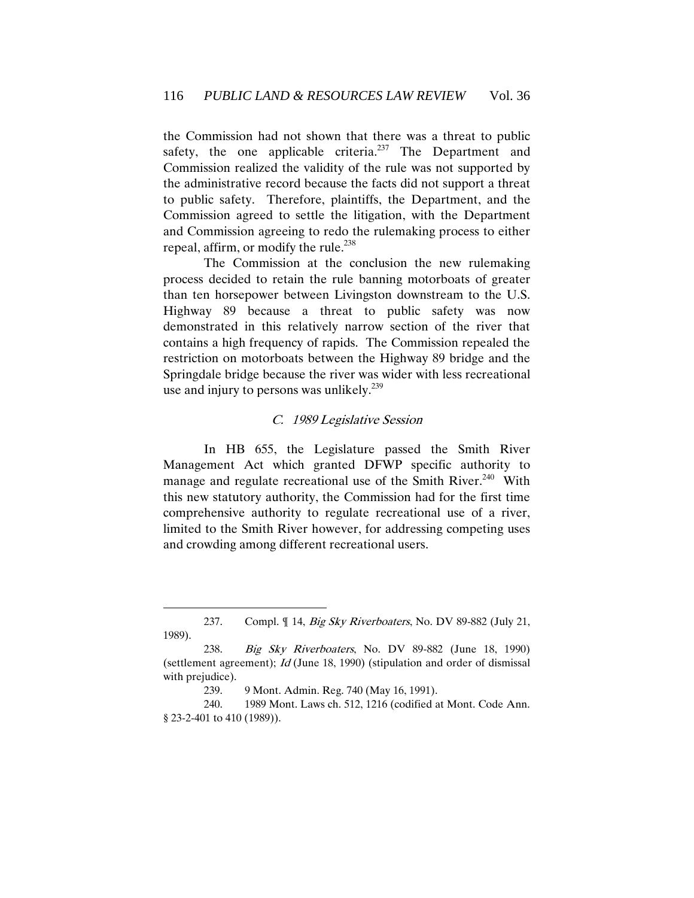the Commission had not shown that there was a threat to public safety, the one applicable criteria.<sup>237</sup> The Department and Commission realized the validity of the rule was not supported by the administrative record because the facts did not support a threat to public safety. Therefore, plaintiffs, the Department, and the Commission agreed to settle the litigation, with the Department and Commission agreeing to redo the rulemaking process to either repeal, affirm, or modify the rule.<sup>238</sup>

The Commission at the conclusion the new rulemaking process decided to retain the rule banning motorboats of greater than ten horsepower between Livingston downstream to the U.S. Highway 89 because a threat to public safety was now demonstrated in this relatively narrow section of the river that contains a high frequency of rapids. The Commission repealed the restriction on motorboats between the Highway 89 bridge and the Springdale bridge because the river was wider with less recreational use and injury to persons was unlikely. $239$ 

### C. 1989 Legislative Session

In HB 655, the Legislature passed the Smith River Management Act which granted DFWP specific authority to manage and regulate recreational use of the Smith River.<sup>240</sup> With this new statutory authority, the Commission had for the first time comprehensive authority to regulate recreational use of a river, limited to the Smith River however, for addressing competing uses and crowding among different recreational users.

<sup>237.</sup> Compl. ¶ 14, *Big Sky Riverboaters*, No. DV 89-882 (July 21, 1989).

<sup>238.</sup> Big Sky Riverboaters, No. DV 89-882 (June 18, 1990) (settlement agreement); Id (June 18, 1990) (stipulation and order of dismissal with prejudice).

<sup>239.</sup> 9 Mont. Admin. Reg. 740 (May 16, 1991).

<sup>240.</sup> 1989 Mont. Laws ch. 512, 1216 (codified at Mont. Code Ann. § 23-2-401 to 410 (1989)).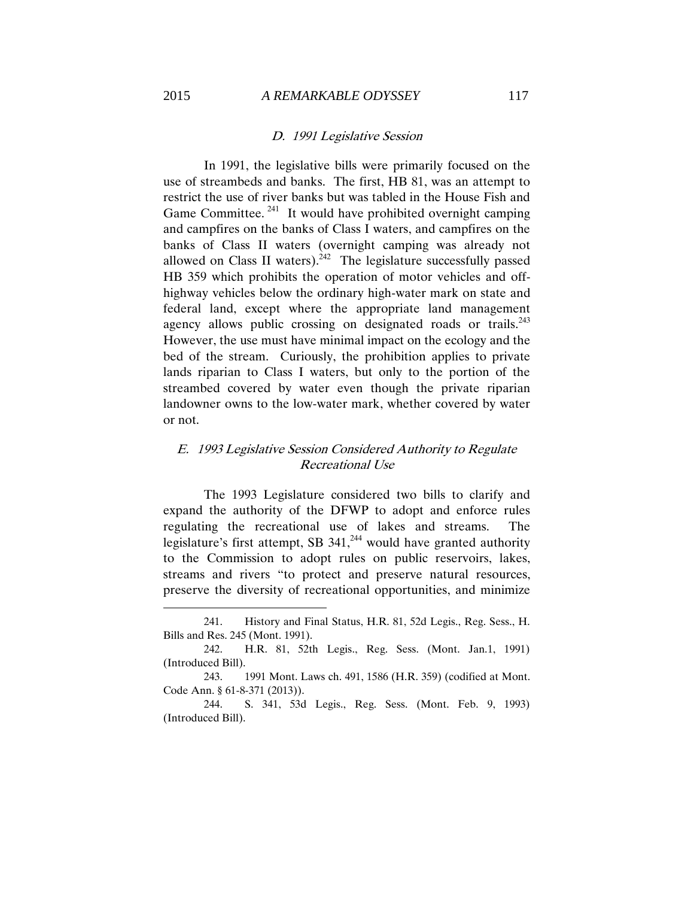### D. 1991 Legislative Session

In 1991, the legislative bills were primarily focused on the use of streambeds and banks. The first, HB 81, was an attempt to restrict the use of river banks but was tabled in the House Fish and Game Committee.<sup>241</sup> It would have prohibited overnight camping and campfires on the banks of Class I waters, and campfires on the banks of Class II waters (overnight camping was already not allowed on Class II waters).<sup>242</sup> The legislature successfully passed HB 359 which prohibits the operation of motor vehicles and offhighway vehicles below the ordinary high-water mark on state and federal land, except where the appropriate land management agency allows public crossing on designated roads or trails. $243$ However, the use must have minimal impact on the ecology and the bed of the stream. Curiously, the prohibition applies to private lands riparian to Class I waters, but only to the portion of the streambed covered by water even though the private riparian landowner owns to the low-water mark, whether covered by water or not.

# E. 1993 Legislative Session Considered Authority to Regulate Recreational Use

The 1993 Legislature considered two bills to clarify and expand the authority of the DFWP to adopt and enforce rules regulating the recreational use of lakes and streams. The legislature's first attempt, SB  $341$ ,<sup>244</sup> would have granted authority to the Commission to adopt rules on public reservoirs, lakes, streams and rivers "to protect and preserve natural resources, preserve the diversity of recreational opportunities, and minimize

<sup>241.</sup> History and Final Status, H.R. 81, 52d Legis., Reg. Sess., H. Bills and Res. 245 (Mont. 1991).

<sup>242.</sup> H.R. 81, 52th Legis., Reg. Sess. (Mont. Jan.1, 1991) (Introduced Bill).

<sup>243.</sup> 1991 Mont. Laws ch. 491, 1586 (H.R. 359) (codified at Mont. Code Ann. § 61-8-371 (2013)).

<sup>244.</sup> S. 341, 53d Legis., Reg. Sess. (Mont. Feb. 9, 1993) (Introduced Bill).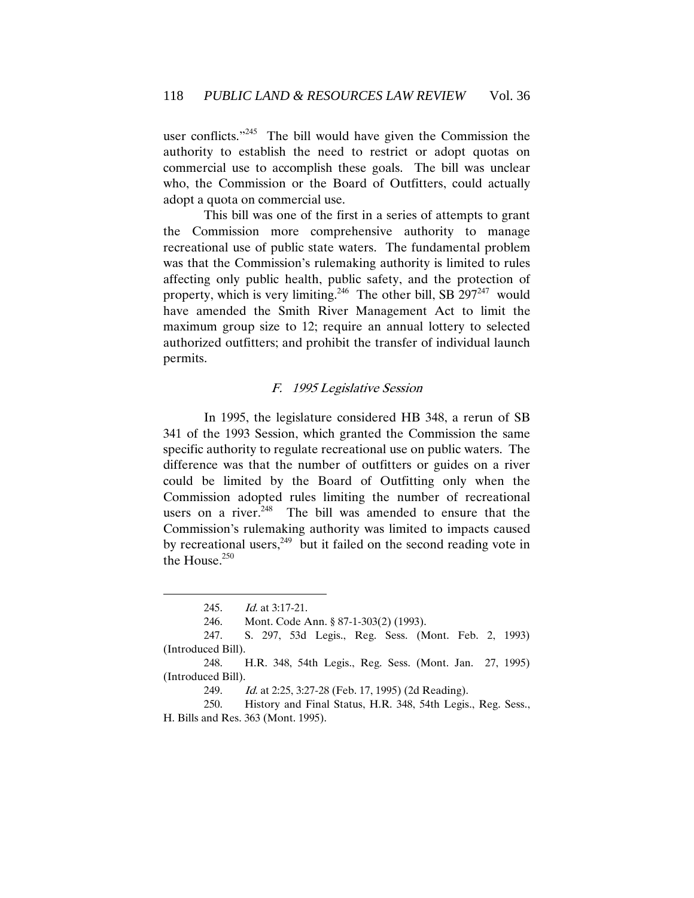user conflicts."<sup>245</sup> The bill would have given the Commission the authority to establish the need to restrict or adopt quotas on commercial use to accomplish these goals. The bill was unclear who, the Commission or the Board of Outfitters, could actually adopt a quota on commercial use.

This bill was one of the first in a series of attempts to grant the Commission more comprehensive authority to manage recreational use of public state waters. The fundamental problem was that the Commission's rulemaking authority is limited to rules affecting only public health, public safety, and the protection of property, which is very limiting.<sup>246</sup> The other bill, SB 297<sup>247</sup> would have amended the Smith River Management Act to limit the maximum group size to 12; require an annual lottery to selected authorized outfitters; and prohibit the transfer of individual launch permits.

### F. 1995 Legislative Session

In 1995, the legislature considered HB 348, a rerun of SB 341 of the 1993 Session, which granted the Commission the same specific authority to regulate recreational use on public waters. The difference was that the number of outfitters or guides on a river could be limited by the Board of Outfitting only when the Commission adopted rules limiting the number of recreational users on a river.<sup>248</sup> The bill was amended to ensure that the Commission's rulemaking authority was limited to impacts caused by recreational users,  $249$  but it failed on the second reading vote in the House. $250$ 

<sup>245.</sup> Id. at 3:17-21.

<sup>246.</sup> Mont. Code Ann. § 87-1-303(2) (1993).

<sup>247.</sup> S. 297, 53d Legis., Reg. Sess. (Mont. Feb. 2, 1993) (Introduced Bill).

<sup>248.</sup> H.R. 348, 54th Legis., Reg. Sess. (Mont. Jan. 27, 1995) (Introduced Bill).

<sup>249.</sup> Id. at 2:25, 3:27-28 (Feb. 17, 1995) (2d Reading).

<sup>250.</sup> History and Final Status, H.R. 348, 54th Legis., Reg. Sess., H. Bills and Res. 363 (Mont. 1995).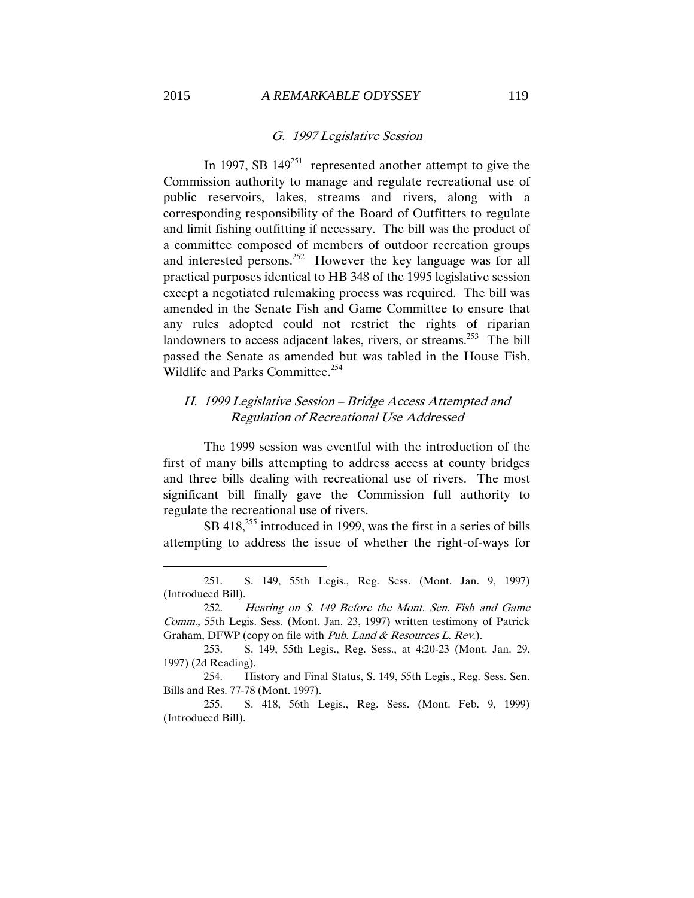#### G. 1997 Legislative Session

In 1997, SB  $149^{251}$  represented another attempt to give the Commission authority to manage and regulate recreational use of public reservoirs, lakes, streams and rivers, along with a corresponding responsibility of the Board of Outfitters to regulate and limit fishing outfitting if necessary. The bill was the product of a committee composed of members of outdoor recreation groups and interested persons.<sup>252</sup> However the key language was for all practical purposes identical to HB 348 of the 1995 legislative session except a negotiated rulemaking process was required. The bill was amended in the Senate Fish and Game Committee to ensure that any rules adopted could not restrict the rights of riparian landowners to access adjacent lakes, rivers, or streams.<sup>253</sup> The bill passed the Senate as amended but was tabled in the House Fish, Wildlife and Parks Committee.<sup>254</sup>

## H. 1999 Legislative Session – Bridge Access Attempted and Regulation of Recreational Use Addressed

The 1999 session was eventful with the introduction of the first of many bills attempting to address access at county bridges and three bills dealing with recreational use of rivers. The most significant bill finally gave the Commission full authority to regulate the recreational use of rivers.

SB 418,<sup>255</sup> introduced in 1999, was the first in a series of bills attempting to address the issue of whether the right-of-ways for

<sup>251.</sup> S. 149, 55th Legis., Reg. Sess. (Mont. Jan. 9, 1997) (Introduced Bill).

<sup>252.</sup> Hearing on S. 149 Before the Mont. Sen. Fish and Game Comm., 55th Legis. Sess. (Mont. Jan. 23, 1997) written testimony of Patrick Graham, DFWP (copy on file with Pub. Land & Resources L. Rev.).

<sup>253.</sup> S. 149, 55th Legis., Reg. Sess., at 4:20-23 (Mont. Jan. 29, 1997) (2d Reading).

<sup>254.</sup> History and Final Status, S. 149, 55th Legis., Reg. Sess. Sen. Bills and Res. 77-78 (Mont. 1997).

<sup>255.</sup> S. 418, 56th Legis., Reg. Sess. (Mont. Feb. 9, 1999) (Introduced Bill).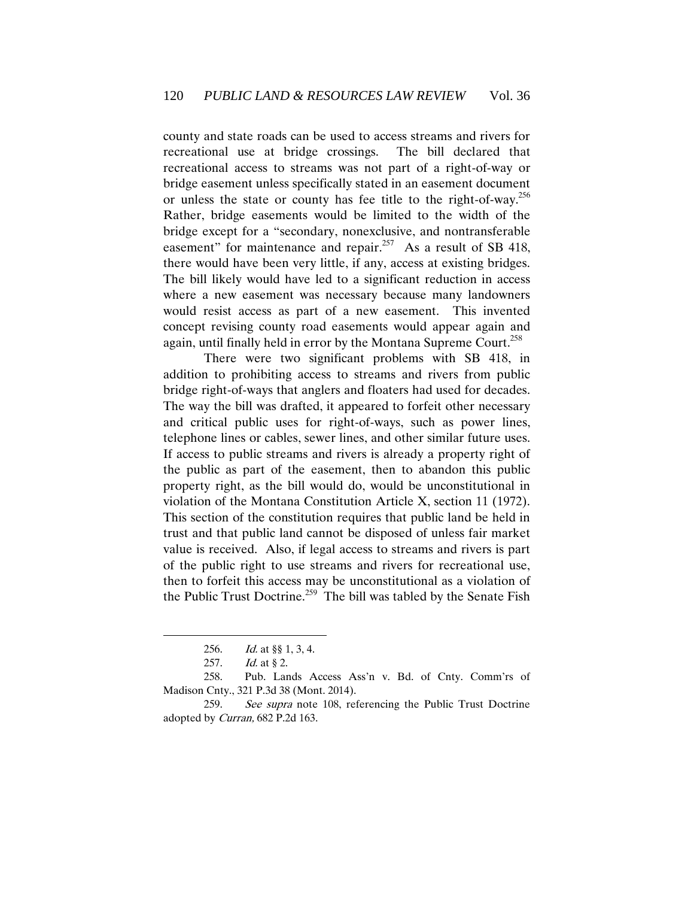county and state roads can be used to access streams and rivers for recreational use at bridge crossings. The bill declared that recreational access to streams was not part of a right-of-way or bridge easement unless specifically stated in an easement document or unless the state or county has fee title to the right-of-way.<sup>256</sup> Rather, bridge easements would be limited to the width of the bridge except for a "secondary, nonexclusive, and nontransferable easement" for maintenance and repair.<sup>257</sup> As a result of SB 418, there would have been very little, if any, access at existing bridges. The bill likely would have led to a significant reduction in access where a new easement was necessary because many landowners would resist access as part of a new easement. This invented concept revising county road easements would appear again and again, until finally held in error by the Montana Supreme Court.<sup>258</sup>

There were two significant problems with SB 418, in addition to prohibiting access to streams and rivers from public bridge right-of-ways that anglers and floaters had used for decades. The way the bill was drafted, it appeared to forfeit other necessary and critical public uses for right-of-ways, such as power lines, telephone lines or cables, sewer lines, and other similar future uses. If access to public streams and rivers is already a property right of the public as part of the easement, then to abandon this public property right, as the bill would do, would be unconstitutional in violation of the Montana Constitution Article X, section 11 (1972). This section of the constitution requires that public land be held in trust and that public land cannot be disposed of unless fair market value is received. Also, if legal access to streams and rivers is part of the public right to use streams and rivers for recreational use, then to forfeit this access may be unconstitutional as a violation of the Public Trust Doctrine.<sup>259</sup> The bill was tabled by the Senate Fish

 $\overline{a}$ 

259. See supra note 108, referencing the Public Trust Doctrine adopted by Curran, 682 P.2d 163.

<sup>256.</sup> Id. at §§ 1, 3, 4.

<sup>257.</sup> *Id.* at § 2.

<sup>258.</sup> Pub. Lands Access Ass'n v. Bd. of Cnty. Comm'rs of Madison Cnty., 321 P.3d 38 (Mont. 2014).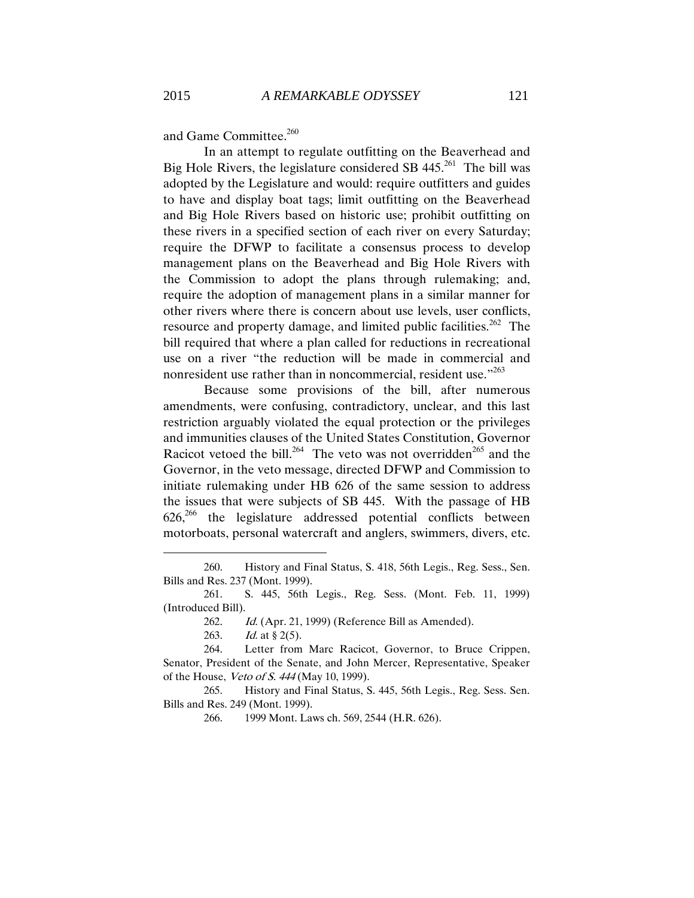and Game Committee.<sup>260</sup>

In an attempt to regulate outfitting on the Beaverhead and Big Hole Rivers, the legislature considered SB  $445.^{261}$  The bill was adopted by the Legislature and would: require outfitters and guides to have and display boat tags; limit outfitting on the Beaverhead and Big Hole Rivers based on historic use; prohibit outfitting on these rivers in a specified section of each river on every Saturday; require the DFWP to facilitate a consensus process to develop management plans on the Beaverhead and Big Hole Rivers with the Commission to adopt the plans through rulemaking; and, require the adoption of management plans in a similar manner for other rivers where there is concern about use levels, user conflicts, resource and property damage, and limited public facilities.<sup>262</sup> The bill required that where a plan called for reductions in recreational use on a river "the reduction will be made in commercial and nonresident use rather than in noncommercial, resident use."<sup>263</sup>

Because some provisions of the bill, after numerous amendments, were confusing, contradictory, unclear, and this last restriction arguably violated the equal protection or the privileges and immunities clauses of the United States Constitution, Governor Racicot vetoed the bill.<sup>264</sup> The veto was not overridden<sup>265</sup> and the Governor, in the veto message, directed DFWP and Commission to initiate rulemaking under HB 626 of the same session to address the issues that were subjects of SB 445. With the passage of HB  $626<sup>266</sup>$  the legislature addressed potential conflicts between motorboats, personal watercraft and anglers, swimmers, divers, etc.

<sup>260.</sup> History and Final Status, S. 418, 56th Legis., Reg. Sess., Sen. Bills and Res. 237 (Mont. 1999).

<sup>261.</sup> S. 445, 56th Legis., Reg. Sess. (Mont. Feb. 11, 1999) (Introduced Bill).

<sup>262.</sup> Id. (Apr. 21, 1999) (Reference Bill as Amended).

<sup>263.</sup> *Id.* at  $\S 2(5)$ .

<sup>264.</sup> Letter from Marc Racicot, Governor, to Bruce Crippen, Senator, President of the Senate, and John Mercer, Representative, Speaker of the House, Veto of S. 444 (May 10, 1999).

<sup>265.</sup> History and Final Status, S. 445, 56th Legis., Reg. Sess. Sen. Bills and Res. 249 (Mont. 1999).

<sup>266.</sup> 1999 Mont. Laws ch. 569, 2544 (H.R. 626).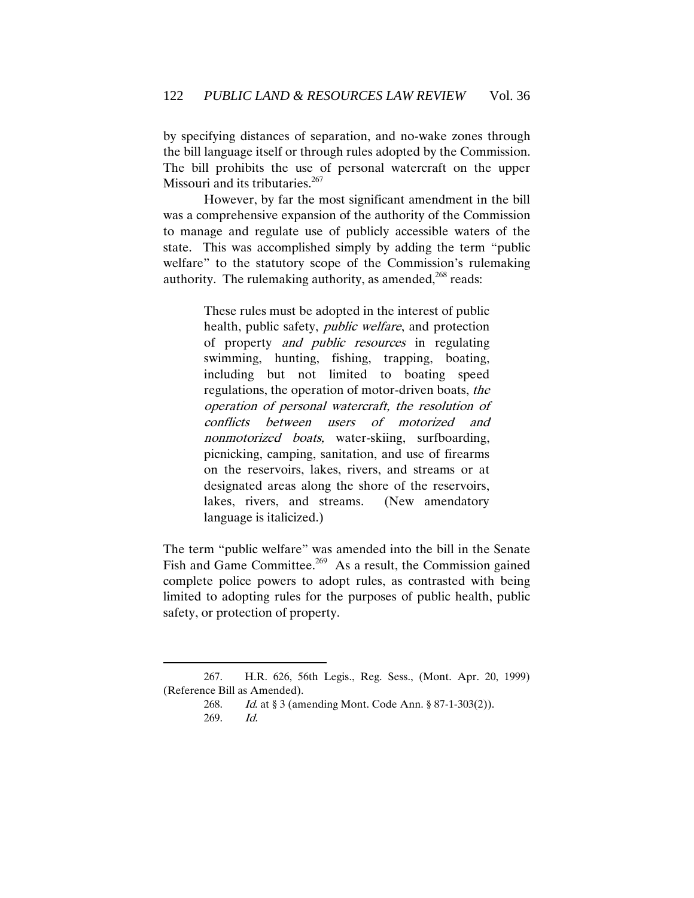by specifying distances of separation, and no-wake zones through the bill language itself or through rules adopted by the Commission. The bill prohibits the use of personal watercraft on the upper Missouri and its tributaries.<sup>267</sup>

However, by far the most significant amendment in the bill was a comprehensive expansion of the authority of the Commission to manage and regulate use of publicly accessible waters of the state. This was accomplished simply by adding the term "public welfare" to the statutory scope of the Commission's rulemaking authority. The rulemaking authority, as amended, $268$  reads:

> These rules must be adopted in the interest of public health, public safety, public welfare, and protection of property and public resources in regulating swimming, hunting, fishing, trapping, boating, including but not limited to boating speed regulations, the operation of motor-driven boats, the operation of personal watercraft, the resolution of conflicts between users of motorized and nonmotorized boats, water-skiing, surfboarding, picnicking, camping, sanitation, and use of firearms on the reservoirs, lakes, rivers, and streams or at designated areas along the shore of the reservoirs, lakes, rivers, and streams. (New amendatory language is italicized.)

The term "public welfare" was amended into the bill in the Senate Fish and Game Committee.<sup>269</sup> As a result, the Commission gained complete police powers to adopt rules, as contrasted with being limited to adopting rules for the purposes of public health, public safety, or protection of property.

<sup>267.</sup> H.R. 626, 56th Legis., Reg. Sess., (Mont. Apr. 20, 1999) (Reference Bill as Amended).

<sup>268.</sup> Id. at § 3 (amending Mont. Code Ann. § 87-1-303(2)). 269. Id.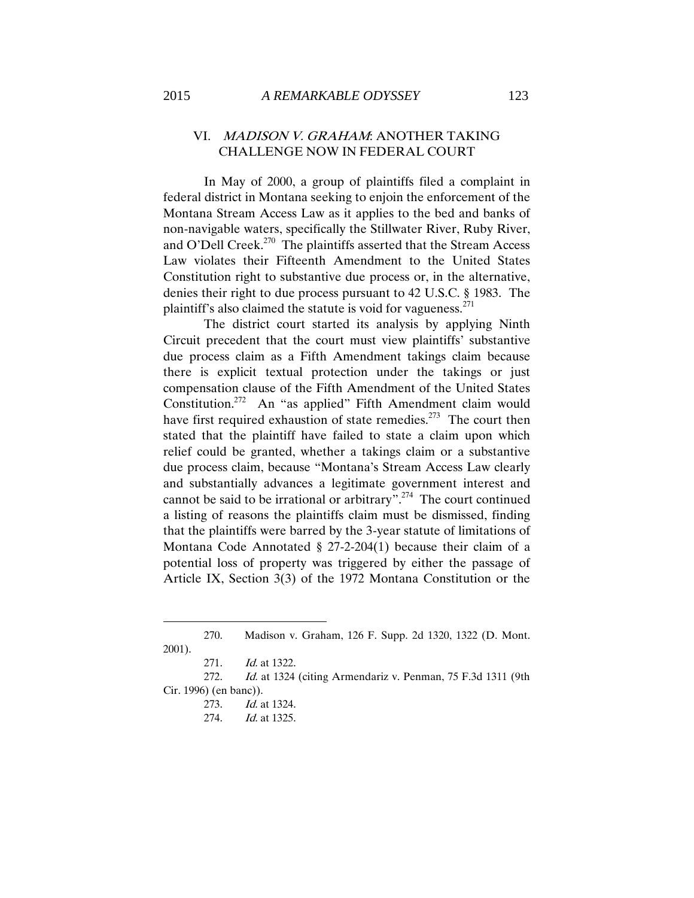## VI. MADISON V. GRAHAM: ANOTHER TAKING CHALLENGE NOW IN FEDERAL COURT

In May of 2000, a group of plaintiffs filed a complaint in federal district in Montana seeking to enjoin the enforcement of the Montana Stream Access Law as it applies to the bed and banks of non-navigable waters, specifically the Stillwater River, Ruby River, and O'Dell Creek.<sup>270</sup> The plaintiffs asserted that the Stream Access Law violates their Fifteenth Amendment to the United States Constitution right to substantive due process or, in the alternative, denies their right to due process pursuant to 42 U.S.C. § 1983. The plaintiff's also claimed the statute is void for vagueness. $^{271}$ 

The district court started its analysis by applying Ninth Circuit precedent that the court must view plaintiffs' substantive due process claim as a Fifth Amendment takings claim because there is explicit textual protection under the takings or just compensation clause of the Fifth Amendment of the United States Constitution.<sup>272</sup> An "as applied" Fifth Amendment claim would have first required exhaustion of state remedies.<sup>273</sup> The court then stated that the plaintiff have failed to state a claim upon which relief could be granted, whether a takings claim or a substantive due process claim, because "Montana's Stream Access Law clearly and substantially advances a legitimate government interest and cannot be said to be irrational or arbitrary".<sup>274</sup> The court continued a listing of reasons the plaintiffs claim must be dismissed, finding that the plaintiffs were barred by the 3-year statute of limitations of Montana Code Annotated § 27-2-204(1) because their claim of a potential loss of property was triggered by either the passage of Article IX, Section 3(3) of the 1972 Montana Constitution or the

 $\overline{a}$ 

272. *Id.* at 1324 (citing Armendariz v. Penman, 75 F.3d 1311 (9th Cir. 1996) (en banc)).

273. Id. at 1324.

274. Id. at 1325.

<sup>270.</sup> Madison v. Graham, 126 F. Supp. 2d 1320, 1322 (D. Mont. 2001).

<sup>271.</sup> *Id.* at 1322.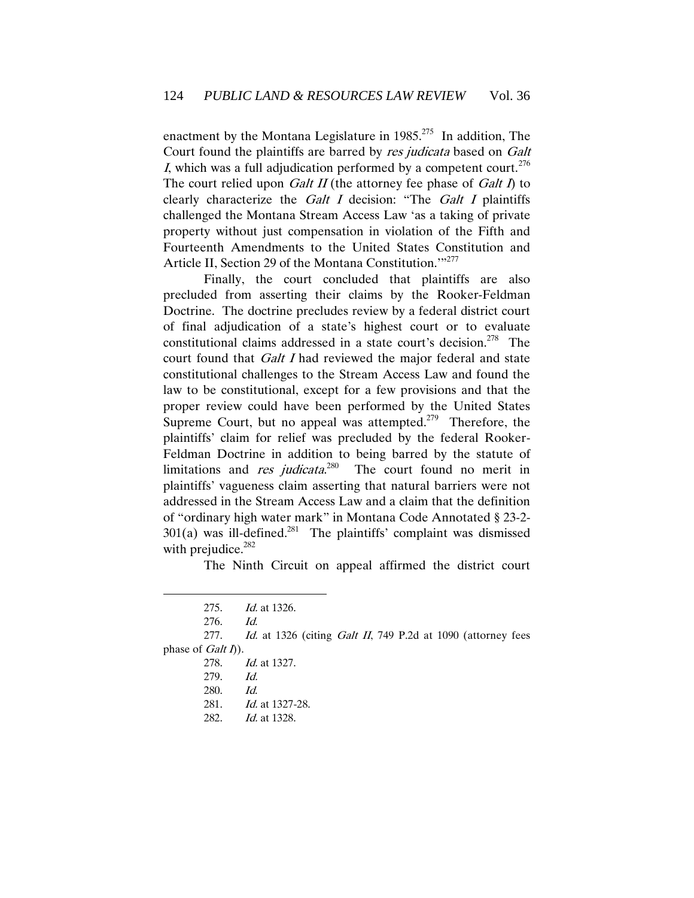enactment by the Montana Legislature in  $1985$ <sup>275</sup> In addition, The Court found the plaintiffs are barred by res judicata based on Galt I, which was a full adjudication performed by a competent court.<sup>276</sup> The court relied upon *Galt II* (the attorney fee phase of *Galt I*) to clearly characterize the Galt I decision: "The Galt I plaintiffs challenged the Montana Stream Access Law 'as a taking of private property without just compensation in violation of the Fifth and Fourteenth Amendments to the United States Constitution and Article II, Section 29 of the Montana Constitution."<sup>277</sup>

Finally, the court concluded that plaintiffs are also precluded from asserting their claims by the Rooker-Feldman Doctrine. The doctrine precludes review by a federal district court of final adjudication of a state's highest court or to evaluate constitutional claims addressed in a state court's decision.<sup>278</sup> The court found that *Galt I* had reviewed the major federal and state constitutional challenges to the Stream Access Law and found the law to be constitutional, except for a few provisions and that the proper review could have been performed by the United States Supreme Court, but no appeal was attempted.<sup> $279$ </sup> Therefore, the plaintiffs' claim for relief was precluded by the federal Rooker-Feldman Doctrine in addition to being barred by the statute of limitations and *res judicata*.<sup>280</sup> The court found no merit in plaintiffs' vagueness claim asserting that natural barriers were not addressed in the Stream Access Law and a claim that the definition of "ordinary high water mark" in Montana Code Annotated § 23-2-  $301(a)$  was ill-defined.<sup>281</sup> The plaintiffs' complaint was dismissed with prejudice.<sup>282</sup>

The Ninth Circuit on appeal affirmed the district court

 $\overline{a}$ 

277. Id. at 1326 (citing Galt II, 749 P.2d at 1090 (attorney fees phase of  $Galt\bar{I})$ .

<sup>275.</sup> Id. at 1326.

<sup>276.</sup> Id.

<sup>278.</sup> Id. at 1327.

<sup>279.</sup> Id.

<sup>280.</sup> Id.

<sup>281.</sup> *Id.* at 1327-28.

<sup>282.</sup> *Id.* at 1328.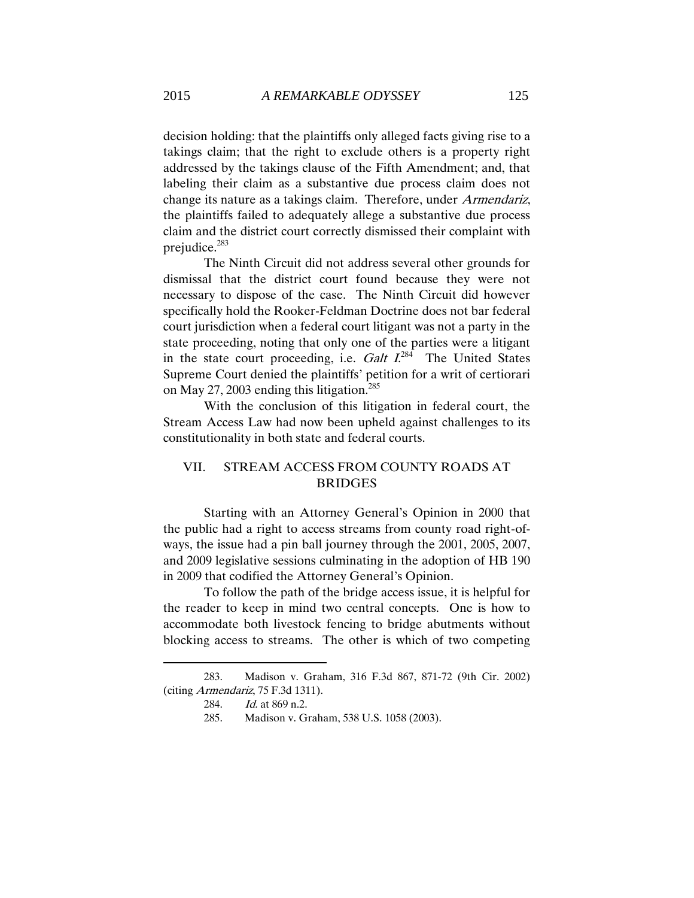decision holding: that the plaintiffs only alleged facts giving rise to a takings claim; that the right to exclude others is a property right addressed by the takings clause of the Fifth Amendment; and, that labeling their claim as a substantive due process claim does not change its nature as a takings claim. Therefore, under Armendariz, the plaintiffs failed to adequately allege a substantive due process claim and the district court correctly dismissed their complaint with prejudice.<sup>283</sup>

The Ninth Circuit did not address several other grounds for dismissal that the district court found because they were not necessary to dispose of the case. The Ninth Circuit did however specifically hold the Rooker-Feldman Doctrine does not bar federal court jurisdiction when a federal court litigant was not a party in the state proceeding, noting that only one of the parties were a litigant in the state court proceeding, i.e. Galt  $I^{284}$  The United States Supreme Court denied the plaintiffs' petition for a writ of certiorari on May 27, 2003 ending this litigation.<sup>285</sup>

With the conclusion of this litigation in federal court, the Stream Access Law had now been upheld against challenges to its constitutionality in both state and federal courts.

# VII. STREAM ACCESS FROM COUNTY ROADS AT BRIDGES

Starting with an Attorney General's Opinion in 2000 that the public had a right to access streams from county road right-ofways, the issue had a pin ball journey through the 2001, 2005, 2007, and 2009 legislative sessions culminating in the adoption of HB 190 in 2009 that codified the Attorney General's Opinion.

To follow the path of the bridge access issue, it is helpful for the reader to keep in mind two central concepts. One is how to accommodate both livestock fencing to bridge abutments without blocking access to streams. The other is which of two competing

<sup>283.</sup> Madison v. Graham, 316 F.3d 867, 871-72 (9th Cir. 2002) (citing Armendariz, 75 F.3d 1311).

<sup>284.</sup> Id. at 869 n.2.

<sup>285.</sup> Madison v. Graham, 538 U.S. 1058 (2003).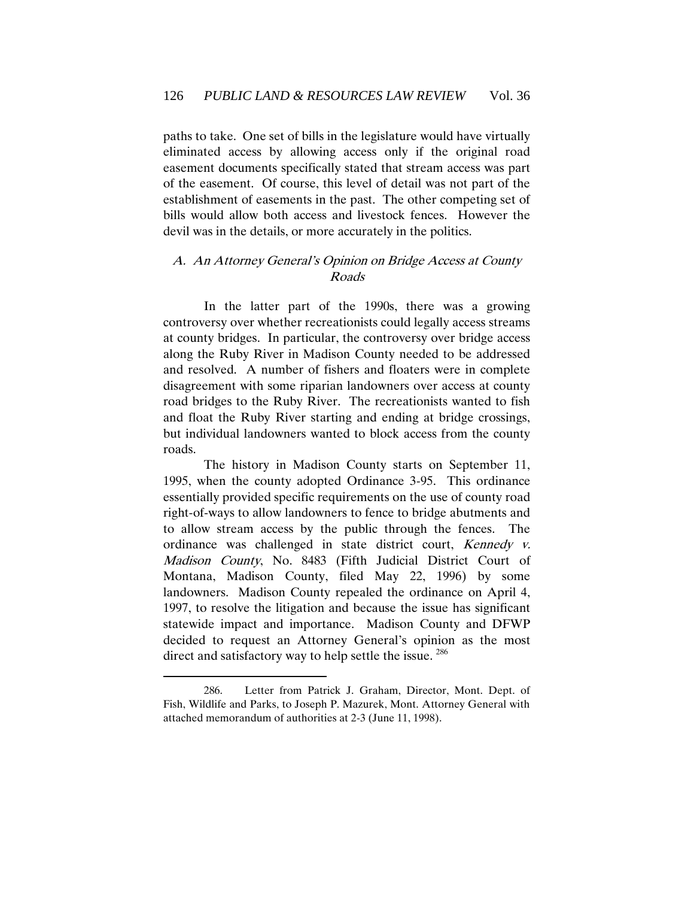paths to take. One set of bills in the legislature would have virtually eliminated access by allowing access only if the original road easement documents specifically stated that stream access was part of the easement. Of course, this level of detail was not part of the establishment of easements in the past. The other competing set of bills would allow both access and livestock fences. However the devil was in the details, or more accurately in the politics.

## A. An Attorney General's Opinion on Bridge Access at County Roads

In the latter part of the 1990s, there was a growing controversy over whether recreationists could legally access streams at county bridges. In particular, the controversy over bridge access along the Ruby River in Madison County needed to be addressed and resolved. A number of fishers and floaters were in complete disagreement with some riparian landowners over access at county road bridges to the Ruby River. The recreationists wanted to fish and float the Ruby River starting and ending at bridge crossings, but individual landowners wanted to block access from the county roads.

The history in Madison County starts on September 11, 1995, when the county adopted Ordinance 3-95. This ordinance essentially provided specific requirements on the use of county road right-of-ways to allow landowners to fence to bridge abutments and to allow stream access by the public through the fences. The ordinance was challenged in state district court, Kennedy v. Madison County, No. 8483 (Fifth Judicial District Court of Montana, Madison County, filed May 22, 1996) by some landowners. Madison County repealed the ordinance on April 4, 1997, to resolve the litigation and because the issue has significant statewide impact and importance. Madison County and DFWP decided to request an Attorney General's opinion as the most direct and satisfactory way to help settle the issue.  $286$ 

<sup>286.</sup> Letter from Patrick J. Graham, Director, Mont. Dept. of Fish, Wildlife and Parks, to Joseph P. Mazurek, Mont. Attorney General with attached memorandum of authorities at 2-3 (June 11, 1998).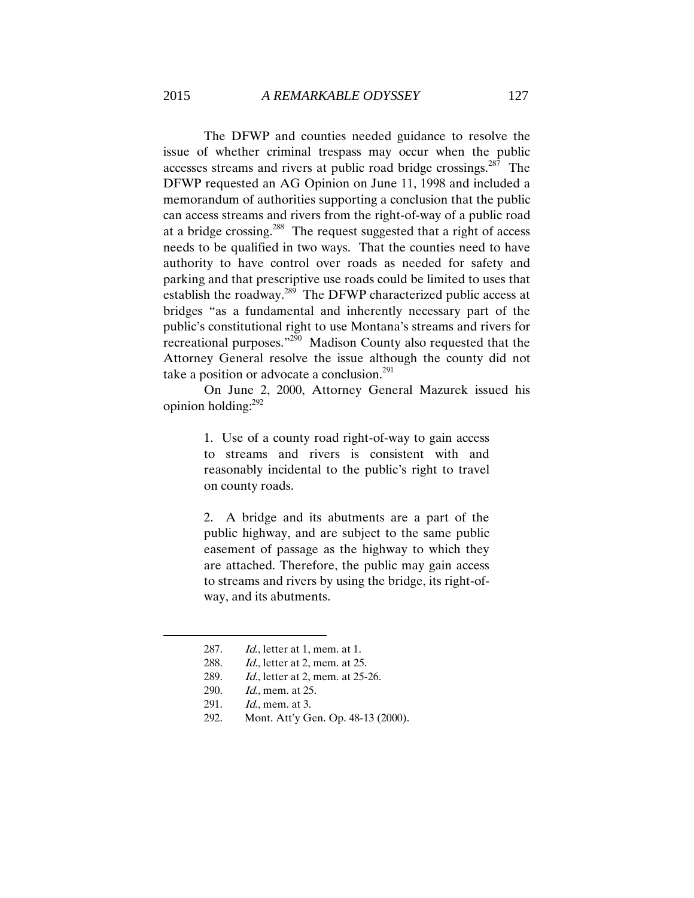The DFWP and counties needed guidance to resolve the issue of whether criminal trespass may occur when the public accesses streams and rivers at public road bridge crossings.<sup>287</sup> The DFWP requested an AG Opinion on June 11, 1998 and included a memorandum of authorities supporting a conclusion that the public can access streams and rivers from the right-of-way of a public road at a bridge crossing.<sup>288</sup> The request suggested that a right of access needs to be qualified in two ways. That the counties need to have authority to have control over roads as needed for safety and parking and that prescriptive use roads could be limited to uses that establish the roadway.<sup>289</sup> The DFWP characterized public access at bridges "as a fundamental and inherently necessary part of the public's constitutional right to use Montana's streams and rivers for recreational purposes."<sup>290</sup> Madison County also requested that the Attorney General resolve the issue although the county did not take a position or advocate a conclusion. $^{291}$ 

On June 2, 2000, Attorney General Mazurek issued his opinion holding: 292

> 1. Use of a county road right-of-way to gain access to streams and rivers is consistent with and reasonably incidental to the public's right to travel on county roads.

> 2. A bridge and its abutments are a part of the public highway, and are subject to the same public easement of passage as the highway to which they are attached. Therefore, the public may gain access to streams and rivers by using the bridge, its right-ofway, and its abutments.

- 288. Id., letter at 2, mem. at 25.
- 289. Id., letter at 2, mem. at 25-26.
- 290. Id., mem. at 25.
- 291. *Id.*, mem. at 3.

 $\overline{a}$ 

292. Mont. Att'y Gen. Op. 48-13 (2000).

<sup>287.</sup> *Id.*, letter at 1, mem. at 1.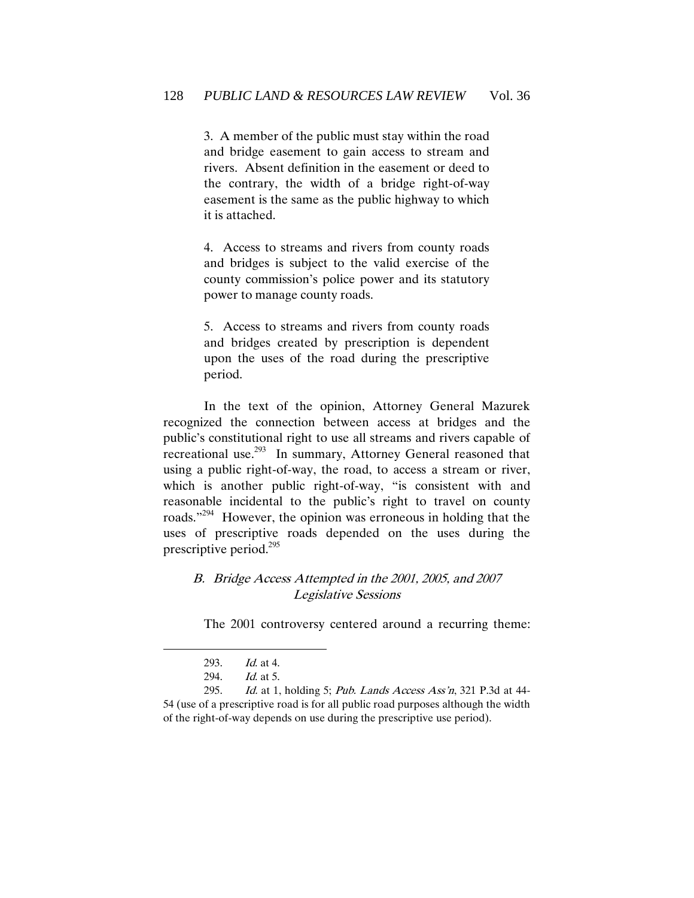3. A member of the public must stay within the road and bridge easement to gain access to stream and rivers. Absent definition in the easement or deed to the contrary, the width of a bridge right-of-way easement is the same as the public highway to which it is attached.

4. Access to streams and rivers from county roads and bridges is subject to the valid exercise of the county commission's police power and its statutory power to manage county roads.

5. Access to streams and rivers from county roads and bridges created by prescription is dependent upon the uses of the road during the prescriptive period.

In the text of the opinion, Attorney General Mazurek recognized the connection between access at bridges and the public's constitutional right to use all streams and rivers capable of recreational use.<sup>293</sup> In summary, Attorney General reasoned that using a public right-of-way, the road, to access a stream or river, which is another public right-of-way, "is consistent with and reasonable incidental to the public's right to travel on county roads."<sup>294</sup> However, the opinion was erroneous in holding that the uses of prescriptive roads depended on the uses during the prescriptive period.<sup>295</sup>

### B. Bridge Access Attempted in the 2001, 2005, and 2007 Legislative Sessions

The 2001 controversy centered around a recurring theme:

<sup>293.</sup> Id. at 4.

<sup>294.</sup> Id. at 5.

<sup>295.</sup> Id. at 1, holding 5; Pub. Lands Access Ass'n, 321 P.3d at 44-54 (use of a prescriptive road is for all public road purposes although the width of the right-of-way depends on use during the prescriptive use period).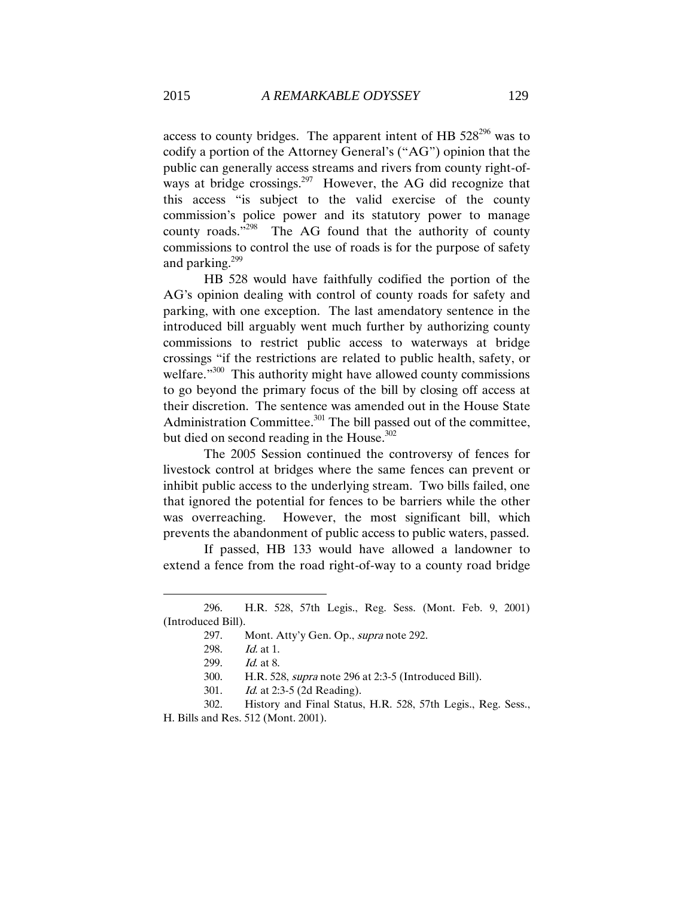access to county bridges. The apparent intent of HB  $528^{296}$  was to codify a portion of the Attorney General's ("AG") opinion that the public can generally access streams and rivers from county right-ofways at bridge crossings.<sup>297</sup> However, the AG did recognize that this access "is subject to the valid exercise of the county commission's police power and its statutory power to manage county roads." 298 The AG found that the authority of county commissions to control the use of roads is for the purpose of safety and parking.<sup>299</sup>

HB 528 would have faithfully codified the portion of the AG's opinion dealing with control of county roads for safety and parking, with one exception. The last amendatory sentence in the introduced bill arguably went much further by authorizing county commissions to restrict public access to waterways at bridge crossings "if the restrictions are related to public health, safety, or welfare."<sup>300</sup> This authority might have allowed county commissions to go beyond the primary focus of the bill by closing off access at their discretion. The sentence was amended out in the House State Administration Committee.<sup>301</sup> The bill passed out of the committee, but died on second reading in the House.<sup>302</sup>

The 2005 Session continued the controversy of fences for livestock control at bridges where the same fences can prevent or inhibit public access to the underlying stream. Two bills failed, one that ignored the potential for fences to be barriers while the other was overreaching. However, the most significant bill, which prevents the abandonment of public access to public waters, passed.

If passed, HB 133 would have allowed a landowner to extend a fence from the road right-of-way to a county road bridge

<sup>296.</sup> H.R. 528, 57th Legis., Reg. Sess. (Mont. Feb. 9, 2001) (Introduced Bill).

<sup>297.</sup> Mont. Atty'y Gen. Op., *supra* note 292.

<sup>298.</sup> Id. at 1.

<sup>299.</sup> *Id.* at 8.

<sup>300.</sup> H.R. 528, supra note 296 at 2:3-5 (Introduced Bill).

<sup>301.</sup> Id. at 2:3-5 (2d Reading).

<sup>302.</sup> History and Final Status, H.R. 528, 57th Legis., Reg. Sess., H. Bills and Res. 512 (Mont. 2001).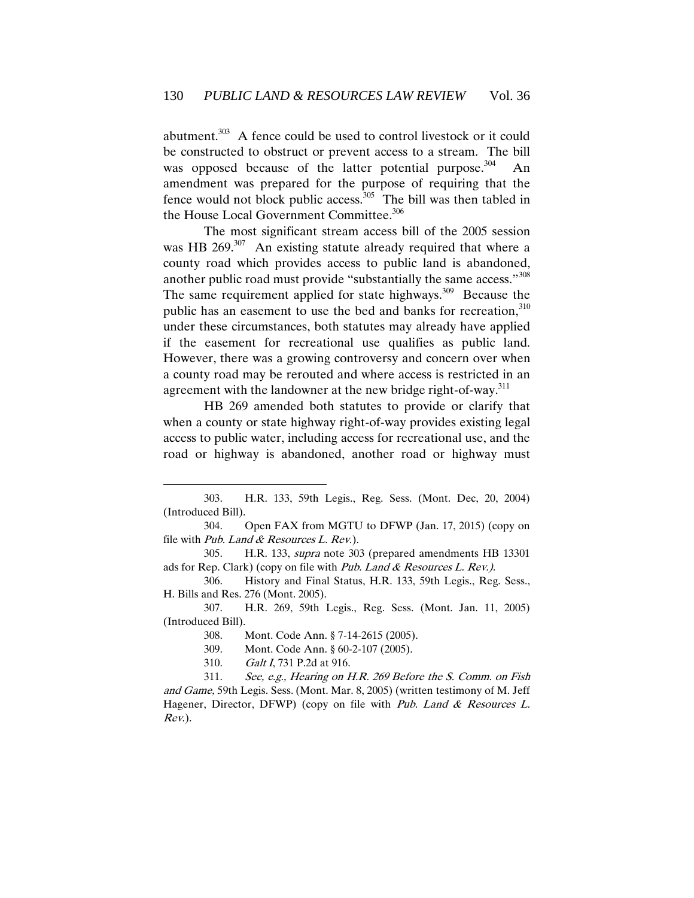abutment.<sup>303</sup> A fence could be used to control livestock or it could be constructed to obstruct or prevent access to a stream. The bill was opposed because of the latter potential purpose.<sup>304</sup> An amendment was prepared for the purpose of requiring that the fence would not block public access.<sup>305</sup> The bill was then tabled in the House Local Government Committee.<sup>306</sup>

The most significant stream access bill of the 2005 session was HB  $269$ <sup>307</sup> An existing statute already required that where a county road which provides access to public land is abandoned, another public road must provide "substantially the same access."<sup>308</sup> The same requirement applied for state highways.<sup>309</sup> Because the public has an easement to use the bed and banks for recreation,  $310$ under these circumstances, both statutes may already have applied if the easement for recreational use qualifies as public land. However, there was a growing controversy and concern over when a county road may be rerouted and where access is restricted in an agreement with the landowner at the new bridge right-of-way.<sup>311</sup>

HB 269 amended both statutes to provide or clarify that when a county or state highway right-of-way provides existing legal access to public water, including access for recreational use, and the road or highway is abandoned, another road or highway must

<sup>303.</sup> H.R. 133, 59th Legis., Reg. Sess. (Mont. Dec, 20, 2004) (Introduced Bill).

<sup>304.</sup> Open FAX from MGTU to DFWP (Jan. 17, 2015) (copy on file with Pub. Land & Resources L. Rev.).

<sup>305.</sup> H.R. 133, supra note 303 (prepared amendments HB 13301 ads for Rep. Clark) (copy on file with Pub. Land  $&$  Resources L. Rev.).

<sup>306.</sup> History and Final Status, H.R. 133, 59th Legis., Reg. Sess., H. Bills and Res. 276 (Mont. 2005).

<sup>307.</sup> H.R. 269, 59th Legis., Reg. Sess. (Mont. Jan. 11, 2005) (Introduced Bill).

<sup>308.</sup> Mont. Code Ann. § 7-14-2615 (2005).

<sup>309.</sup> Mont. Code Ann. § 60-2-107 (2005).

<sup>310.</sup> Galt I, 731 P.2d at 916.

<sup>311.</sup> See, e.g., Hearing on H.R. 269 Before the S. Comm. on Fish and Game, 59th Legis. Sess. (Mont. Mar. 8, 2005) (written testimony of M. Jeff Hagener, Director, DFWP) (copy on file with Pub. Land  $&$  Resources L. Rev.).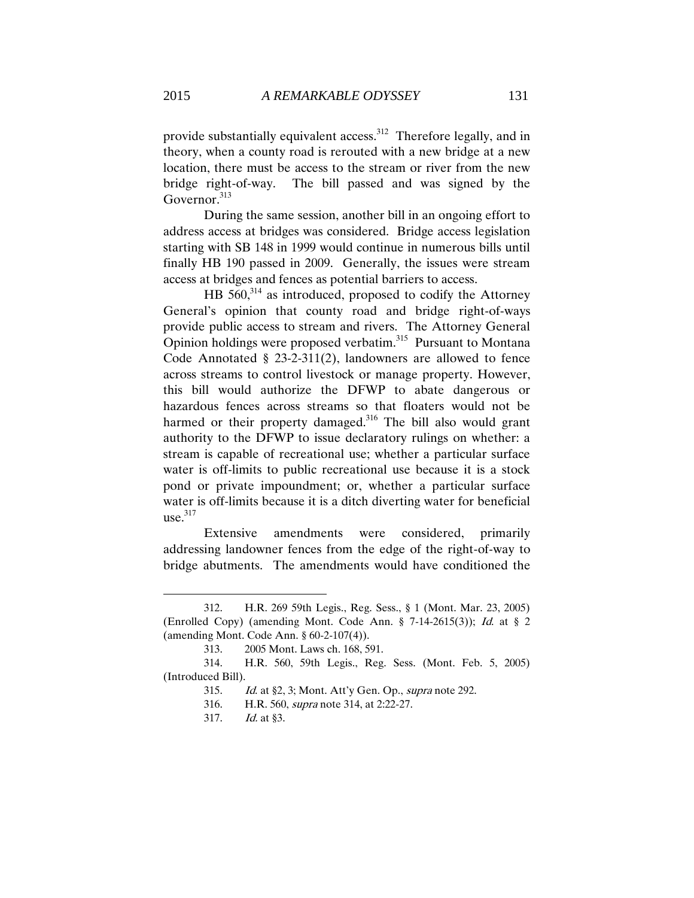provide substantially equivalent access.<sup>312</sup> Therefore legally, and in theory, when a county road is rerouted with a new bridge at a new location, there must be access to the stream or river from the new bridge right-of-way. The bill passed and was signed by the Governor.<sup>313</sup>

During the same session, another bill in an ongoing effort to address access at bridges was considered. Bridge access legislation starting with SB 148 in 1999 would continue in numerous bills until finally HB 190 passed in 2009. Generally, the issues were stream access at bridges and fences as potential barriers to access.

HB  $560$ ,<sup>314</sup> as introduced, proposed to codify the Attorney General's opinion that county road and bridge right-of-ways provide public access to stream and rivers. The Attorney General Opinion holdings were proposed verbatim.<sup>315</sup> Pursuant to Montana Code Annotated § 23-2-311(2), landowners are allowed to fence across streams to control livestock or manage property. However, this bill would authorize the DFWP to abate dangerous or hazardous fences across streams so that floaters would not be harmed or their property damaged.<sup>316</sup> The bill also would grant authority to the DFWP to issue declaratory rulings on whether: a stream is capable of recreational use; whether a particular surface water is off-limits to public recreational use because it is a stock pond or private impoundment; or, whether a particular surface water is off-limits because it is a ditch diverting water for beneficial  $use.<sup>317</sup>$ 

Extensive amendments were considered, primarily addressing landowner fences from the edge of the right-of-way to bridge abutments. The amendments would have conditioned the

<sup>312.</sup> H.R. 269 59th Legis., Reg. Sess., § 1 (Mont. Mar. 23, 2005) (Enrolled Copy) (amending Mont. Code Ann. § 7-14-2615(3)); Id. at § 2 (amending Mont. Code Ann. § 60-2-107(4)).

<sup>313.</sup> 2005 Mont. Laws ch. 168, 591.

<sup>314.</sup> H.R. 560, 59th Legis., Reg. Sess. (Mont. Feb. 5, 2005) (Introduced Bill).

<sup>315.</sup> Id. at §2, 3; Mont. Att'y Gen. Op., supra note 292.

<sup>316.</sup> H.R. 560, supra note 314, at 2:22-27.

<sup>317.</sup> Id. at §3.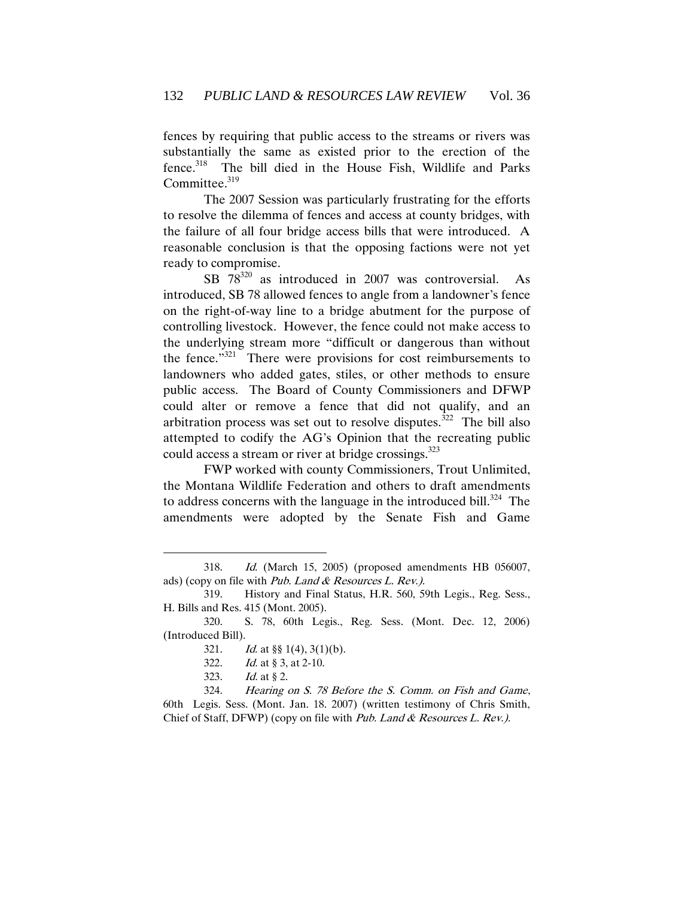fences by requiring that public access to the streams or rivers was substantially the same as existed prior to the erection of the fence.<sup>318</sup> The bill died in the House Fish, Wildlife and Parks Committee.<sup>319</sup>

The 2007 Session was particularly frustrating for the efforts to resolve the dilemma of fences and access at county bridges, with the failure of all four bridge access bills that were introduced. A reasonable conclusion is that the opposing factions were not yet ready to compromise.

SB 78<sup>320</sup> as introduced in 2007 was controversial. As introduced, SB 78 allowed fences to angle from a landowner's fence on the right-of-way line to a bridge abutment for the purpose of controlling livestock. However, the fence could not make access to the underlying stream more "difficult or dangerous than without the fence."<sup>321</sup> There were provisions for cost reimbursements to landowners who added gates, stiles, or other methods to ensure public access. The Board of County Commissioners and DFWP could alter or remove a fence that did not qualify, and an arbitration process was set out to resolve disputes.<sup>322</sup> The bill also attempted to codify the AG's Opinion that the recreating public could access a stream or river at bridge crossings.<sup>323</sup>

FWP worked with county Commissioners, Trout Unlimited, the Montana Wildlife Federation and others to draft amendments to address concerns with the language in the introduced bill.<sup>324</sup> The amendments were adopted by the Senate Fish and Game

323. Id. at § 2.

<sup>318.</sup> Id. (March 15, 2005) (proposed amendments HB 056007, ads) (copy on file with Pub. Land & Resources L. Rev.).

<sup>319.</sup> History and Final Status, H.R. 560, 59th Legis., Reg. Sess., H. Bills and Res. 415 (Mont. 2005).

<sup>320.</sup> S. 78, 60th Legis., Reg. Sess. (Mont. Dec. 12, 2006) (Introduced Bill).

<sup>321.</sup> Id. at  $\S$   $(4)$ ,  $3(1)(b)$ .

<sup>322.</sup> *Id.* at § 3, at 2-10.

<sup>324.</sup> Hearing on S. 78 Before the S. Comm. on Fish and Game, 60th Legis. Sess. (Mont. Jan. 18. 2007) (written testimony of Chris Smith, Chief of Staff, DFWP) (copy on file with Pub. Land  $\&$  Resources L. Rev.).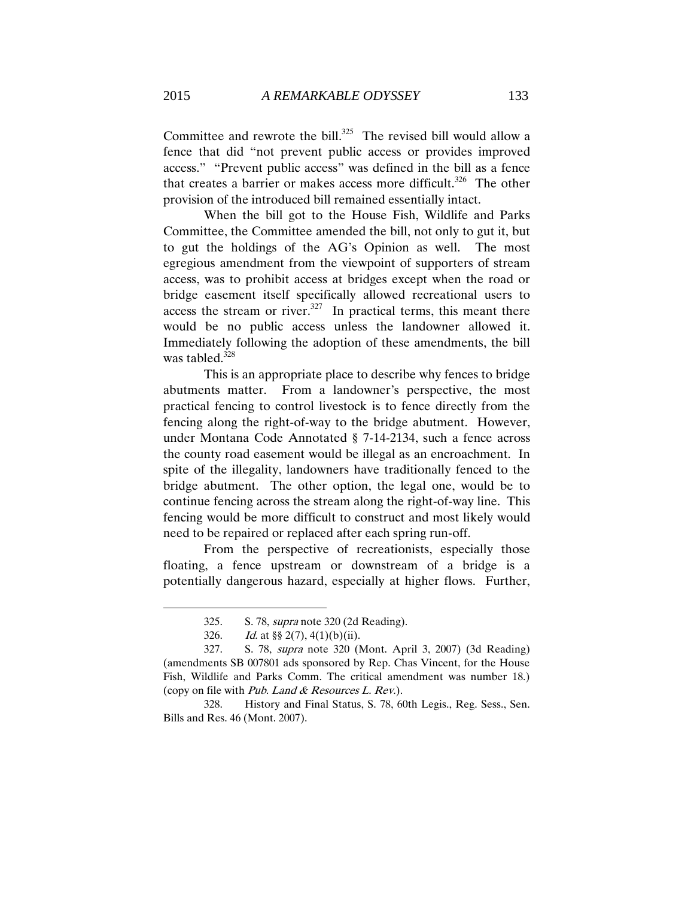Committee and rewrote the bill. $325$  The revised bill would allow a fence that did "not prevent public access or provides improved access." "Prevent public access" was defined in the bill as a fence that creates a barrier or makes access more difficult.<sup>326</sup> The other provision of the introduced bill remained essentially intact.

When the bill got to the House Fish, Wildlife and Parks Committee, the Committee amended the bill, not only to gut it, but to gut the holdings of the AG's Opinion as well. The most egregious amendment from the viewpoint of supporters of stream access, was to prohibit access at bridges except when the road or bridge easement itself specifically allowed recreational users to access the stream or river.<sup>327</sup> In practical terms, this meant there would be no public access unless the landowner allowed it. Immediately following the adoption of these amendments, the bill was tabled. $328$ 

This is an appropriate place to describe why fences to bridge abutments matter. From a landowner's perspective, the most practical fencing to control livestock is to fence directly from the fencing along the right-of-way to the bridge abutment. However, under Montana Code Annotated § 7-14-2134, such a fence across the county road easement would be illegal as an encroachment. In spite of the illegality, landowners have traditionally fenced to the bridge abutment. The other option, the legal one, would be to continue fencing across the stream along the right-of-way line. This fencing would be more difficult to construct and most likely would need to be repaired or replaced after each spring run-off.

From the perspective of recreationists, especially those floating, a fence upstream or downstream of a bridge is a potentially dangerous hazard, especially at higher flows. Further,

<sup>325.</sup> S. 78, supra note 320 (2d Reading).

<sup>326.</sup> Id. at  $\S$  2(7), 4(1)(b)(ii).

<sup>327.</sup> S. 78, supra note 320 (Mont. April 3, 2007) (3d Reading) (amendments SB 007801 ads sponsored by Rep. Chas Vincent, for the House Fish, Wildlife and Parks Comm. The critical amendment was number 18.) (copy on file with Pub. Land  $& Resources \ L. \ Rev.$ ).

<sup>328.</sup> History and Final Status, S. 78, 60th Legis., Reg. Sess., Sen. Bills and Res. 46 (Mont. 2007).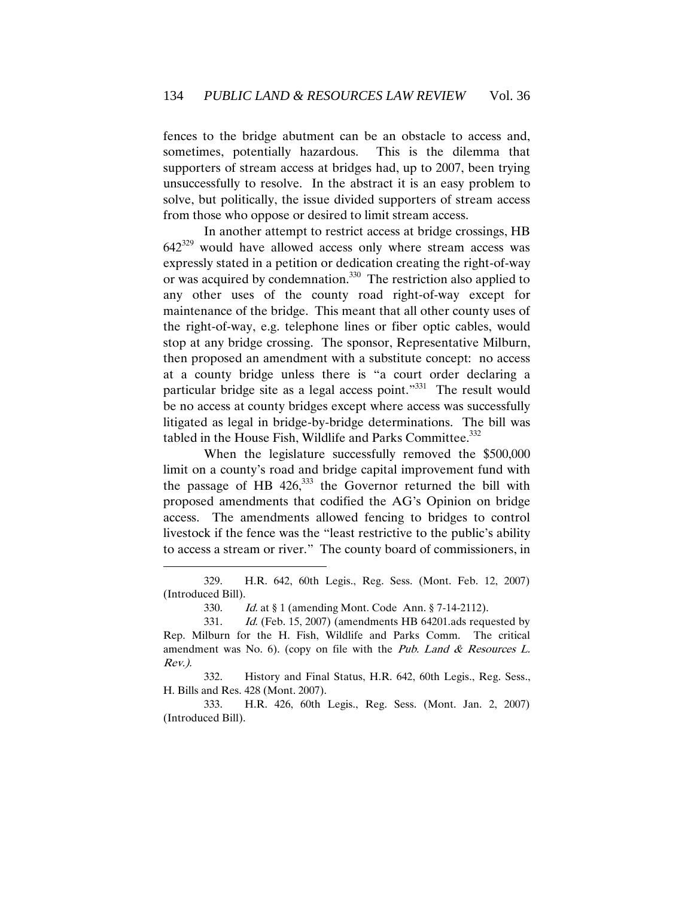fences to the bridge abutment can be an obstacle to access and, sometimes, potentially hazardous. This is the dilemma that supporters of stream access at bridges had, up to 2007, been trying unsuccessfully to resolve. In the abstract it is an easy problem to solve, but politically, the issue divided supporters of stream access from those who oppose or desired to limit stream access.

In another attempt to restrict access at bridge crossings, HB  $642^{329}$  would have allowed access only where stream access was expressly stated in a petition or dedication creating the right-of-way or was acquired by condemnation.<sup>330</sup> The restriction also applied to any other uses of the county road right-of-way except for maintenance of the bridge. This meant that all other county uses of the right-of-way, e.g. telephone lines or fiber optic cables, would stop at any bridge crossing. The sponsor, Representative Milburn, then proposed an amendment with a substitute concept: no access at a county bridge unless there is "a court order declaring a particular bridge site as a legal access point."<sup>331</sup> The result would be no access at county bridges except where access was successfully litigated as legal in bridge-by-bridge determinations. The bill was tabled in the House Fish, Wildlife and Parks Committee.<sup>332</sup>

When the legislature successfully removed the \$500,000 limit on a county's road and bridge capital improvement fund with the passage of HB  $426$ ,  $333$  the Governor returned the bill with proposed amendments that codified the AG's Opinion on bridge access. The amendments allowed fencing to bridges to control livestock if the fence was the "least restrictive to the public's ability to access a stream or river." The county board of commissioners, in

 $\overline{a}$ 

332. History and Final Status, H.R. 642, 60th Legis., Reg. Sess., H. Bills and Res. 428 (Mont. 2007).

333. H.R. 426, 60th Legis., Reg. Sess. (Mont. Jan. 2, 2007) (Introduced Bill).

<sup>329.</sup> H.R. 642, 60th Legis., Reg. Sess. (Mont. Feb. 12, 2007) (Introduced Bill).

<sup>330.</sup> Id. at § 1 (amending Mont. Code Ann. § 7-14-2112).

<sup>331.</sup> *Id.* (Feb. 15, 2007) (amendments HB 64201.ads requested by Rep. Milburn for the H. Fish, Wildlife and Parks Comm. The critical amendment was No. 6). (copy on file with the Pub. Land  $&$  Resources L. Rev.).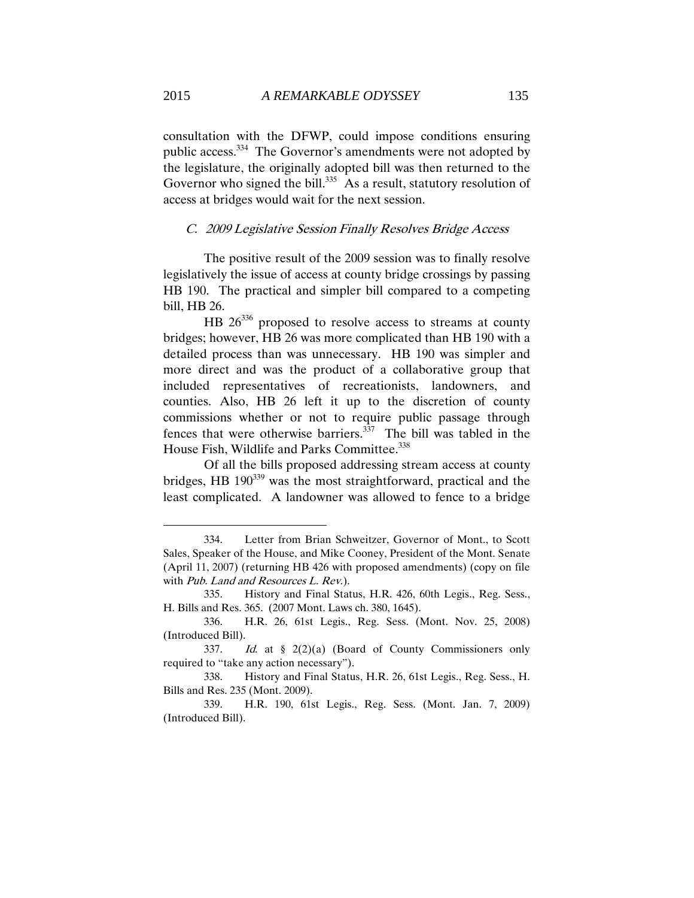consultation with the DFWP, could impose conditions ensuring public access.<sup>334</sup> The Governor's amendments were not adopted by the legislature, the originally adopted bill was then returned to the Governor who signed the bill. $335$  As a result, statutory resolution of access at bridges would wait for the next session.

#### C. 2009 Legislative Session Finally Resolves Bridge Access

The positive result of the 2009 session was to finally resolve legislatively the issue of access at county bridge crossings by passing HB 190. The practical and simpler bill compared to a competing bill, HB 26.

 $HB$  26<sup>336</sup> proposed to resolve access to streams at county bridges; however, HB 26 was more complicated than HB 190 with a detailed process than was unnecessary. HB 190 was simpler and more direct and was the product of a collaborative group that included representatives of recreationists, landowners, and counties. Also, HB 26 left it up to the discretion of county commissions whether or not to require public passage through fences that were otherwise barriers.<sup>337</sup> The bill was tabled in the House Fish, Wildlife and Parks Committee.<sup>338</sup>

Of all the bills proposed addressing stream access at county bridges, HB 190<sup>339</sup> was the most straightforward, practical and the least complicated. A landowner was allowed to fence to a bridge

<sup>334.</sup> Letter from Brian Schweitzer, Governor of Mont., to Scott Sales, Speaker of the House, and Mike Cooney, President of the Mont. Senate (April 11, 2007) (returning HB 426 with proposed amendments) (copy on file with Pub. Land and Resources L. Rev.).

<sup>335.</sup> History and Final Status, H.R. 426, 60th Legis., Reg. Sess., H. Bills and Res. 365. (2007 Mont. Laws ch. 380, 1645).

<sup>336.</sup> H.R. 26, 61st Legis., Reg. Sess. (Mont. Nov. 25, 2008) (Introduced Bill).

<sup>337.</sup> Id. at § 2(2)(a) (Board of County Commissioners only required to "take any action necessary").

<sup>338.</sup> History and Final Status, H.R. 26, 61st Legis., Reg. Sess., H. Bills and Res. 235 (Mont. 2009).

<sup>339.</sup> H.R. 190, 61st Legis., Reg. Sess. (Mont. Jan. 7, 2009) (Introduced Bill).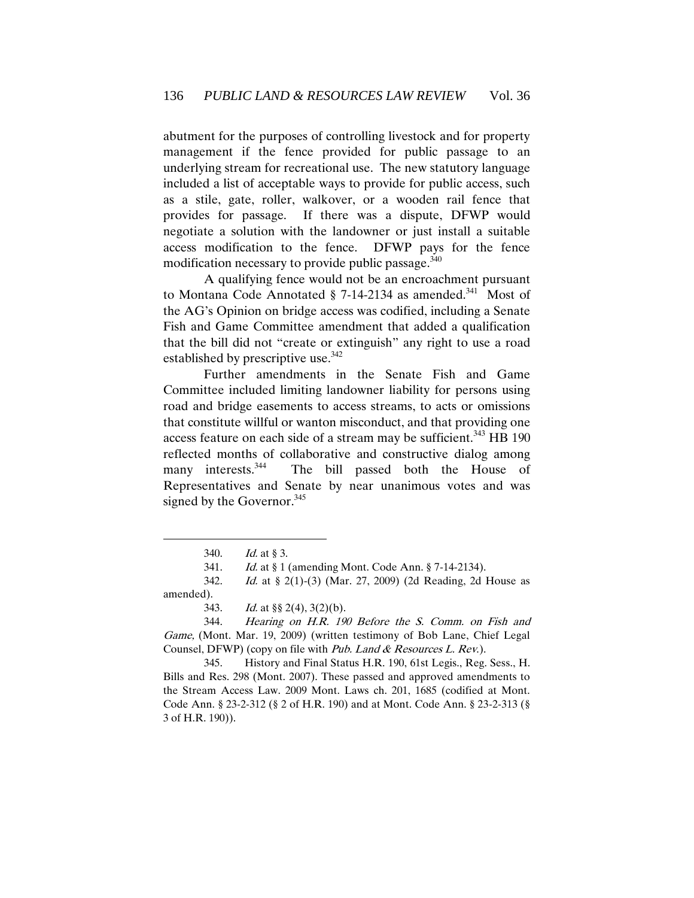abutment for the purposes of controlling livestock and for property management if the fence provided for public passage to an underlying stream for recreational use. The new statutory language included a list of acceptable ways to provide for public access, such as a stile, gate, roller, walkover, or a wooden rail fence that provides for passage. If there was a dispute, DFWP would negotiate a solution with the landowner or just install a suitable access modification to the fence. DFWP pays for the fence modification necessary to provide public passage.<sup>340</sup>

A qualifying fence would not be an encroachment pursuant to Montana Code Annotated  $\S$  7-14-2134 as amended.<sup>341</sup> Most of the AG's Opinion on bridge access was codified, including a Senate Fish and Game Committee amendment that added a qualification that the bill did not "create or extinguish" any right to use a road established by prescriptive use. $342$ 

Further amendments in the Senate Fish and Game Committee included limiting landowner liability for persons using road and bridge easements to access streams, to acts or omissions that constitute willful or wanton misconduct, and that providing one access feature on each side of a stream may be sufficient.<sup>343</sup> HB 190 reflected months of collaborative and constructive dialog among many interests.<sup>344</sup> The bill passed both the House of Representatives and Senate by near unanimous votes and was signed by the Governor. $345$ 

 $\overline{a}$ 

345. History and Final Status H.R. 190, 61st Legis., Reg. Sess., H. Bills and Res. 298 (Mont. 2007). These passed and approved amendments to the Stream Access Law. 2009 Mont. Laws ch. 201, 1685 (codified at Mont. Code Ann. § 23-2-312 (§ 2 of H.R. 190) and at Mont. Code Ann. § 23-2-313 (§ 3 of H.R. 190)).

<sup>340.</sup> Id. at § 3.

<sup>341.</sup> Id. at § 1 (amending Mont. Code Ann. § 7-14-2134).

<sup>342.</sup> Id. at § 2(1)-(3) (Mar. 27, 2009) (2d Reading, 2d House as amended).

<sup>343.</sup> Id. at  $\S\S 2(4)$ ,  $3(2)(b)$ .

<sup>344.</sup> Hearing on H.R. 190 Before the S. Comm. on Fish and Game, (Mont. Mar. 19, 2009) (written testimony of Bob Lane, Chief Legal Counsel, DFWP) (copy on file with Pub. Land & Resources L. Rev.).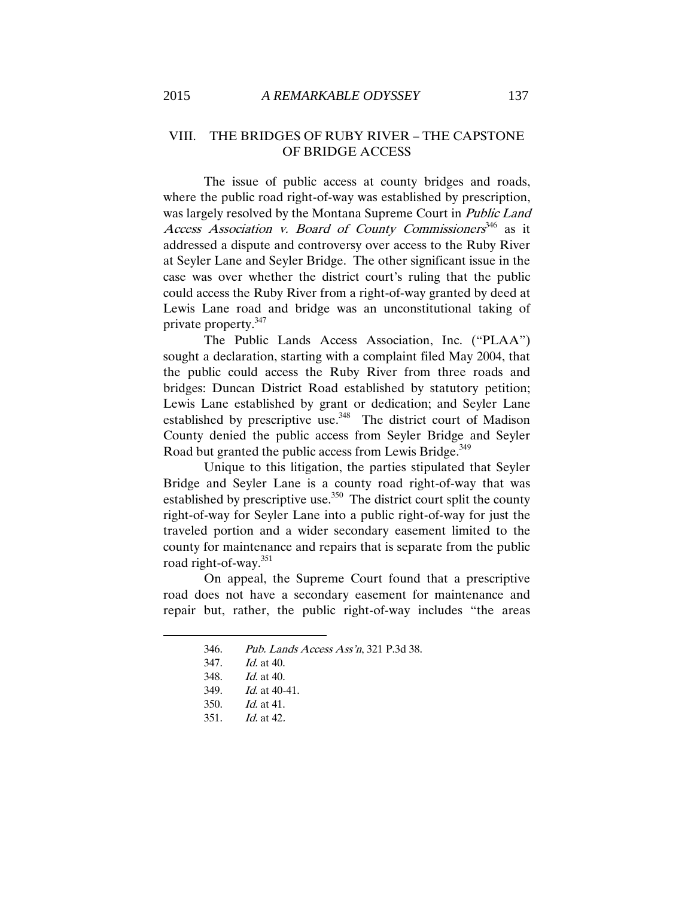## VIII. THE BRIDGES OF RUBY RIVER – THE CAPSTONE OF BRIDGE ACCESS

The issue of public access at county bridges and roads, where the public road right-of-way was established by prescription, was largely resolved by the Montana Supreme Court in Public Land Access Association v. Board of County Commissioners<sup>346</sup> as it addressed a dispute and controversy over access to the Ruby River at Seyler Lane and Seyler Bridge. The other significant issue in the case was over whether the district court's ruling that the public could access the Ruby River from a right-of-way granted by deed at Lewis Lane road and bridge was an unconstitutional taking of private property.<sup>347</sup>

The Public Lands Access Association, Inc. ("PLAA") sought a declaration, starting with a complaint filed May 2004, that the public could access the Ruby River from three roads and bridges: Duncan District Road established by statutory petition; Lewis Lane established by grant or dedication; and Seyler Lane established by prescriptive use.<sup>348</sup> The district court of Madison County denied the public access from Seyler Bridge and Seyler Road but granted the public access from Lewis Bridge.<sup>349</sup>

Unique to this litigation, the parties stipulated that Seyler Bridge and Seyler Lane is a county road right-of-way that was established by prescriptive use.<sup>350</sup> The district court split the county right-of-way for Seyler Lane into a public right-of-way for just the traveled portion and a wider secondary easement limited to the county for maintenance and repairs that is separate from the public road right-of-way.<sup>351</sup>

On appeal, the Supreme Court found that a prescriptive road does not have a secondary easement for maintenance and repair but, rather, the public right-of-way includes "the areas

- 346. Pub. Lands Access Ass'n, 321 P.3d 38.
- 347. Id. at 40.

- 348. Id. at 40.
- 349. Id. at 40-41.
- 350. Id. at 41.
- 351. Id. at 42.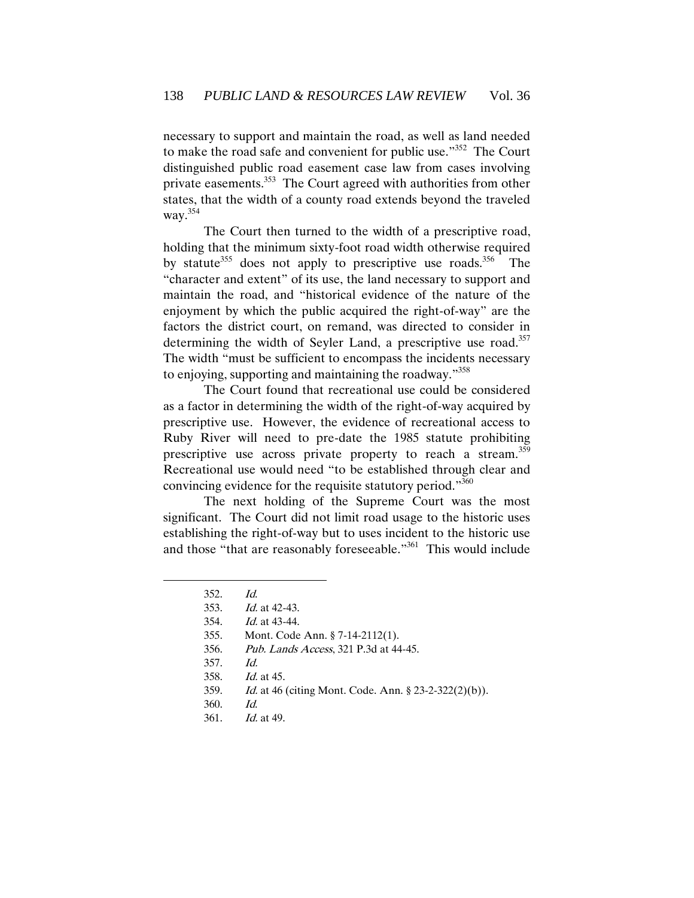necessary to support and maintain the road, as well as land needed to make the road safe and convenient for public use."<sup>352</sup> The Court distinguished public road easement case law from cases involving private easements.<sup>353</sup> The Court agreed with authorities from other states, that the width of a county road extends beyond the traveled way. $354$ 

The Court then turned to the width of a prescriptive road, holding that the minimum sixty-foot road width otherwise required by statute<sup>355</sup> does not apply to prescriptive use roads.<sup>356</sup> The "character and extent" of its use, the land necessary to support and maintain the road, and "historical evidence of the nature of the enjoyment by which the public acquired the right-of-way" are the factors the district court, on remand, was directed to consider in determining the width of Seyler Land, a prescriptive use road.<sup>357</sup> The width "must be sufficient to encompass the incidents necessary to enjoying, supporting and maintaining the roadway."<sup>358</sup>

The Court found that recreational use could be considered as a factor in determining the width of the right-of-way acquired by prescriptive use. However, the evidence of recreational access to Ruby River will need to pre-date the 1985 statute prohibiting prescriptive use across private property to reach a stream.<sup>359</sup> Recreational use would need "to be established through clear and convincing evidence for the requisite statutory period."<sup>360</sup>

The next holding of the Supreme Court was the most significant. The Court did not limit road usage to the historic uses establishing the right-of-way but to uses incident to the historic use and those "that are reasonably foreseeable."<sup>361</sup> This would include

- 355. Mont. Code Ann. § 7-14-2112(1).
- 356. Pub. Lands Access, 321 P.3d at 44-45.
- 357. Id.
- 358. Id. at 45.
- 359. Id. at 46 (citing Mont. Code. Ann. § 23-2-322(2)(b)).
- 360. Id.
- 361. Id. at 49.

<sup>352.</sup> Id.

<sup>353.</sup> Id. at 42-43.

<sup>354.</sup> Id. at 43-44.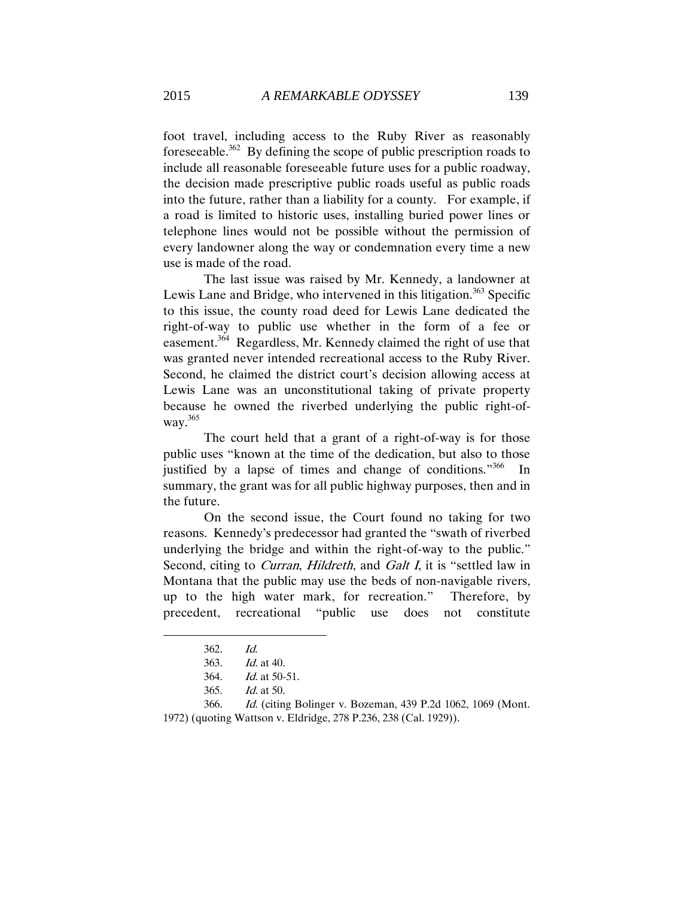foot travel, including access to the Ruby River as reasonably foreseeable.<sup>362</sup> By defining the scope of public prescription roads to include all reasonable foreseeable future uses for a public roadway, the decision made prescriptive public roads useful as public roads into the future, rather than a liability for a county. For example, if a road is limited to historic uses, installing buried power lines or telephone lines would not be possible without the permission of every landowner along the way or condemnation every time a new use is made of the road.

The last issue was raised by Mr. Kennedy, a landowner at Lewis Lane and Bridge, who intervened in this litigation.<sup>363</sup> Specific to this issue, the county road deed for Lewis Lane dedicated the right-of-way to public use whether in the form of a fee or easement.<sup>364</sup> Regardless, Mr. Kennedy claimed the right of use that was granted never intended recreational access to the Ruby River. Second, he claimed the district court's decision allowing access at Lewis Lane was an unconstitutional taking of private property because he owned the riverbed underlying the public right-ofway.<sup>365</sup>

The court held that a grant of a right-of-way is for those public uses "known at the time of the dedication, but also to those justified by a lapse of times and change of conditions."<sup>366</sup> In summary, the grant was for all public highway purposes, then and in the future.

On the second issue, the Court found no taking for two reasons. Kennedy's predecessor had granted the "swath of riverbed underlying the bridge and within the right-of-way to the public." Second, citing to *Curran, Hildreth*, and *Galt I*, it is "settled law in Montana that the public may use the beds of non-navigable rivers, up to the high water mark, for recreation." Therefore, by precedent, recreational "public use does not constitute

<sup>362.</sup> Id.

<sup>363.</sup> Id. at 40.

<sup>364.</sup> Id. at 50-51.

<sup>365.</sup> Id. at 50.

<sup>366.</sup> Id. (citing Bolinger v. Bozeman, 439 P.2d 1062, 1069 (Mont. 1972) (quoting Wattson v. Eldridge, 278 P.236, 238 (Cal. 1929)).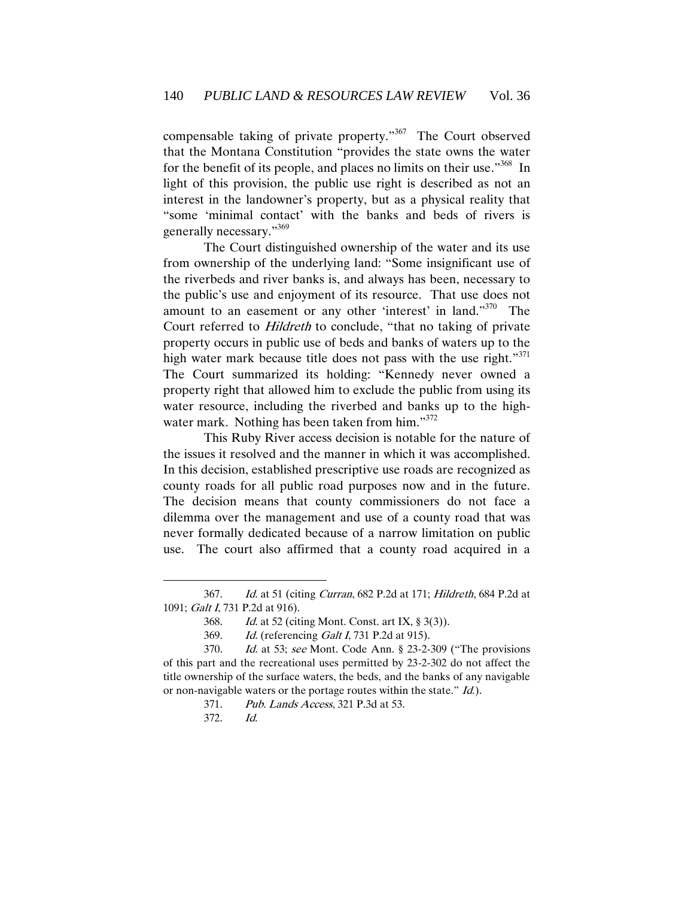compensable taking of private property." 367 The Court observed that the Montana Constitution "provides the state owns the water for the benefit of its people, and places no limits on their use."<sup>368</sup> In light of this provision, the public use right is described as not an interest in the landowner's property, but as a physical reality that "some 'minimal contact' with the banks and beds of rivers is generally necessary."369

The Court distinguished ownership of the water and its use from ownership of the underlying land: "Some insignificant use of the riverbeds and river banks is, and always has been, necessary to the public's use and enjoyment of its resource. That use does not amount to an easement or any other 'interest' in land."<sup>370</sup> The Court referred to Hildreth to conclude, "that no taking of private property occurs in public use of beds and banks of waters up to the high water mark because title does not pass with the use right."<sup>371</sup> The Court summarized its holding: "Kennedy never owned a property right that allowed him to exclude the public from using its water resource, including the riverbed and banks up to the highwater mark. Nothing has been taken from him."<sup>372</sup>

This Ruby River access decision is notable for the nature of the issues it resolved and the manner in which it was accomplished. In this decision, established prescriptive use roads are recognized as county roads for all public road purposes now and in the future. The decision means that county commissioners do not face a dilemma over the management and use of a county road that was never formally dedicated because of a narrow limitation on public use. The court also affirmed that a county road acquired in a

<sup>367.</sup> Id. at 51 (citing Curran, 682 P.2d at 171; Hildreth, 684 P.2d at 1091; Galt I, 731 P.2d at 916).

<sup>368.</sup> Id. at 52 (citing Mont. Const. art IX, § 3(3)).

<sup>369.</sup> *Id.* (referencing *Galt I*, 731 P.2d at 915).

<sup>370.</sup> Id. at 53; see Mont. Code Ann. § 23-2-309 ("The provisions of this part and the recreational uses permitted by 23-2-302 do not affect the title ownership of the surface waters, the beds, and the banks of any navigable or non-navigable waters or the portage routes within the state." *Id.*).

<sup>371.</sup> Pub. Lands Access, 321 P.3d at 53.

<sup>372.</sup> Id.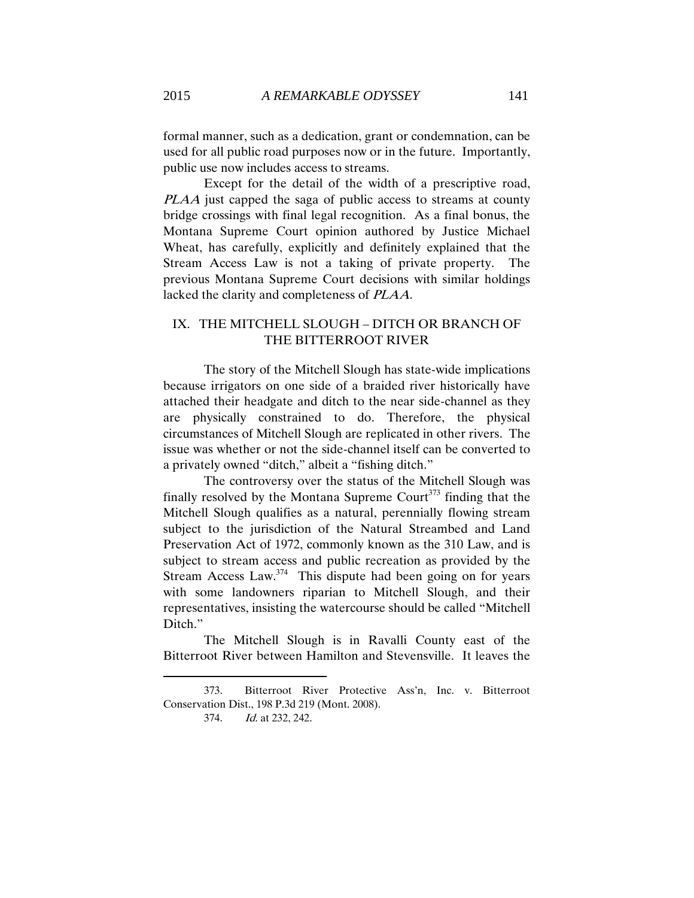formal manner, such as a dedication, grant or condemnation, can be used for all public road purposes now or in the future. Importantly, public use now includes access to streams.

Except for the detail of the width of a prescriptive road, PLAA just capped the saga of public access to streams at county bridge crossings with final legal recognition. As a final bonus, the Montana Supreme Court opinion authored by Justice Michael Wheat, has carefully, explicitly and definitely explained that the Stream Access Law is not a taking of private property. The previous Montana Supreme Court decisions with similar holdings lacked the clarity and completeness of PLAA.

## IX. THE MITCHELL SLOUGH – DITCH OR BRANCH OF THE BITTERROOT RIVER

The story of the Mitchell Slough has state-wide implications because irrigators on one side of a braided river historically have attached their headgate and ditch to the near side-channel as they are physically constrained to do. Therefore, the physical circumstances of Mitchell Slough are replicated in other rivers. The issue was whether or not the side-channel itself can be converted to a privately owned "ditch," albeit a "fishing ditch."

The controversy over the status of the Mitchell Slough was finally resolved by the Montana Supreme Court $373$  finding that the Mitchell Slough qualifies as a natural, perennially flowing stream subject to the jurisdiction of the Natural Streambed and Land Preservation Act of 1972, commonly known as the 310 Law, and is subject to stream access and public recreation as provided by the Stream Access Law. $374$  This dispute had been going on for years with some landowners riparian to Mitchell Slough, and their representatives, insisting the watercourse should be called "Mitchell Ditch."

The Mitchell Slough is in Ravalli County east of the Bitterroot River between Hamilton and Stevensville. It leaves the

<sup>373.</sup> Bitterroot River Protective Ass'n, Inc. v. Bitterroot Conservation Dist., 198 P.3d 219 (Mont. 2008).

<sup>374.</sup> Id. at 232, 242.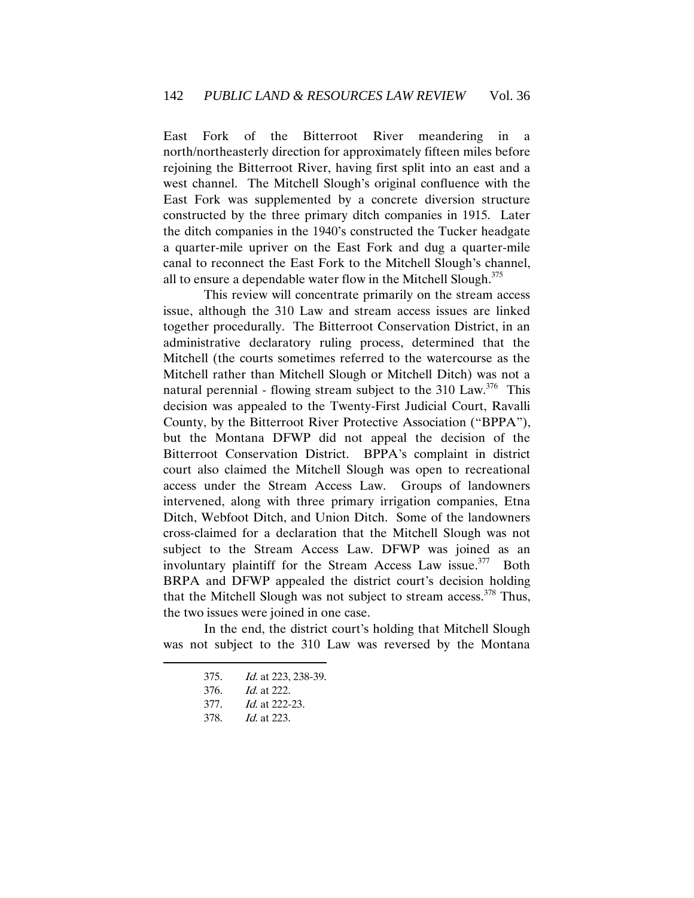East Fork of the Bitterroot River meandering in a north/northeasterly direction for approximately fifteen miles before rejoining the Bitterroot River, having first split into an east and a west channel. The Mitchell Slough's original confluence with the East Fork was supplemented by a concrete diversion structure constructed by the three primary ditch companies in 1915. Later the ditch companies in the 1940's constructed the Tucker headgate a quarter-mile upriver on the East Fork and dug a quarter-mile canal to reconnect the East Fork to the Mitchell Slough's channel, all to ensure a dependable water flow in the Mitchell Slough.<sup>375</sup>

 This review will concentrate primarily on the stream access issue, although the 310 Law and stream access issues are linked together procedurally. The Bitterroot Conservation District, in an administrative declaratory ruling process, determined that the Mitchell (the courts sometimes referred to the watercourse as the Mitchell rather than Mitchell Slough or Mitchell Ditch) was not a natural perennial - flowing stream subject to the  $310$  Law.<sup>376</sup> This decision was appealed to the Twenty-First Judicial Court, Ravalli County, by the Bitterroot River Protective Association ("BPPA"), but the Montana DFWP did not appeal the decision of the Bitterroot Conservation District. BPPA's complaint in district court also claimed the Mitchell Slough was open to recreational access under the Stream Access Law. Groups of landowners intervened, along with three primary irrigation companies, Etna Ditch, Webfoot Ditch, and Union Ditch. Some of the landowners cross-claimed for a declaration that the Mitchell Slough was not subject to the Stream Access Law. DFWP was joined as an involuntary plaintiff for the Stream Access Law issue. $377$  Both BRPA and DFWP appealed the district court's decision holding that the Mitchell Slough was not subject to stream access.<sup>378</sup> Thus, the two issues were joined in one case.

In the end, the district court's holding that Mitchell Slough was not subject to the 310 Law was reversed by the Montana

<sup>375.</sup> Id. at 223, 238-39.

<sup>376.</sup> Id. at 222.

<sup>377.</sup> Id. at 222-23.

<sup>378.</sup> Id. at 223.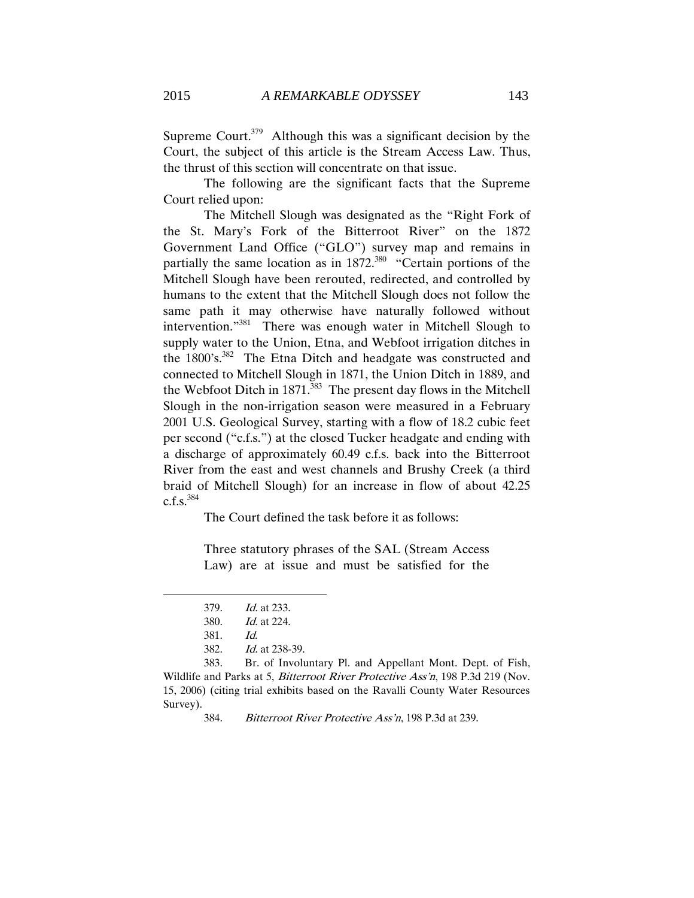Supreme Court.<sup>379</sup> Although this was a significant decision by the Court, the subject of this article is the Stream Access Law. Thus, the thrust of this section will concentrate on that issue.

The following are the significant facts that the Supreme Court relied upon:

The Mitchell Slough was designated as the "Right Fork of the St. Mary's Fork of the Bitterroot River" on the 1872 Government Land Office ("GLO") survey map and remains in partially the same location as in  $1872$ <sup>380</sup> "Certain portions of the Mitchell Slough have been rerouted, redirected, and controlled by humans to the extent that the Mitchell Slough does not follow the same path it may otherwise have naturally followed without intervention."<sup>381</sup> There was enough water in Mitchell Slough to supply water to the Union, Etna, and Webfoot irrigation ditches in the  $1800$ 's.<sup>382</sup> The Etna Ditch and headgate was constructed and connected to Mitchell Slough in 1871, the Union Ditch in 1889, and the Webfoot Ditch in  $1871$ <sup>383</sup> The present day flows in the Mitchell Slough in the non-irrigation season were measured in a February 2001 U.S. Geological Survey, starting with a flow of 18.2 cubic feet per second ("c.f.s.") at the closed Tucker headgate and ending with a discharge of approximately 60.49 c.f.s. back into the Bitterroot River from the east and west channels and Brushy Creek (a third braid of Mitchell Slough) for an increase in flow of about 42.25  $c.f.s.<sup>384</sup>$ 

The Court defined the task before it as follows:

Three statutory phrases of the SAL (Stream Access Law) are at issue and must be satisfied for the

 $\overline{a}$ 

383. Br. of Involuntary Pl. and Appellant Mont. Dept. of Fish, Wildlife and Parks at 5, *Bitterroot River Protective Ass'n*, 198 P.3d 219 (Nov. 15, 2006) (citing trial exhibits based on the Ravalli County Water Resources Survey).

<sup>379.</sup> Id. at 233.

<sup>380.</sup> Id. at 224.

<sup>381.</sup> Id.

<sup>382.</sup> Id. at 238-39.

<sup>384.</sup> Bitterroot River Protective Ass'n, 198 P.3d at 239.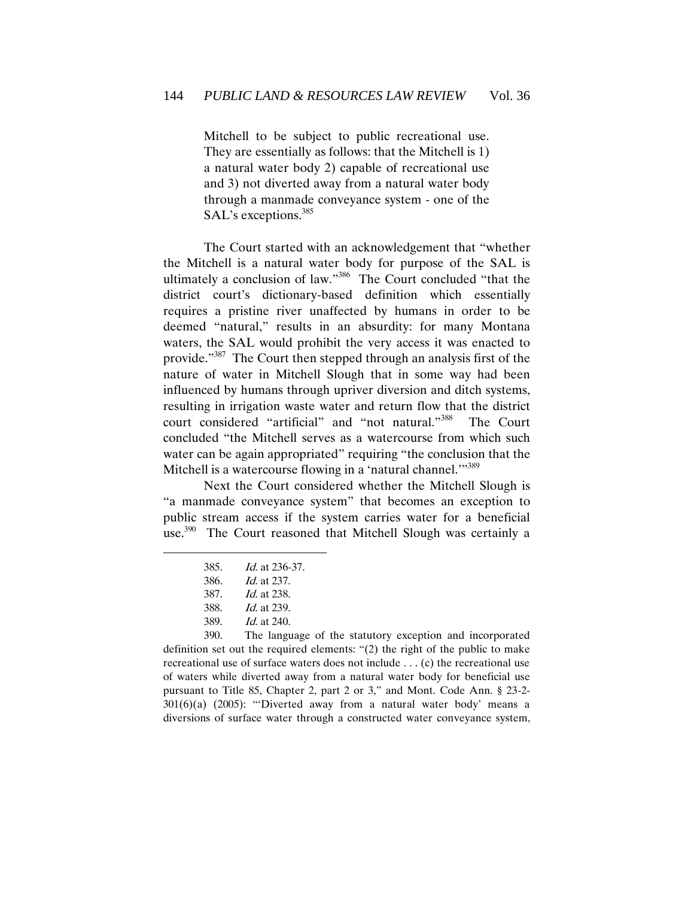Mitchell to be subject to public recreational use. They are essentially as follows: that the Mitchell is 1) a natural water body 2) capable of recreational use and 3) not diverted away from a natural water body through a manmade conveyance system - one of the SAL's exceptions.<sup>385</sup>

The Court started with an acknowledgement that "whether the Mitchell is a natural water body for purpose of the SAL is ultimately a conclusion of law."<sup>386</sup> The Court concluded "that the district court's dictionary-based definition which essentially requires a pristine river unaffected by humans in order to be deemed "natural," results in an absurdity: for many Montana waters, the SAL would prohibit the very access it was enacted to provide."<sup>387</sup> The Court then stepped through an analysis first of the nature of water in Mitchell Slough that in some way had been influenced by humans through upriver diversion and ditch systems, resulting in irrigation waste water and return flow that the district court considered "artificial" and "not natural."<sup>388</sup> The Court concluded "the Mitchell serves as a watercourse from which such water can be again appropriated" requiring "the conclusion that the Mitchell is a watercourse flowing in a 'natural channel.'"<sup>389</sup>

 Next the Court considered whether the Mitchell Slough is "a manmade conveyance system" that becomes an exception to public stream access if the system carries water for a beneficial use.<sup>390</sup> The Court reasoned that Mitchell Slough was certainly a

 $\overline{a}$ 

390. The language of the statutory exception and incorporated definition set out the required elements: "(2) the right of the public to make recreational use of surface waters does not include . . . (c) the recreational use of waters while diverted away from a natural water body for beneficial use pursuant to Title 85, Chapter 2, part 2 or 3," and Mont. Code Ann. § 23-2- 301(6)(a) (2005): "'Diverted away from a natural water body' means a diversions of surface water through a constructed water conveyance system,

<sup>385.</sup> Id. at 236-37.

<sup>386.</sup> Id. at 237.

<sup>387.</sup> Id. at 238.

<sup>388.</sup> Id. at 239.

<sup>389.</sup> Id. at 240.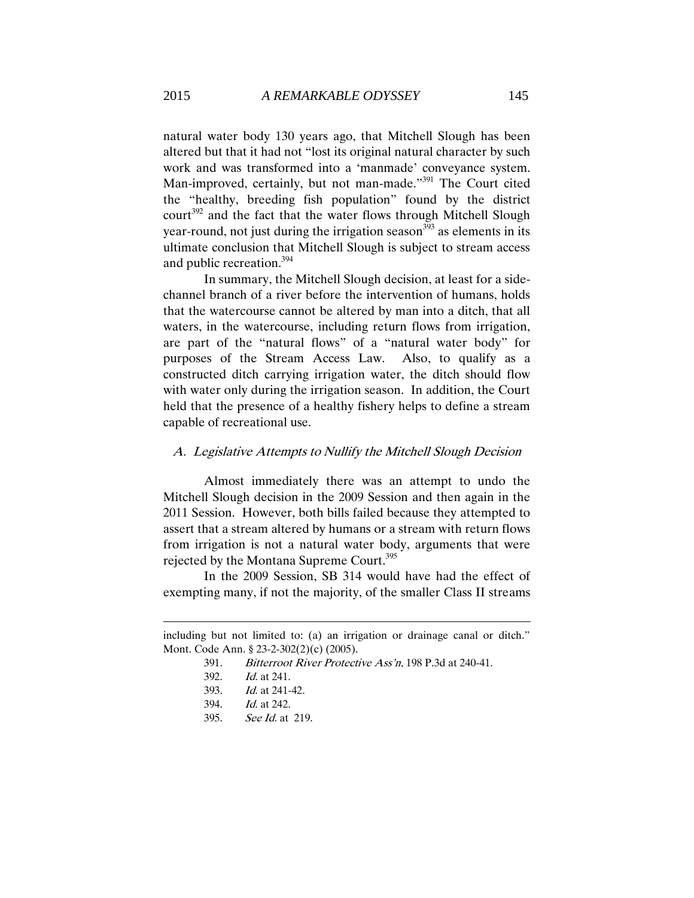natural water body 130 years ago, that Mitchell Slough has been altered but that it had not "lost its original natural character by such work and was transformed into a 'manmade' conveyance system. Man-improved, certainly, but not man-made."<sup>391</sup> The Court cited the "healthy, breeding fish population" found by the district court<sup>392</sup> and the fact that the water flows through Mitchell Slough year-round, not just during the irrigation season  $393$  as elements in its ultimate conclusion that Mitchell Slough is subject to stream access and public recreation.<sup>394</sup>

 In summary, the Mitchell Slough decision, at least for a sidechannel branch of a river before the intervention of humans, holds that the watercourse cannot be altered by man into a ditch, that all waters, in the watercourse, including return flows from irrigation, are part of the "natural flows" of a "natural water body" for purposes of the Stream Access Law. Also, to qualify as a constructed ditch carrying irrigation water, the ditch should flow with water only during the irrigation season. In addition, the Court held that the presence of a healthy fishery helps to define a stream capable of recreational use.

#### A. Legislative Attempts to Nullify the Mitchell Slough Decision

Almost immediately there was an attempt to undo the Mitchell Slough decision in the 2009 Session and then again in the 2011 Session. However, both bills failed because they attempted to assert that a stream altered by humans or a stream with return flows from irrigation is not a natural water body, arguments that were rejected by the Montana Supreme Court.<sup>395</sup>

In the 2009 Session, SB 314 would have had the effect of exempting many, if not the majority, of the smaller Class II streams

392. Id. at 241.

- 393. Id. at 241-42.
- 394. Id. at 242.
- 395. See Id. at 219.

including but not limited to: (a) an irrigation or drainage canal or ditch." Mont. Code Ann. § 23-2-302(2)(c) (2005).

<sup>391.</sup> Bitterroot River Protective Ass'n, 198 P.3d at 240-41.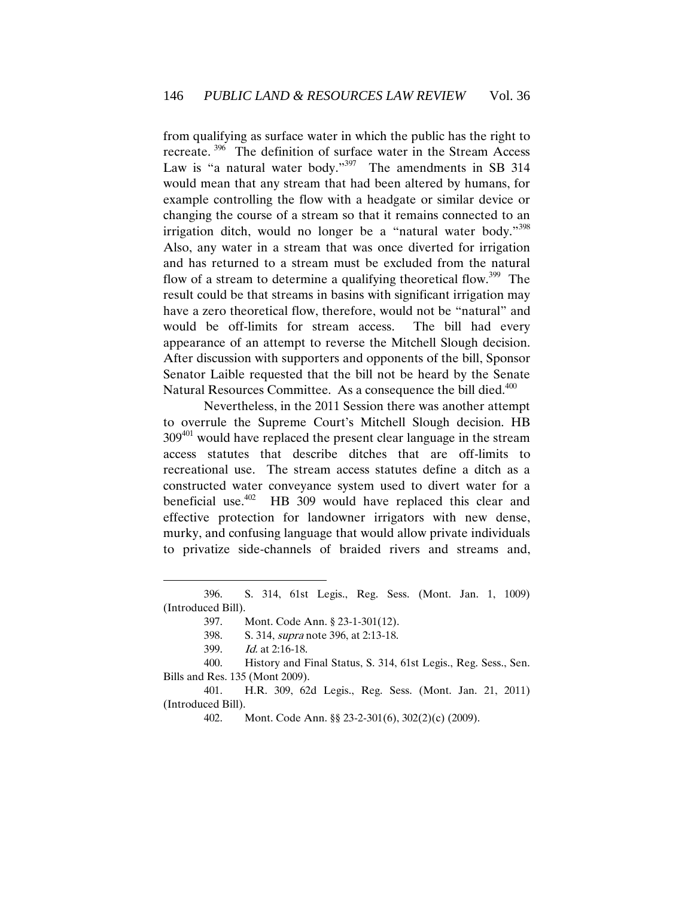from qualifying as surface water in which the public has the right to recreate.<sup>396</sup> The definition of surface water in the Stream Access Law is "a natural water body."<sup>397</sup> The amendments in SB 314 would mean that any stream that had been altered by humans, for example controlling the flow with a headgate or similar device or changing the course of a stream so that it remains connected to an irrigation ditch, would no longer be a "natural water body."<sup>398</sup> Also, any water in a stream that was once diverted for irrigation and has returned to a stream must be excluded from the natural flow of a stream to determine a qualifying theoretical flow.<sup>399</sup> The result could be that streams in basins with significant irrigation may have a zero theoretical flow, therefore, would not be "natural" and would be off-limits for stream access. The bill had every appearance of an attempt to reverse the Mitchell Slough decision. After discussion with supporters and opponents of the bill, Sponsor Senator Laible requested that the bill not be heard by the Senate Natural Resources Committee. As a consequence the bill died.<sup>400</sup>

 Nevertheless, in the 2011 Session there was another attempt to overrule the Supreme Court's Mitchell Slough decision. HB 309<sup>401</sup> would have replaced the present clear language in the stream access statutes that describe ditches that are off-limits to recreational use. The stream access statutes define a ditch as a constructed water conveyance system used to divert water for a beneficial use. $402$  HB 309 would have replaced this clear and effective protection for landowner irrigators with new dense, murky, and confusing language that would allow private individuals to privatize side-channels of braided rivers and streams and,

<sup>396.</sup> S. 314, 61st Legis., Reg. Sess. (Mont. Jan. 1, 1009) (Introduced Bill).

<sup>397.</sup> Mont. Code Ann. § 23-1-301(12).

<sup>398.</sup> S. 314, supra note 396, at 2:13-18.

<sup>399.</sup> Id. at 2:16-18.

<sup>400.</sup> History and Final Status, S. 314, 61st Legis., Reg. Sess., Sen. Bills and Res. 135 (Mont 2009).

<sup>401.</sup> H.R. 309, 62d Legis., Reg. Sess. (Mont. Jan. 21, 2011) (Introduced Bill).

<sup>402.</sup> Mont. Code Ann. §§ 23-2-301(6), 302(2)(c) (2009).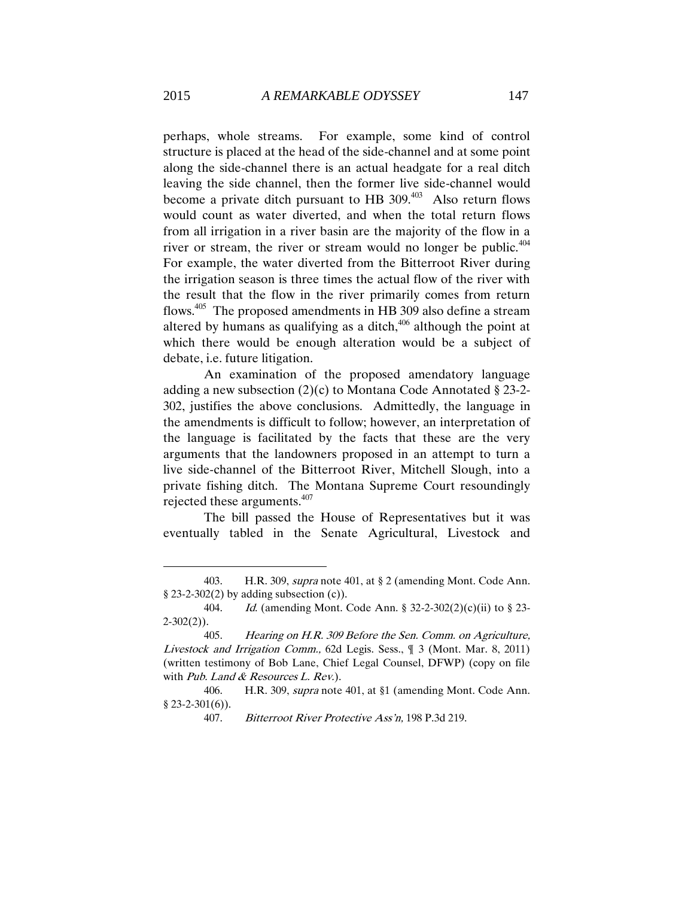perhaps, whole streams. For example, some kind of control structure is placed at the head of the side-channel and at some point along the side-channel there is an actual headgate for a real ditch leaving the side channel, then the former live side-channel would become a private ditch pursuant to HB  $309<sup>403</sup>$  Also return flows would count as water diverted, and when the total return flows from all irrigation in a river basin are the majority of the flow in a river or stream, the river or stream would no longer be public.<sup>404</sup> For example, the water diverted from the Bitterroot River during the irrigation season is three times the actual flow of the river with the result that the flow in the river primarily comes from return flows.<sup>405</sup> The proposed amendments in HB 309 also define a stream altered by humans as qualifying as a ditch, $406$  although the point at which there would be enough alteration would be a subject of debate, i.e. future litigation.

An examination of the proposed amendatory language adding a new subsection (2)(c) to Montana Code Annotated § 23-2- 302, justifies the above conclusions. Admittedly, the language in the amendments is difficult to follow; however, an interpretation of the language is facilitated by the facts that these are the very arguments that the landowners proposed in an attempt to turn a live side-channel of the Bitterroot River, Mitchell Slough, into a private fishing ditch. The Montana Supreme Court resoundingly rejected these arguments. $407$ 

The bill passed the House of Representatives but it was eventually tabled in the Senate Agricultural, Livestock and

<sup>403.</sup> H.R. 309, supra note 401, at § 2 (amending Mont. Code Ann.  $§$  23-2-302(2) by adding subsection (c)).

<sup>404.</sup> Id. (amending Mont. Code Ann. § 32-2-302(2)(c)(ii) to § 23-  $2-302(2)$ ).

<sup>405.</sup> Hearing on H.R. 309 Before the Sen. Comm. on Agriculture, Livestock and Irrigation Comm., 62d Legis. Sess., ¶ 3 (Mont. Mar. 8, 2011) (written testimony of Bob Lane, Chief Legal Counsel, DFWP) (copy on file with Pub. Land & Resources L. Rev.).

<sup>406.</sup> H.R. 309, supra note 401, at §1 (amending Mont. Code Ann.  $§$  23-2-301(6)).

<sup>407.</sup> Bitterroot River Protective Ass'n, 198 P.3d 219.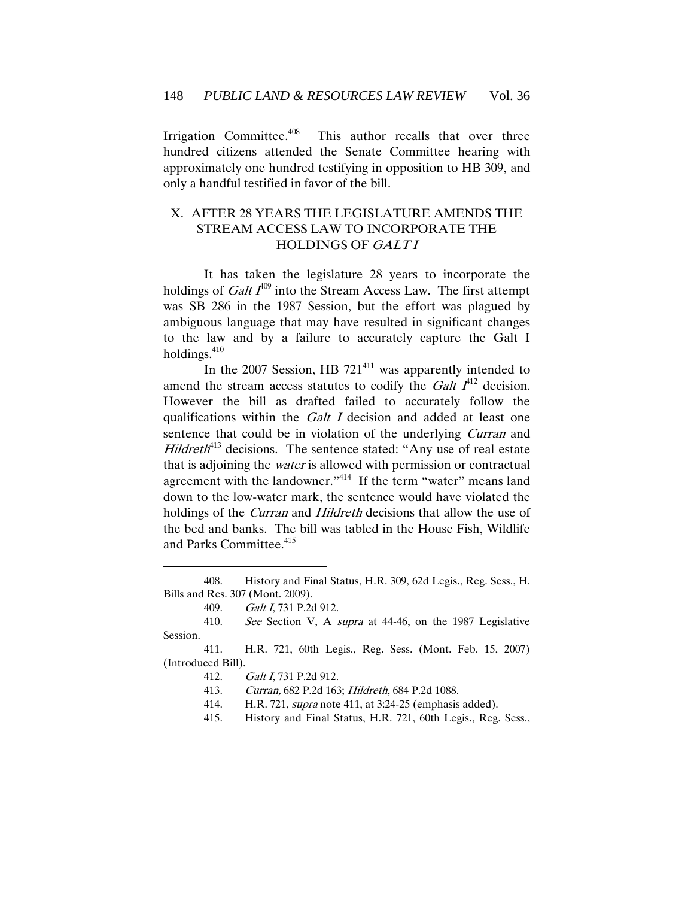Irrigation Committee.<sup>408</sup> This author recalls that over three hundred citizens attended the Senate Committee hearing with approximately one hundred testifying in opposition to HB 309, and only a handful testified in favor of the bill.

# X. AFTER 28 YEARS THE LEGISLATURE AMENDS THE STREAM ACCESS LAW TO INCORPORATE THE HOLDINGS OF GALTI

 It has taken the legislature 28 years to incorporate the holdings of *Galt*  $I^{409}$  into the Stream Access Law. The first attempt was SB 286 in the 1987 Session, but the effort was plagued by ambiguous language that may have resulted in significant changes to the law and by a failure to accurately capture the Galt I holdings.<sup>410</sup>

In the 2007 Session, HB  $721^{411}$  was apparently intended to amend the stream access statutes to codify the *Galt*  $I^{412}$  decision. However the bill as drafted failed to accurately follow the qualifications within the Galt I decision and added at least one sentence that could be in violation of the underlying *Curran* and *Hildreth*<sup>413</sup> decisions. The sentence stated: "Any use of real estate that is adjoining the water is allowed with permission or contractual agreement with the landowner."<sup>414</sup> If the term "water" means land down to the low-water mark, the sentence would have violated the holdings of the *Curran* and *Hildreth* decisions that allow the use of the bed and banks. The bill was tabled in the House Fish, Wildlife and Parks Committee.<sup>415</sup>

<sup>408.</sup> History and Final Status, H.R. 309, 62d Legis., Reg. Sess., H. Bills and Res. 307 (Mont. 2009).

<sup>409.</sup> Galt I, 731 P.2d 912.

<sup>410.</sup> See Section V, A supra at 44-46, on the 1987 Legislative Session.

<sup>411.</sup> H.R. 721, 60th Legis., Reg. Sess. (Mont. Feb. 15, 2007) (Introduced Bill).

<sup>412.</sup> Galt I, 731 P.2d 912.

<sup>413.</sup> Curran, 682 P.2d 163; Hildreth, 684 P.2d 1088.

<sup>414.</sup> H.R. 721, supra note 411, at 3:24-25 (emphasis added).

<sup>415.</sup> History and Final Status, H.R. 721, 60th Legis., Reg. Sess.,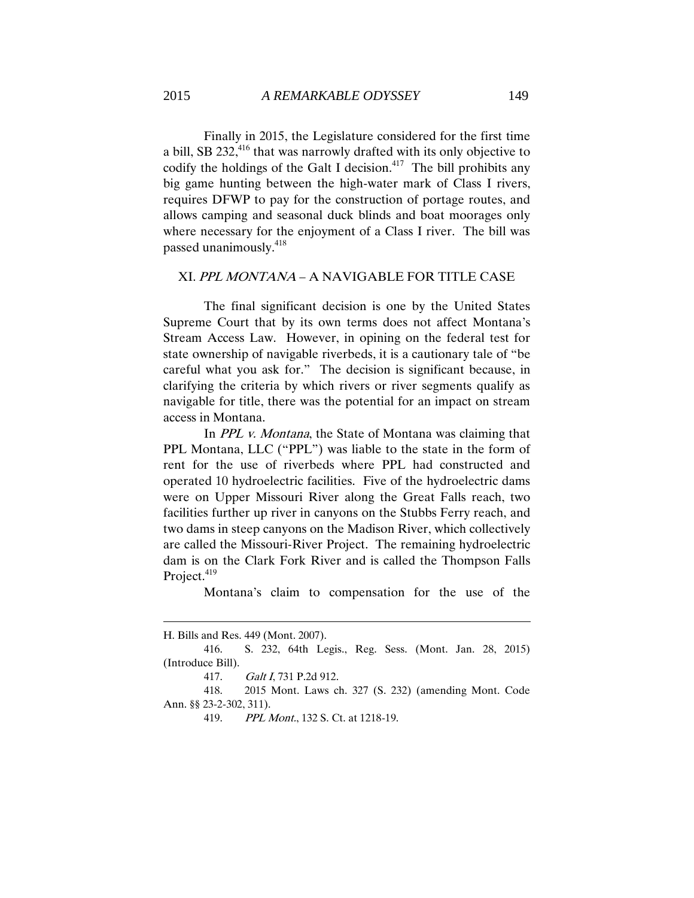Finally in 2015, the Legislature considered for the first time a bill, SB 232,<sup>416</sup> that was narrowly drafted with its only objective to codify the holdings of the Galt I decision. $417$  The bill prohibits any big game hunting between the high-water mark of Class I rivers, requires DFWP to pay for the construction of portage routes, and allows camping and seasonal duck blinds and boat moorages only where necessary for the enjoyment of a Class I river. The bill was passed unanimously.<sup>418</sup>

#### XI. PPL MONTANA – A NAVIGABLE FOR TITLE CASE

The final significant decision is one by the United States Supreme Court that by its own terms does not affect Montana's Stream Access Law. However, in opining on the federal test for state ownership of navigable riverbeds, it is a cautionary tale of "be careful what you ask for." The decision is significant because, in clarifying the criteria by which rivers or river segments qualify as navigable for title, there was the potential for an impact on stream access in Montana.

In *PPL v. Montana*, the State of Montana was claiming that PPL Montana, LLC ("PPL") was liable to the state in the form of rent for the use of riverbeds where PPL had constructed and operated 10 hydroelectric facilities. Five of the hydroelectric dams were on Upper Missouri River along the Great Falls reach, two facilities further up river in canyons on the Stubbs Ferry reach, and two dams in steep canyons on the Madison River, which collectively are called the Missouri-River Project. The remaining hydroelectric dam is on the Clark Fork River and is called the Thompson Falls Project.<sup>419</sup>

Montana's claim to compensation for the use of the

H. Bills and Res. 449 (Mont. 2007).

<sup>416.</sup> S. 232, 64th Legis., Reg. Sess. (Mont. Jan. 28, 2015) (Introduce Bill).

<sup>417.</sup> Galt I, 731 P.2d 912.

<sup>418.</sup> 2015 Mont. Laws ch. 327 (S. 232) (amending Mont. Code Ann. §§ 23-2-302, 311).

<sup>419.</sup> *PPL Mont.*, 132 S. Ct. at 1218-19.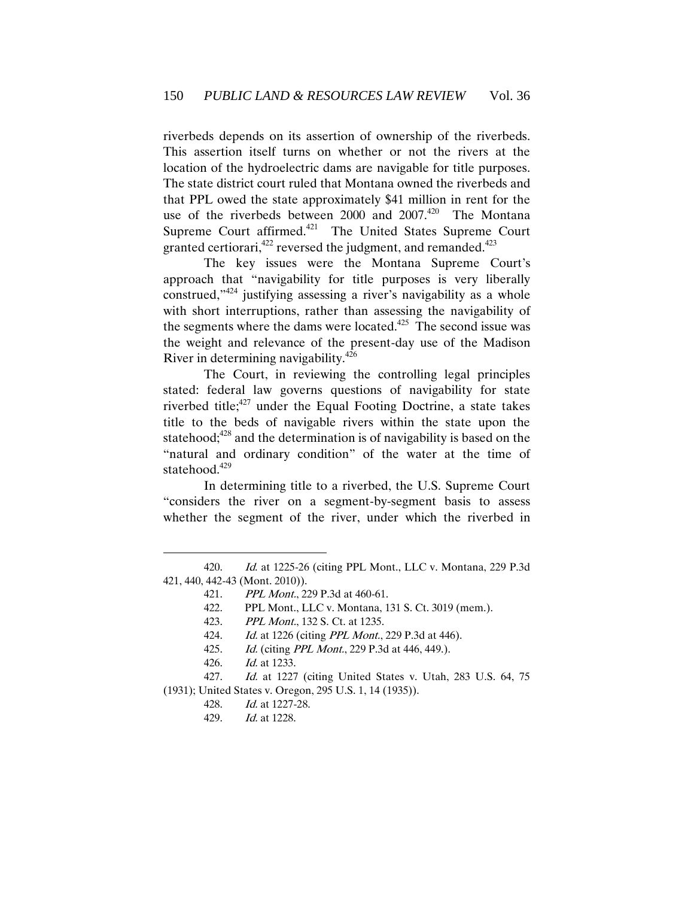riverbeds depends on its assertion of ownership of the riverbeds. This assertion itself turns on whether or not the rivers at the location of the hydroelectric dams are navigable for title purposes. The state district court ruled that Montana owned the riverbeds and that PPL owed the state approximately \$41 million in rent for the use of the riverbeds between 2000 and  $2007.^{420}$  The Montana Supreme Court affirmed.<sup>421</sup> The United States Supreme Court granted certiorari,<sup>422</sup> reversed the judgment, and remanded.<sup>423</sup>

The key issues were the Montana Supreme Court's approach that "navigability for title purposes is very liberally construed,<sup>1424</sup> justifying assessing a river's navigability as a whole with short interruptions, rather than assessing the navigability of the segments where the dams were located. $425$  The second issue was the weight and relevance of the present-day use of the Madison River in determining navigability.<sup>426</sup>

The Court, in reviewing the controlling legal principles stated: federal law governs questions of navigability for state riverbed title;<sup>427</sup> under the Equal Footing Doctrine, a state takes title to the beds of navigable rivers within the state upon the statehood; $428$  and the determination is of navigability is based on the "natural and ordinary condition" of the water at the time of statehood.<sup>429</sup>

In determining title to a riverbed, the U.S. Supreme Court "considers the river on a segment-by-segment basis to assess whether the segment of the river, under which the riverbed in

<sup>420.</sup> Id. at 1225-26 (citing PPL Mont., LLC v. Montana, 229 P.3d 421, 440, 442-43 (Mont. 2010)).

<sup>421.</sup> PPL Mont., 229 P.3d at 460-61.

<sup>422.</sup> PPL Mont., LLC v. Montana, 131 S. Ct. 3019 (mem.).

<sup>423.</sup> *PPL Mont.*, 132 S. Ct. at 1235.

<sup>424.</sup> Id. at 1226 (citing *PPL Mont.*, 229 P.3d at 446).

<sup>425.</sup> Id. (citing *PPL Mont.*, 229 P.3d at 446, 449.).

<sup>426.</sup> Id. at 1233.

<sup>427.</sup> Id. at 1227 (citing United States v. Utah, 283 U.S. 64, 75 (1931); United States v. Oregon, 295 U.S. 1, 14 (1935)).

<sup>428.</sup> Id. at 1227-28.

<sup>429.</sup> Id. at 1228.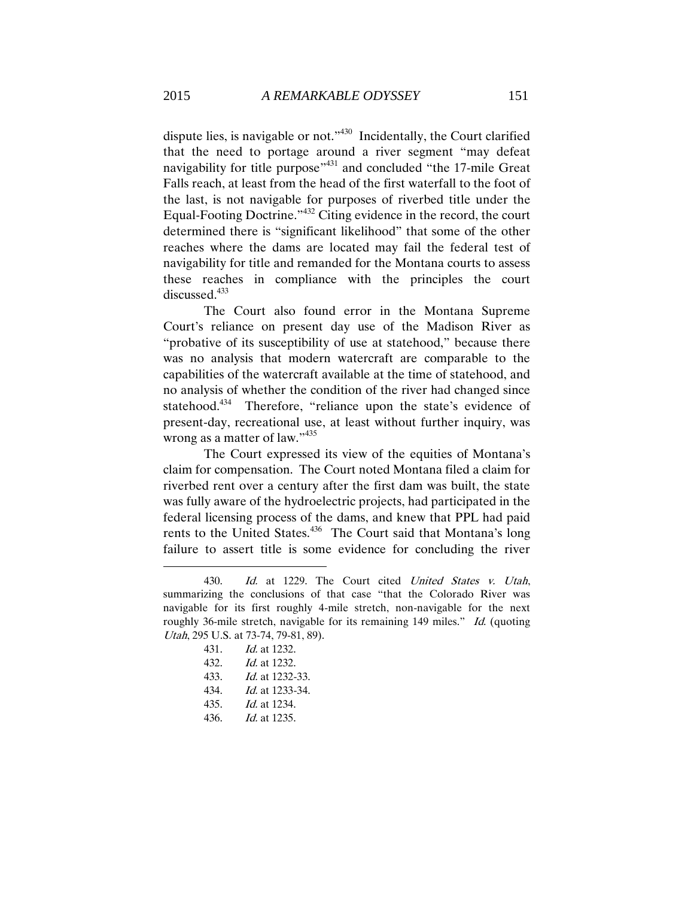dispute lies, is navigable or not."<sup>430</sup> Incidentally, the Court clarified that the need to portage around a river segment "may defeat navigability for title purpose<sup>"431</sup> and concluded "the 17-mile Great Falls reach, at least from the head of the first waterfall to the foot of the last, is not navigable for purposes of riverbed title under the Equal-Footing Doctrine."<sup>432</sup> Citing evidence in the record, the court determined there is "significant likelihood" that some of the other reaches where the dams are located may fail the federal test of navigability for title and remanded for the Montana courts to assess these reaches in compliance with the principles the court discussed.<sup>433</sup>

The Court also found error in the Montana Supreme Court's reliance on present day use of the Madison River as "probative of its susceptibility of use at statehood," because there was no analysis that modern watercraft are comparable to the capabilities of the watercraft available at the time of statehood, and no analysis of whether the condition of the river had changed since statehood.<sup>434</sup> Therefore, "reliance upon the state's evidence of present-day, recreational use, at least without further inquiry, was wrong as a matter of law."<sup>435</sup>

The Court expressed its view of the equities of Montana's claim for compensation. The Court noted Montana filed a claim for riverbed rent over a century after the first dam was built, the state was fully aware of the hydroelectric projects, had participated in the federal licensing process of the dams, and knew that PPL had paid rents to the United States.<sup>436</sup> The Court said that Montana's long failure to assert title is some evidence for concluding the river

431. Id. at 1232. 432. Id. at 1232. 433. Id. at 1232-33. 434. Id. at 1233-34. 435. Id. at 1234. 436. Id. at 1235.

<sup>430.</sup> Id. at 1229. The Court cited United States v. Utah, summarizing the conclusions of that case "that the Colorado River was navigable for its first roughly 4-mile stretch, non-navigable for the next roughly 36-mile stretch, navigable for its remaining 149 miles." Id. (quoting Utah, 295 U.S. at 73-74, 79-81, 89).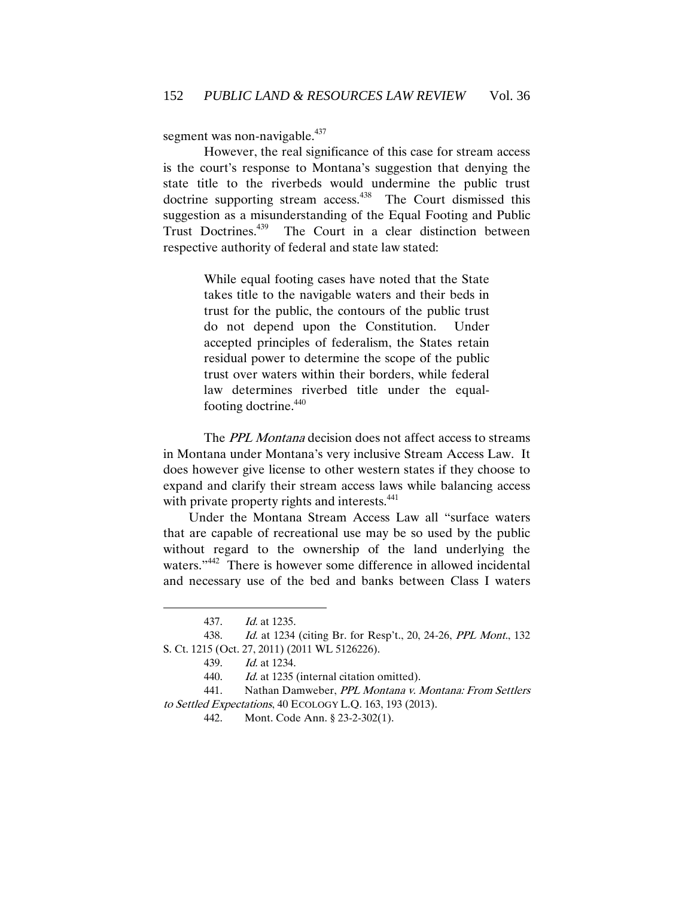segment was non-navigable.<sup>437</sup>

However, the real significance of this case for stream access is the court's response to Montana's suggestion that denying the state title to the riverbeds would undermine the public trust doctrine supporting stream access.<sup>438</sup> The Court dismissed this suggestion as a misunderstanding of the Equal Footing and Public Trust Doctrines.<sup>439</sup> The Court in a clear distinction between respective authority of federal and state law stated:

> While equal footing cases have noted that the State takes title to the navigable waters and their beds in trust for the public, the contours of the public trust do not depend upon the Constitution. Under accepted principles of federalism, the States retain residual power to determine the scope of the public trust over waters within their borders, while federal law determines riverbed title under the equalfooting doctrine. 440

The *PPL Montana* decision does not affect access to streams in Montana under Montana's very inclusive Stream Access Law. It does however give license to other western states if they choose to expand and clarify their stream access laws while balancing access with private property rights and interests.<sup>441</sup>

Under the Montana Stream Access Law all "surface waters that are capable of recreational use may be so used by the public without regard to the ownership of the land underlying the waters."<sup>442</sup> There is however some difference in allowed incidental and necessary use of the bed and banks between Class I waters

 $\overline{a}$ 

441. Nathan Damweber, PPL Montana v. Montana: From Settlers to Settled Expectations, 40 ECOLOGY L.Q. 163, 193 (2013).

<sup>437.</sup> Id. at 1235.

<sup>438.</sup> Id. at 1234 (citing Br. for Resp't., 20, 24-26, PPL Mont., 132 S. Ct. 1215 (Oct. 27, 2011) (2011 WL 5126226).

<sup>439.</sup> Id. at 1234.

<sup>440.</sup> Id. at 1235 (internal citation omitted).

<sup>442.</sup> Mont. Code Ann. § 23-2-302(1).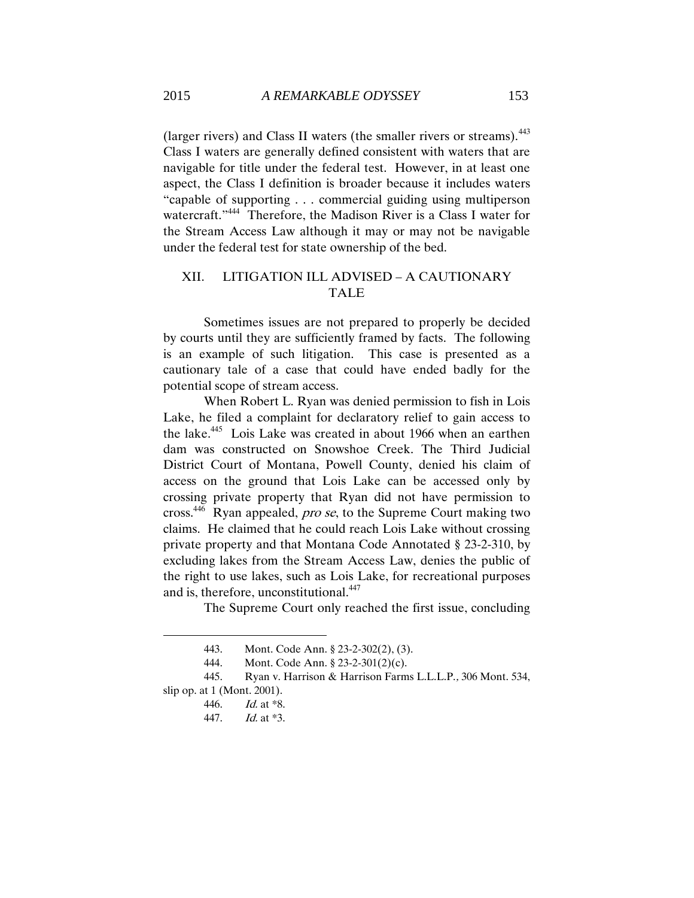(larger rivers) and Class II waters (the smaller rivers or streams).<sup>443</sup> Class I waters are generally defined consistent with waters that are navigable for title under the federal test. However, in at least one aspect, the Class I definition is broader because it includes waters "capable of supporting . . . commercial guiding using multiperson watercraft."<sup>444</sup> Therefore, the Madison River is a Class I water for the Stream Access Law although it may or may not be navigable under the federal test for state ownership of the bed.

# XII. LITIGATION ILL ADVISED – A CAUTIONARY TALE

Sometimes issues are not prepared to properly be decided by courts until they are sufficiently framed by facts. The following is an example of such litigation. This case is presented as a cautionary tale of a case that could have ended badly for the potential scope of stream access.

When Robert L. Ryan was denied permission to fish in Lois Lake, he filed a complaint for declaratory relief to gain access to the lake.<sup>445</sup> Lois Lake was created in about 1966 when an earthen dam was constructed on Snowshoe Creek. The Third Judicial District Court of Montana, Powell County, denied his claim of access on the ground that Lois Lake can be accessed only by crossing private property that Ryan did not have permission to cross.<sup>446</sup> Ryan appealed, *pro se*, to the Supreme Court making two claims. He claimed that he could reach Lois Lake without crossing private property and that Montana Code Annotated § 23-2-310, by excluding lakes from the Stream Access Law, denies the public of the right to use lakes, such as Lois Lake, for recreational purposes and is, therefore, unconstitutional.<sup>447</sup>

The Supreme Court only reached the first issue, concluding

<sup>443.</sup> Mont. Code Ann. § 23-2-302(2), (3).

<sup>444.</sup> Mont. Code Ann. § 23-2-301(2)(c).

<sup>445.</sup> Ryan v. Harrison & Harrison Farms L.L.L.P., 306 Mont. 534, slip op. at 1 (Mont. 2001).

<sup>446.</sup> Id. at \*8.

<sup>447.</sup> Id. at \*3.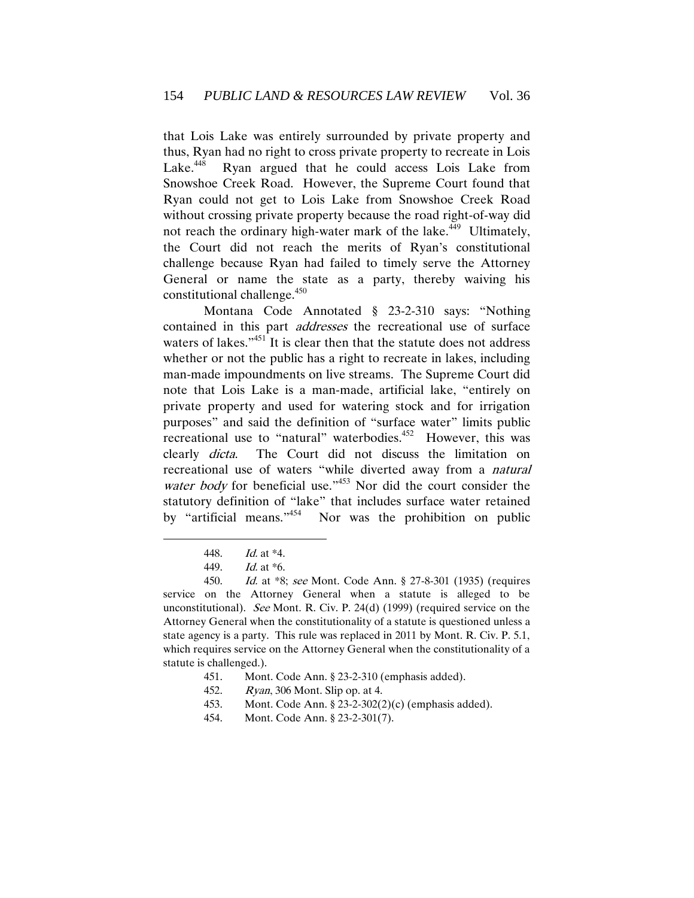that Lois Lake was entirely surrounded by private property and thus, Ryan had no right to cross private property to recreate in Lois Lake. $448$  Ryan argued that he could access Lois Lake from Snowshoe Creek Road. However, the Supreme Court found that Ryan could not get to Lois Lake from Snowshoe Creek Road without crossing private property because the road right-of-way did not reach the ordinary high-water mark of the lake.<sup>449</sup> Ultimately, the Court did not reach the merits of Ryan's constitutional challenge because Ryan had failed to timely serve the Attorney General or name the state as a party, thereby waiving his constitutional challenge.<sup>450</sup>

Montana Code Annotated § 23-2-310 says: "Nothing contained in this part addresses the recreational use of surface waters of lakes."<sup>451</sup> It is clear then that the statute does not address whether or not the public has a right to recreate in lakes, including man-made impoundments on live streams. The Supreme Court did note that Lois Lake is a man-made, artificial lake, "entirely on private property and used for watering stock and for irrigation purposes" and said the definition of "surface water" limits public recreational use to "natural" waterbodies.<sup>452</sup> However, this was clearly dicta. The Court did not discuss the limitation on recreational use of waters "while diverted away from a natural water body for beneficial use."<sup>453</sup> Nor did the court consider the statutory definition of "lake" that includes surface water retained by "artificial means." <sup>454</sup> Nor was the prohibition on public

- 451. Mont. Code Ann. § 23-2-310 (emphasis added).
- 452. Ryan, 306 Mont. Slip op. at 4.
- 453. Mont. Code Ann. § 23-2-302(2)(c) (emphasis added).
- 454. Mont. Code Ann. § 23-2-301(7).

<sup>448.</sup> Id. at \*4.

<sup>449.</sup> Id. at \*6.

<sup>450.</sup> Id. at \*8; see Mont. Code Ann. § 27-8-301 (1935) (requires service on the Attorney General when a statute is alleged to be unconstitutional). See Mont. R. Civ. P. 24(d) (1999) (required service on the Attorney General when the constitutionality of a statute is questioned unless a state agency is a party. This rule was replaced in 2011 by Mont. R. Civ. P. 5.1, which requires service on the Attorney General when the constitutionality of a statute is challenged.).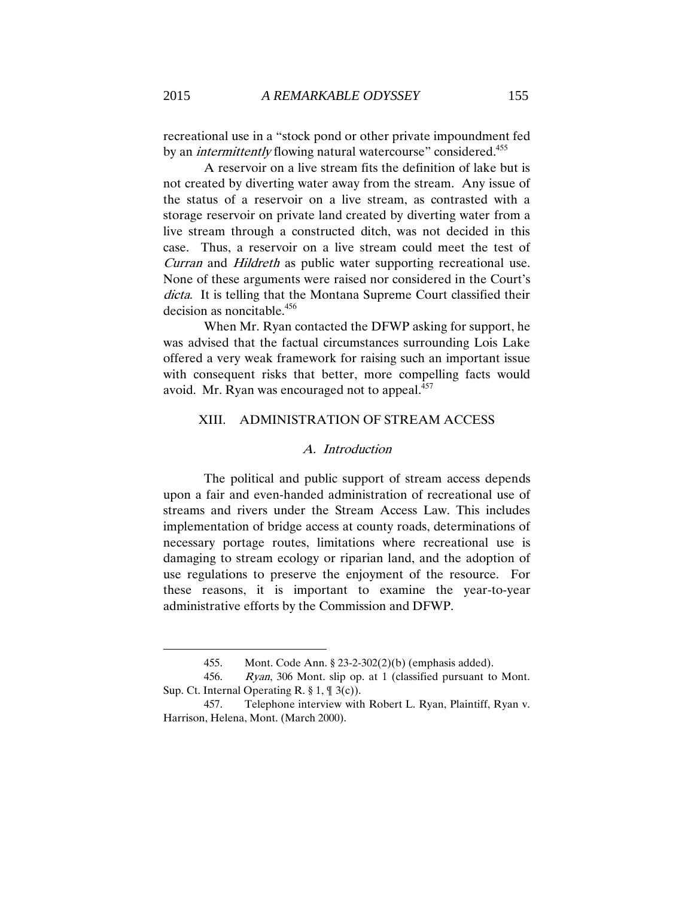recreational use in a "stock pond or other private impoundment fed by an *intermittently* flowing natural watercourse" considered.<sup>455</sup>

A reservoir on a live stream fits the definition of lake but is not created by diverting water away from the stream. Any issue of the status of a reservoir on a live stream, as contrasted with a storage reservoir on private land created by diverting water from a live stream through a constructed ditch, was not decided in this case. Thus, a reservoir on a live stream could meet the test of Curran and Hildreth as public water supporting recreational use. None of these arguments were raised nor considered in the Court's dicta. It is telling that the Montana Supreme Court classified their decision as noncitable.<sup>456</sup>

When Mr. Ryan contacted the DFWP asking for support, he was advised that the factual circumstances surrounding Lois Lake offered a very weak framework for raising such an important issue with consequent risks that better, more compelling facts would avoid. Mr. Ryan was encouraged not to appeal.<sup>457</sup>

### XIII. ADMINISTRATION OF STREAM ACCESS

### A. Introduction

The political and public support of stream access depends upon a fair and even-handed administration of recreational use of streams and rivers under the Stream Access Law. This includes implementation of bridge access at county roads, determinations of necessary portage routes, limitations where recreational use is damaging to stream ecology or riparian land, and the adoption of use regulations to preserve the enjoyment of the resource. For these reasons, it is important to examine the year-to-year administrative efforts by the Commission and DFWP.

<sup>455.</sup> Mont. Code Ann. § 23-2-302(2)(b) (emphasis added).

<sup>456.</sup> Ryan, 306 Mont. slip op. at 1 (classified pursuant to Mont. Sup. Ct. Internal Operating R. § 1, ¶ 3(c)).

<sup>457.</sup> Telephone interview with Robert L. Ryan, Plaintiff, Ryan v. Harrison, Helena, Mont. (March 2000).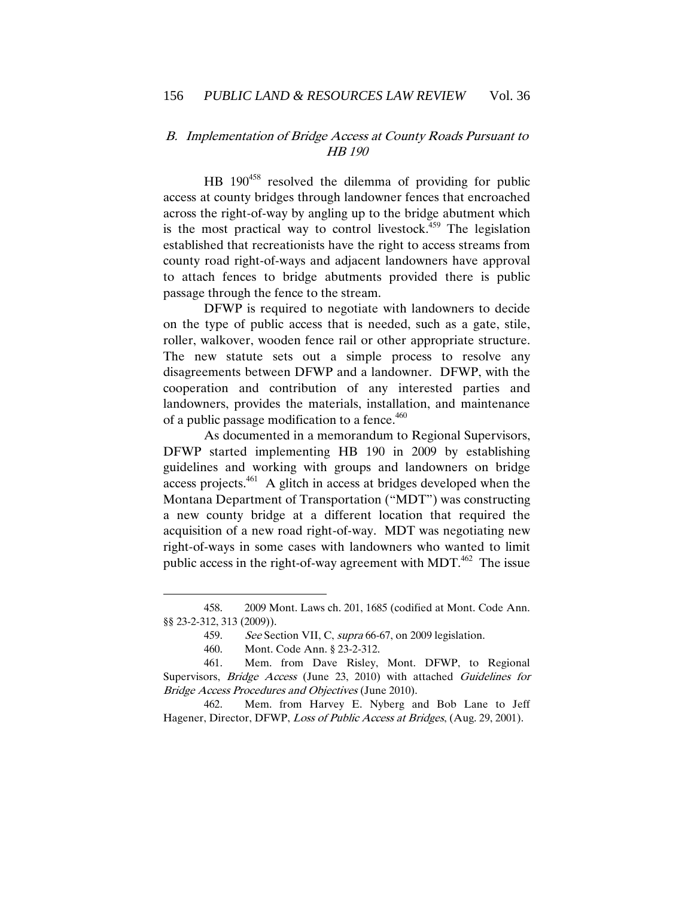## B. Implementation of Bridge Access at County Roads Pursuant to HB 190

 $HB$  190<sup>458</sup> resolved the dilemma of providing for public access at county bridges through landowner fences that encroached across the right-of-way by angling up to the bridge abutment which is the most practical way to control livestock.<sup> $459$ </sup> The legislation established that recreationists have the right to access streams from county road right-of-ways and adjacent landowners have approval to attach fences to bridge abutments provided there is public passage through the fence to the stream.

DFWP is required to negotiate with landowners to decide on the type of public access that is needed, such as a gate, stile, roller, walkover, wooden fence rail or other appropriate structure. The new statute sets out a simple process to resolve any disagreements between DFWP and a landowner. DFWP, with the cooperation and contribution of any interested parties and landowners, provides the materials, installation, and maintenance of a public passage modification to a fence.<sup>460</sup>

As documented in a memorandum to Regional Supervisors, DFWP started implementing HB 190 in 2009 by establishing guidelines and working with groups and landowners on bridge access projects. $461$  A glitch in access at bridges developed when the Montana Department of Transportation ("MDT") was constructing a new county bridge at a different location that required the acquisition of a new road right-of-way. MDT was negotiating new right-of-ways in some cases with landowners who wanted to limit public access in the right-of-way agreement with MDT.<sup>462</sup> The issue

 $\overline{a}$ 

462. Mem. from Harvey E. Nyberg and Bob Lane to Jeff Hagener, Director, DFWP, Loss of Public Access at Bridges, (Aug. 29, 2001).

<sup>458.</sup> 2009 Mont. Laws ch. 201, 1685 (codified at Mont. Code Ann. §§ 23-2-312, 313 (2009)).

<sup>459.</sup> See Section VII, C, supra 66-67, on 2009 legislation.

<sup>460.</sup> Mont. Code Ann. § 23-2-312.

<sup>461.</sup> Mem. from Dave Risley, Mont. DFWP, to Regional Supervisors, *Bridge Access* (June 23, 2010) with attached Guidelines for Bridge Access Procedures and Objectives (June 2010).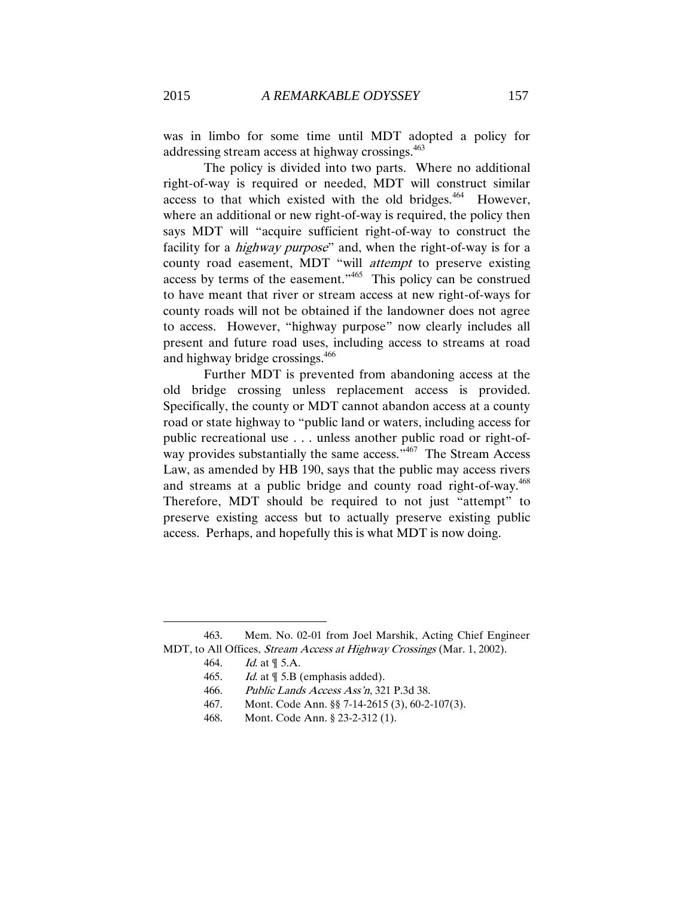was in limbo for some time until MDT adopted a policy for addressing stream access at highway crossings.<sup>463</sup>

The policy is divided into two parts. Where no additional right-of-way is required or needed, MDT will construct similar access to that which existed with the old bridges.<sup>464</sup> However, where an additional or new right-of-way is required, the policy then says MDT will "acquire sufficient right-of-way to construct the facility for a *highway purpose*" and, when the right-of-way is for a county road easement, MDT "will attempt to preserve existing access by terms of the easement."<sup>465</sup> This policy can be construed to have meant that river or stream access at new right-of-ways for county roads will not be obtained if the landowner does not agree to access. However, "highway purpose" now clearly includes all present and future road uses, including access to streams at road and highway bridge crossings.<sup>466</sup>

Further MDT is prevented from abandoning access at the old bridge crossing unless replacement access is provided. Specifically, the county or MDT cannot abandon access at a county road or state highway to "public land or waters, including access for public recreational use . . . unless another public road or right-ofway provides substantially the same access."<sup>467</sup> The Stream Access Law, as amended by HB 190, says that the public may access rivers and streams at a public bridge and county road right-of-way.<sup>468</sup> Therefore, MDT should be required to not just "attempt" to preserve existing access but to actually preserve existing public access. Perhaps, and hopefully this is what MDT is now doing.

<sup>463.</sup> Mem. No. 02-01 from Joel Marshik, Acting Chief Engineer MDT, to All Offices, Stream Access at Highway Crossings (Mar. 1, 2002).

<sup>464.</sup> Id. at ¶ 5.A.

<sup>465.</sup> Id. at  $\P$  5.B (emphasis added).

<sup>466.</sup> Public Lands Access Ass'n, 321 P.3d 38.

<sup>467.</sup> Mont. Code Ann. §§ 7-14-2615 (3), 60-2-107(3).

<sup>468.</sup> Mont. Code Ann. § 23-2-312 (1).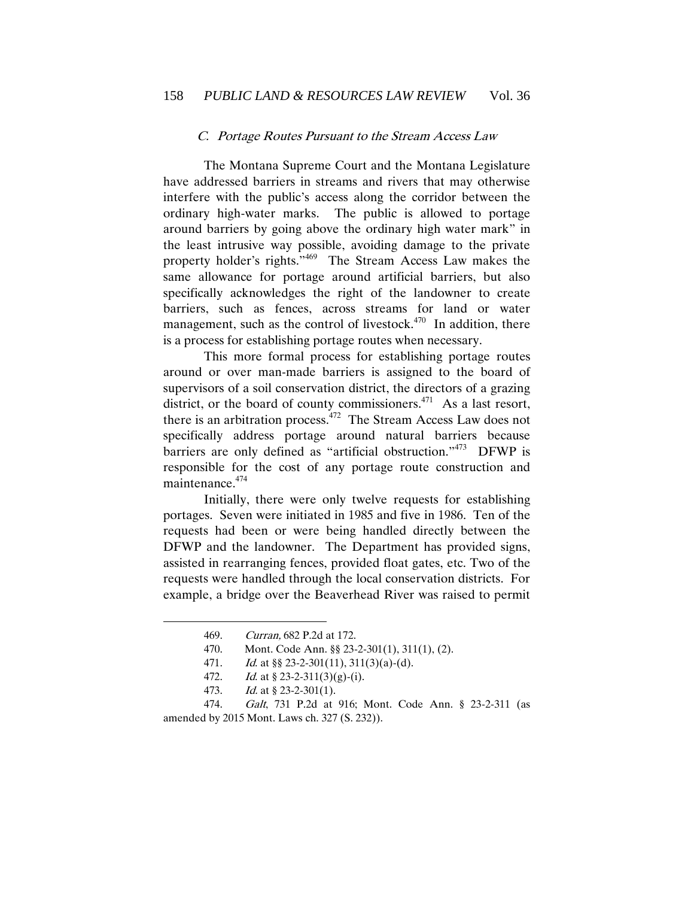#### C. Portage Routes Pursuant to the Stream Access Law

The Montana Supreme Court and the Montana Legislature have addressed barriers in streams and rivers that may otherwise interfere with the public's access along the corridor between the ordinary high-water marks. The public is allowed to portage around barriers by going above the ordinary high water mark" in the least intrusive way possible, avoiding damage to the private property holder's rights."<sup>469</sup> The Stream Access Law makes the same allowance for portage around artificial barriers, but also specifically acknowledges the right of the landowner to create barriers, such as fences, across streams for land or water management, such as the control of livestock. $470$  In addition, there is a process for establishing portage routes when necessary.

This more formal process for establishing portage routes around or over man-made barriers is assigned to the board of supervisors of a soil conservation district, the directors of a grazing district, or the board of county commissioners.<sup>471</sup> As a last resort, there is an arbitration process. $472$  The Stream Access Law does not specifically address portage around natural barriers because barriers are only defined as "artificial obstruction."<sup>473</sup> DFWP is responsible for the cost of any portage route construction and maintenance.<sup>474</sup>

Initially, there were only twelve requests for establishing portages. Seven were initiated in 1985 and five in 1986. Ten of the requests had been or were being handled directly between the DFWP and the landowner. The Department has provided signs, assisted in rearranging fences, provided float gates, etc. Two of the requests were handled through the local conservation districts. For example, a bridge over the Beaverhead River was raised to permit

 $\overline{a}$ 

473. Id. at  $\frac{8}{23}$ -2-301(1).

<sup>469.</sup> Curran, 682 P.2d at 172.

<sup>470.</sup> Mont. Code Ann. §§ 23-2-301(1), 311(1), (2).

<sup>471.</sup> Id. at  $\S$  23-2-301(11), 311(3)(a)-(d).

<sup>472.</sup> Id. at  $\frac{8}{23}$ -2-311(3)(g)-(i).

<sup>474.</sup> Galt, 731 P.2d at 916; Mont. Code Ann. § 23-2-311 (as amended by 2015 Mont. Laws ch. 327 (S. 232)).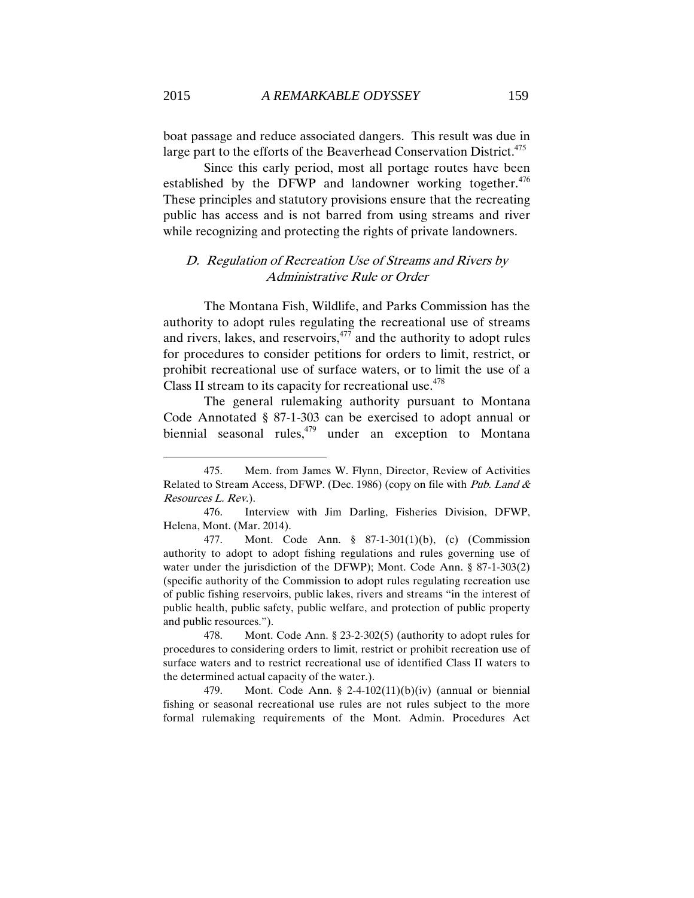boat passage and reduce associated dangers. This result was due in large part to the efforts of the Beaverhead Conservation District.<sup>475</sup>

Since this early period, most all portage routes have been established by the DFWP and landowner working together. $476$ These principles and statutory provisions ensure that the recreating public has access and is not barred from using streams and river while recognizing and protecting the rights of private landowners.

## D. Regulation of Recreation Use of Streams and Rivers by Administrative Rule or Order

The Montana Fish, Wildlife, and Parks Commission has the authority to adopt rules regulating the recreational use of streams and rivers, lakes, and reservoirs, $477$  and the authority to adopt rules for procedures to consider petitions for orders to limit, restrict, or prohibit recreational use of surface waters, or to limit the use of a Class II stream to its capacity for recreational use. $478$ 

The general rulemaking authority pursuant to Montana Code Annotated § 87-1-303 can be exercised to adopt annual or biennial seasonal rules,<sup>479</sup> under an exception to Montana

<sup>475.</sup> Mem. from James W. Flynn, Director, Review of Activities Related to Stream Access, DFWP. (Dec. 1986) (copy on file with Pub. Land & Resources L. Rev.).

<sup>476.</sup> Interview with Jim Darling, Fisheries Division, DFWP, Helena, Mont. (Mar. 2014).

<sup>477.</sup> Mont. Code Ann. § 87-1-301(1)(b), (c) (Commission authority to adopt to adopt fishing regulations and rules governing use of water under the jurisdiction of the DFWP); Mont. Code Ann. § 87-1-303(2) (specific authority of the Commission to adopt rules regulating recreation use of public fishing reservoirs, public lakes, rivers and streams "in the interest of public health, public safety, public welfare, and protection of public property and public resources.").

<sup>478.</sup> Mont. Code Ann. § 23-2-302(5) (authority to adopt rules for procedures to considering orders to limit, restrict or prohibit recreation use of surface waters and to restrict recreational use of identified Class II waters to the determined actual capacity of the water.).

<sup>479.</sup> Mont. Code Ann. § 2-4-102(11)(b)(iv) (annual or biennial fishing or seasonal recreational use rules are not rules subject to the more formal rulemaking requirements of the Mont. Admin. Procedures Act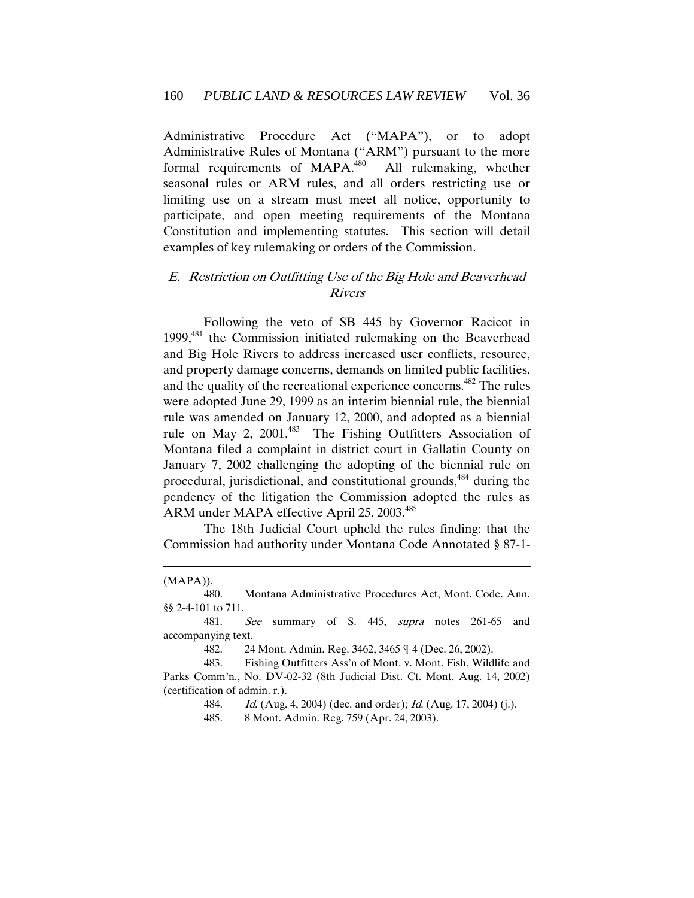Administrative Procedure Act ("MAPA"), or to adopt Administrative Rules of Montana ("ARM") pursuant to the more formal requirements of MAPA.<sup>480</sup> All rulemaking, whether seasonal rules or ARM rules, and all orders restricting use or limiting use on a stream must meet all notice, opportunity to participate, and open meeting requirements of the Montana Constitution and implementing statutes. This section will detail examples of key rulemaking or orders of the Commission.

# E. Restriction on Outfitting Use of the Big Hole and Beaverhead Rivers

Following the veto of SB 445 by Governor Racicot in 1999,<sup>481</sup> the Commission initiated rulemaking on the Beaverhead and Big Hole Rivers to address increased user conflicts, resource, and property damage concerns, demands on limited public facilities, and the quality of the recreational experience concerns.<sup>482</sup> The rules were adopted June 29, 1999 as an interim biennial rule, the biennial rule was amended on January 12, 2000, and adopted as a biennial rule on May 2, 2001.<sup>483</sup> The Fishing Outfitters Association of Montana filed a complaint in district court in Gallatin County on January 7, 2002 challenging the adopting of the biennial rule on procedural, jurisdictional, and constitutional grounds,<sup>484</sup> during the pendency of the litigation the Commission adopted the rules as ARM under MAPA effective April 25, 2003.<sup>485</sup>

The 18th Judicial Court upheld the rules finding: that the Commission had authority under Montana Code Annotated § 87-1-

 $\overline{a}$ 

482. 24 Mont. Admin. Reg. 3462, 3465 ¶ 4 (Dec. 26, 2002).

484. *Id.* (Aug. 4, 2004) (dec. and order); *Id.* (Aug. 17, 2004) (j.).

485. 8 Mont. Admin. Reg. 759 (Apr. 24, 2003).

<sup>(</sup>MAPA)).

<sup>480.</sup> Montana Administrative Procedures Act, Mont. Code. Ann. §§ 2-4-101 to 711.

<sup>481.</sup> See summary of S. 445, supra notes 261-65 and accompanying text.

<sup>483.</sup> Fishing Outfitters Ass'n of Mont. v. Mont. Fish, Wildlife and Parks Comm'n., No. DV-02-32 (8th Judicial Dist. Ct. Mont. Aug. 14, 2002) (certification of admin. r.).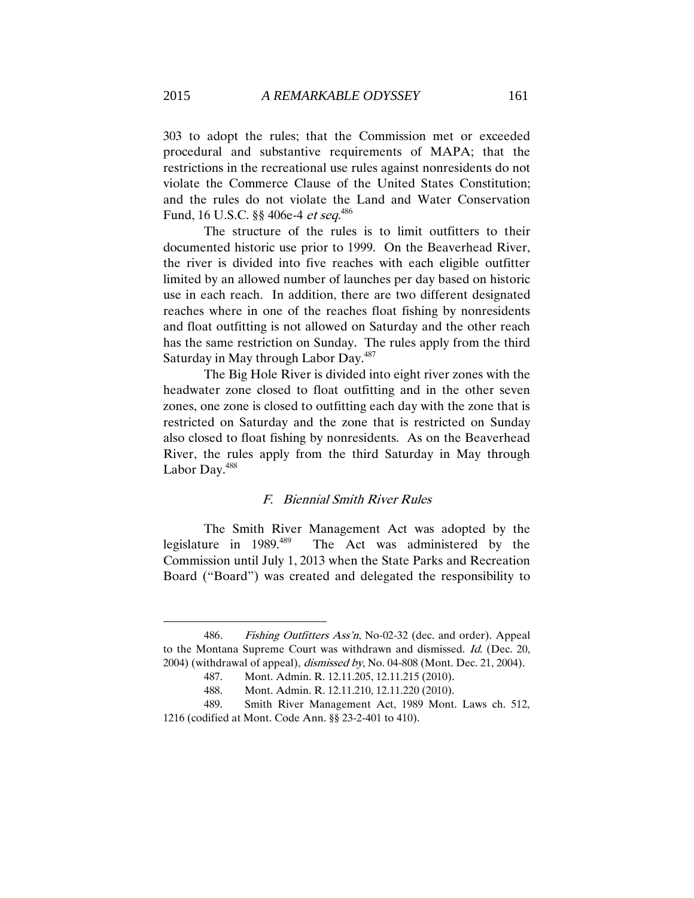303 to adopt the rules; that the Commission met or exceeded procedural and substantive requirements of MAPA; that the restrictions in the recreational use rules against nonresidents do not violate the Commerce Clause of the United States Constitution; and the rules do not violate the Land and Water Conservation Fund, 16 U.S.C. §§ 406e-4 *et seq.*<sup>486</sup>

 The structure of the rules is to limit outfitters to their documented historic use prior to 1999. On the Beaverhead River, the river is divided into five reaches with each eligible outfitter limited by an allowed number of launches per day based on historic use in each reach. In addition, there are two different designated reaches where in one of the reaches float fishing by nonresidents and float outfitting is not allowed on Saturday and the other reach has the same restriction on Sunday. The rules apply from the third Saturday in May through Labor Day.<sup>487</sup>

The Big Hole River is divided into eight river zones with the headwater zone closed to float outfitting and in the other seven zones, one zone is closed to outfitting each day with the zone that is restricted on Saturday and the zone that is restricted on Sunday also closed to float fishing by nonresidents. As on the Beaverhead River, the rules apply from the third Saturday in May through Labor Day.<sup>488</sup>

## F. Biennial Smith River Rules

The Smith River Management Act was adopted by the legislature in  $1989.489$  The Act was administered by the Commission until July 1, 2013 when the State Parks and Recreation Board ("Board") was created and delegated the responsibility to

<sup>486</sup>. Fishing Outfitters Ass'n, No-02-32 (dec. and order). Appeal to the Montana Supreme Court was withdrawn and dismissed. Id. (Dec. 20, 2004) (withdrawal of appeal), dismissed by, No. 04-808 (Mont. Dec. 21, 2004).

<sup>487.</sup> Mont. Admin. R. 12.11.205, 12.11.215 (2010).

<sup>488.</sup> Mont. Admin. R. 12.11.210, 12.11.220 (2010).

<sup>489.</sup> Smith River Management Act, 1989 Mont. Laws ch. 512, 1216 (codified at Mont. Code Ann. §§ 23-2-401 to 410).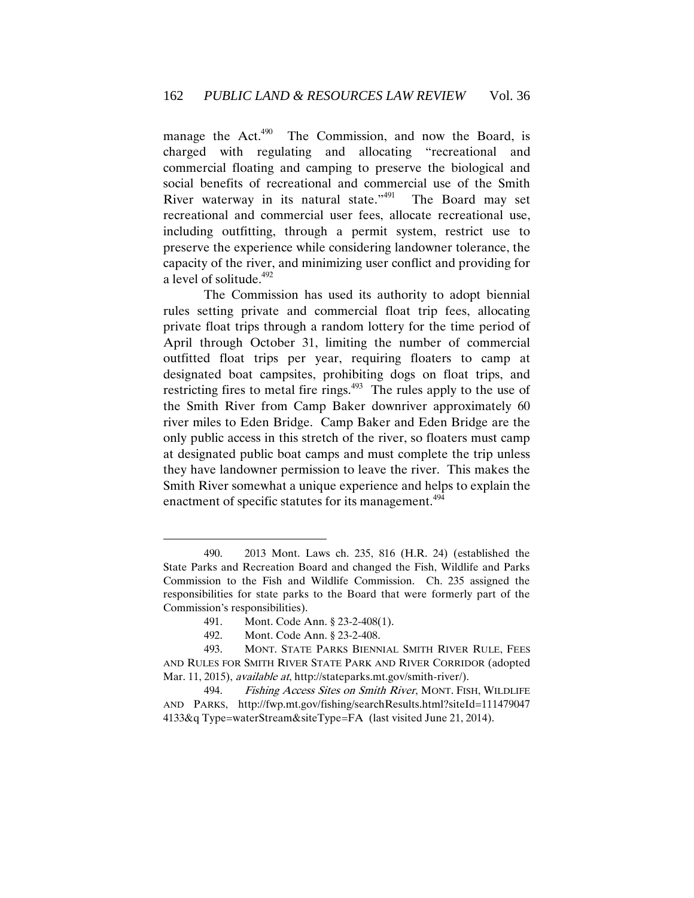manage the Act.<sup>490</sup> The Commission, and now the Board, is charged with regulating and allocating "recreational and commercial floating and camping to preserve the biological and social benefits of recreational and commercial use of the Smith River waterway in its natural state."<sup>491</sup> The Board may set recreational and commercial user fees, allocate recreational use, including outfitting, through a permit system, restrict use to preserve the experience while considering landowner tolerance, the capacity of the river, and minimizing user conflict and providing for a level of solitude.<sup>492</sup>

The Commission has used its authority to adopt biennial rules setting private and commercial float trip fees, allocating private float trips through a random lottery for the time period of April through October 31, limiting the number of commercial outfitted float trips per year, requiring floaters to camp at designated boat campsites, prohibiting dogs on float trips, and restricting fires to metal fire rings. $493$  The rules apply to the use of the Smith River from Camp Baker downriver approximately 60 river miles to Eden Bridge. Camp Baker and Eden Bridge are the only public access in this stretch of the river, so floaters must camp at designated public boat camps and must complete the trip unless they have landowner permission to leave the river. This makes the Smith River somewhat a unique experience and helps to explain the enactment of specific statutes for its management.<sup>494</sup>

<sup>490.</sup> 2013 Mont. Laws ch. 235, 816 (H.R. 24) (established the State Parks and Recreation Board and changed the Fish, Wildlife and Parks Commission to the Fish and Wildlife Commission. Ch. 235 assigned the responsibilities for state parks to the Board that were formerly part of the Commission's responsibilities).

<sup>491.</sup> Mont. Code Ann. § 23-2-408(1).

<sup>492.</sup> Mont. Code Ann. § 23-2-408.

<sup>493.</sup> MONT. STATE PARKS BIENNIAL SMITH RIVER RULE, FEES AND RULES FOR SMITH RIVER STATE PARK AND RIVER CORRIDOR (adopted Mar. 11, 2015), *available at*, http://stateparks.mt.gov/smith-river/).

<sup>494.</sup> Fishing Access Sites on Smith River, MONT. FISH, WILDLIFE AND PARKS, http://fwp.mt.gov/fishing/searchResults.html?siteId=111479047 4133&q Type=waterStream&siteType=FA (last visited June 21, 2014).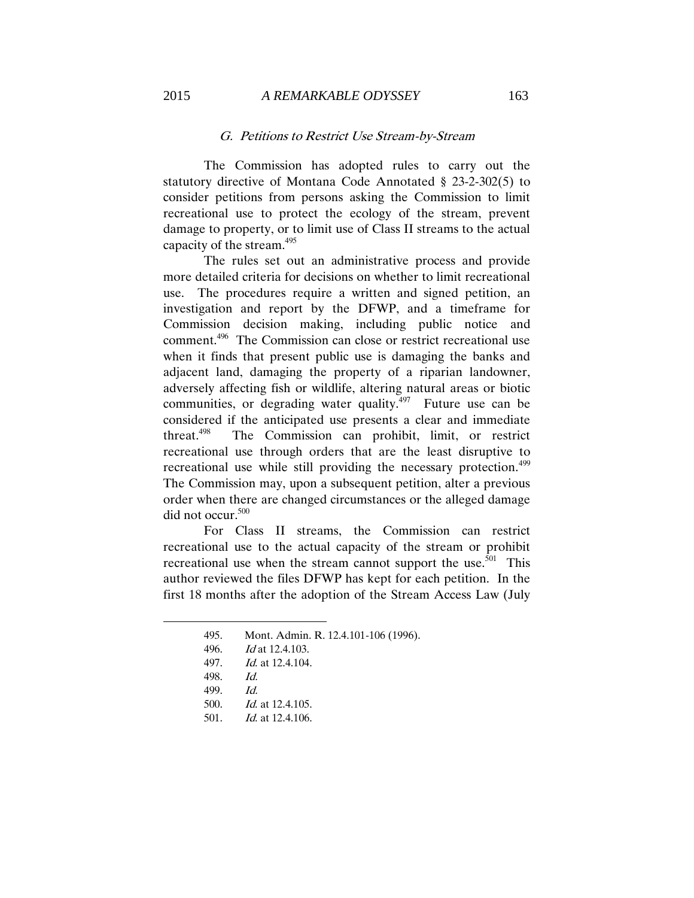### G. Petitions to Restrict Use Stream-by-Stream

The Commission has adopted rules to carry out the statutory directive of Montana Code Annotated § 23-2-302(5) to consider petitions from persons asking the Commission to limit recreational use to protect the ecology of the stream, prevent damage to property, or to limit use of Class II streams to the actual capacity of the stream.<sup>495</sup>

The rules set out an administrative process and provide more detailed criteria for decisions on whether to limit recreational use. The procedures require a written and signed petition, an investigation and report by the DFWP, and a timeframe for Commission decision making, including public notice and comment.<sup>496</sup> The Commission can close or restrict recreational use when it finds that present public use is damaging the banks and adjacent land, damaging the property of a riparian landowner, adversely affecting fish or wildlife, altering natural areas or biotic communities, or degrading water quality.<sup>497</sup> Future use can be considered if the anticipated use presents a clear and immediate threat. $498$  The Commission can prohibit, limit, or restrict recreational use through orders that are the least disruptive to recreational use while still providing the necessary protection.<sup>499</sup> The Commission may, upon a subsequent petition, alter a previous order when there are changed circumstances or the alleged damage did not occur.<sup>500</sup>

For Class II streams, the Commission can restrict recreational use to the actual capacity of the stream or prohibit recreational use when the stream cannot support the use.<sup>501</sup> This author reviewed the files DFWP has kept for each petition. In the first 18 months after the adoption of the Stream Access Law (July

<sup>495.</sup> Mont. Admin. R. 12.4.101-106 (1996).

<sup>496.</sup> Id at 12.4.103.

<sup>497.</sup> Id. at 12.4.104.

<sup>498.</sup> Id.

<sup>499.</sup> Id.

<sup>500.</sup> Id. at 12.4.105.

<sup>501.</sup> *Id.* at 12.4.106.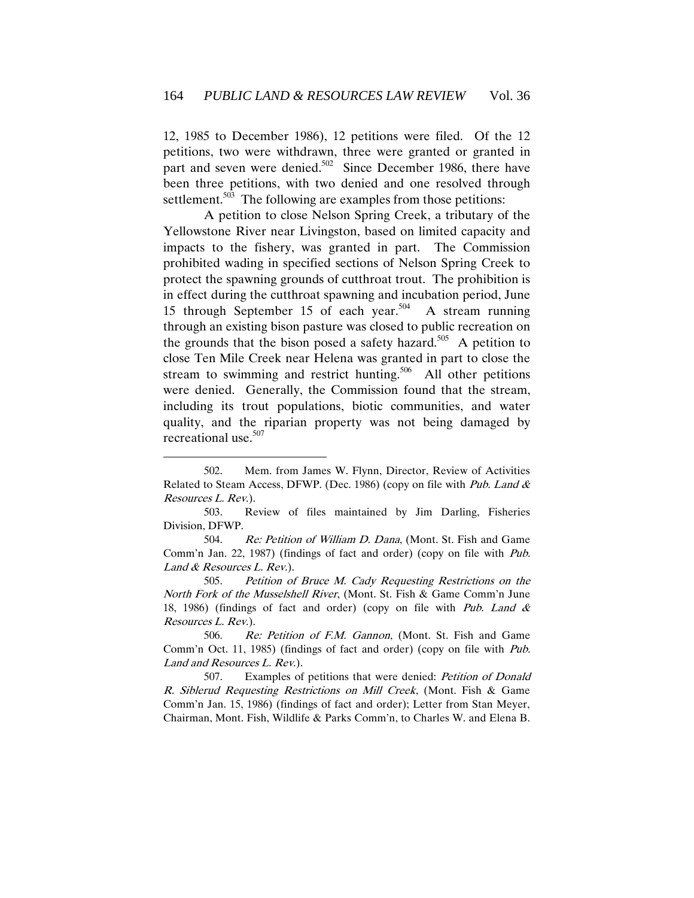12, 1985 to December 1986), 12 petitions were filed. Of the 12 petitions, two were withdrawn, three were granted or granted in part and seven were denied.<sup>502</sup> Since December 1986, there have been three petitions, with two denied and one resolved through settlement.<sup>503</sup> The following are examples from those petitions:

A petition to close Nelson Spring Creek, a tributary of the Yellowstone River near Livingston, based on limited capacity and impacts to the fishery, was granted in part. The Commission prohibited wading in specified sections of Nelson Spring Creek to protect the spawning grounds of cutthroat trout. The prohibition is in effect during the cutthroat spawning and incubation period, June 15 through September 15 of each year.<sup>504</sup> A stream running through an existing bison pasture was closed to public recreation on the grounds that the bison posed a safety hazard.<sup>505</sup> A petition to close Ten Mile Creek near Helena was granted in part to close the stream to swimming and restrict hunting.<sup>506</sup> All other petitions were denied. Generally, the Commission found that the stream, including its trout populations, biotic communities, and water quality, and the riparian property was not being damaged by recreational use.<sup>507</sup>

<sup>502.</sup> Mem. from James W. Flynn, Director, Review of Activities Related to Steam Access, DFWP. (Dec. 1986) (copy on file with Pub. Land & Resources L. Rev.).

<sup>503.</sup> Review of files maintained by Jim Darling, Fisheries Division, DFWP.

<sup>504.</sup> Re: Petition of William D. Dana, (Mont. St. Fish and Game Comm'n Jan. 22, 1987) (findings of fact and order) (copy on file with Pub. Land & Resources L. Rev.).

<sup>505.</sup> Petition of Bruce M. Cady Requesting Restrictions on the North Fork of the Musselshell River, (Mont. St. Fish & Game Comm'n June 18, 1986) (findings of fact and order) (copy on file with Pub. Land  $\&$ Resources L. Rev.).

<sup>506.</sup> Re: Petition of F.M. Gannon, (Mont. St. Fish and Game Comm'n Oct. 11, 1985) (findings of fact and order) (copy on file with Pub. Land and Resources L. Rev.).

<sup>507.</sup> Examples of petitions that were denied: Petition of Donald R. Siblerud Requesting Restrictions on Mill Creek, (Mont. Fish & Game Comm'n Jan. 15, 1986) (findings of fact and order); Letter from Stan Meyer, Chairman, Mont. Fish, Wildlife & Parks Comm'n, to Charles W. and Elena B.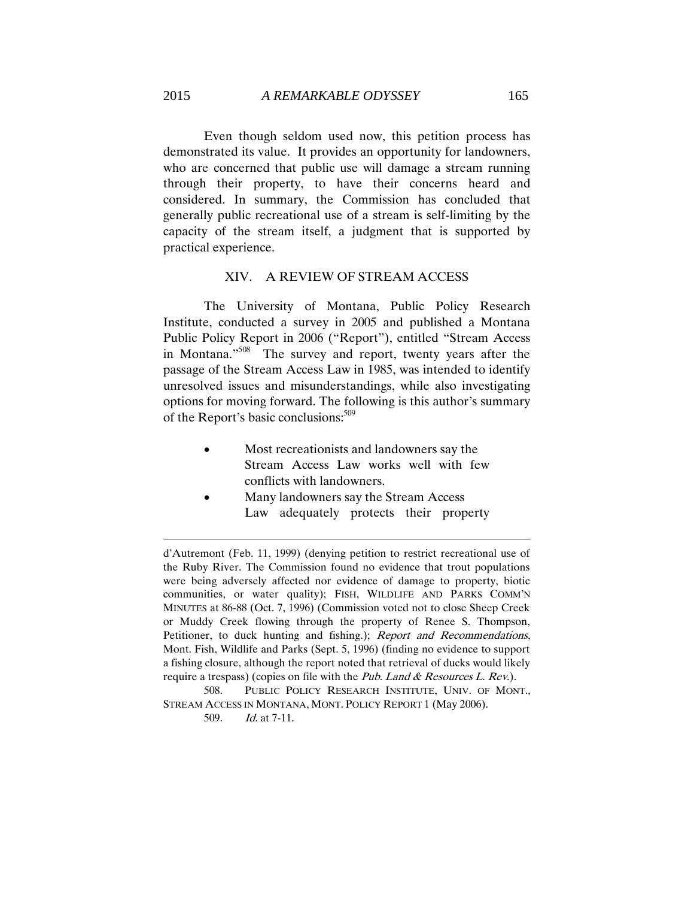Even though seldom used now, this petition process has demonstrated its value. It provides an opportunity for landowners, who are concerned that public use will damage a stream running through their property, to have their concerns heard and considered. In summary, the Commission has concluded that generally public recreational use of a stream is self-limiting by the capacity of the stream itself, a judgment that is supported by practical experience.

### XIV. A REVIEW OF STREAM ACCESS

The University of Montana, Public Policy Research Institute, conducted a survey in 2005 and published a Montana Public Policy Report in 2006 ("Report"), entitled "Stream Access in Montana."<sup>508</sup> The survey and report, twenty years after the passage of the Stream Access Law in 1985, was intended to identify unresolved issues and misunderstandings, while also investigating options for moving forward. The following is this author's summary of the Report's basic conclusions:<sup>509</sup>

- Most recreationists and landowners say the Stream Access Law works well with few conflicts with landowners.
- Many landowners say the Stream Access Law adequately protects their property

d'Autremont (Feb. 11, 1999) (denying petition to restrict recreational use of the Ruby River. The Commission found no evidence that trout populations were being adversely affected nor evidence of damage to property, biotic communities, or water quality); FISH, WILDLIFE AND PARKS COMM'N MINUTES at 86-88 (Oct. 7, 1996) (Commission voted not to close Sheep Creek or Muddy Creek flowing through the property of Renee S. Thompson, Petitioner, to duck hunting and fishing.); Report and Recommendations, Mont. Fish, Wildlife and Parks (Sept. 5, 1996) (finding no evidence to support a fishing closure, although the report noted that retrieval of ducks would likely require a trespass) (copies on file with the Pub. Land  $\&$  Resources L. Rev.).

508. PUBLIC POLICY RESEARCH INSTITUTE, UNIV. OF MONT., STREAM ACCESS IN MONTANA, MONT. POLICY REPORT 1 (May 2006).

509. Id. at 7-11.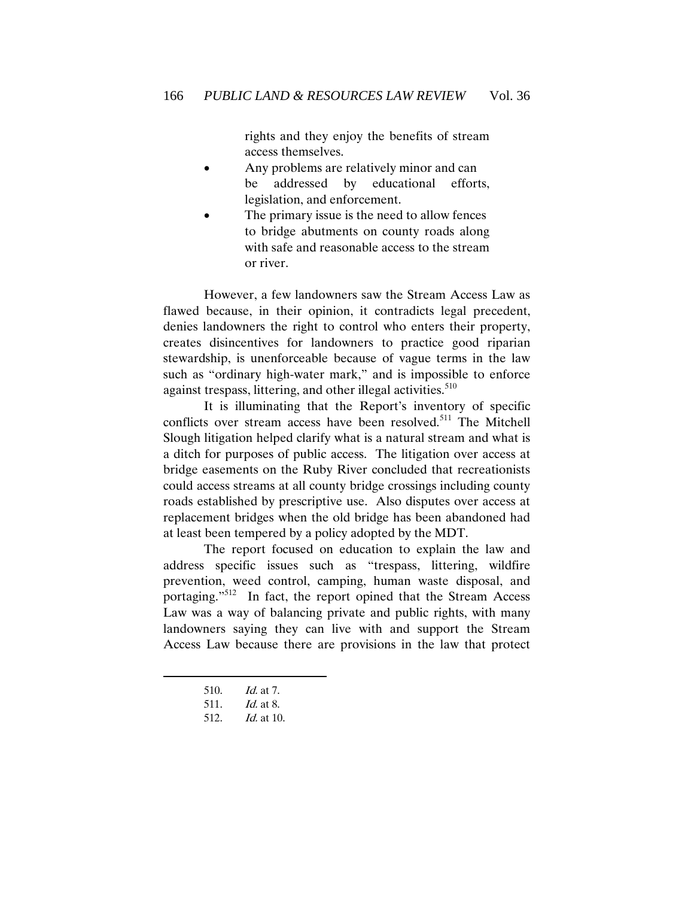rights and they enjoy the benefits of stream access themselves.

- Any problems are relatively minor and can be addressed by educational efforts, legislation, and enforcement.
- The primary issue is the need to allow fences to bridge abutments on county roads along with safe and reasonable access to the stream or river.

However, a few landowners saw the Stream Access Law as flawed because, in their opinion, it contradicts legal precedent, denies landowners the right to control who enters their property, creates disincentives for landowners to practice good riparian stewardship, is unenforceable because of vague terms in the law such as "ordinary high-water mark," and is impossible to enforce against trespass, littering, and other illegal activities.<sup>510</sup>

It is illuminating that the Report's inventory of specific conflicts over stream access have been resolved.<sup>511</sup> The Mitchell Slough litigation helped clarify what is a natural stream and what is a ditch for purposes of public access. The litigation over access at bridge easements on the Ruby River concluded that recreationists could access streams at all county bridge crossings including county roads established by prescriptive use. Also disputes over access at replacement bridges when the old bridge has been abandoned had at least been tempered by a policy adopted by the MDT.

 The report focused on education to explain the law and address specific issues such as "trespass, littering, wildfire prevention, weed control, camping, human waste disposal, and portaging."<sup>512</sup> In fact, the report opined that the Stream Access Law was a way of balancing private and public rights, with many landowners saying they can live with and support the Stream Access Law because there are provisions in the law that protect

<sup>510.</sup> Id. at 7.

<sup>511.</sup> Id. at 8.

<sup>512.</sup> Id. at 10.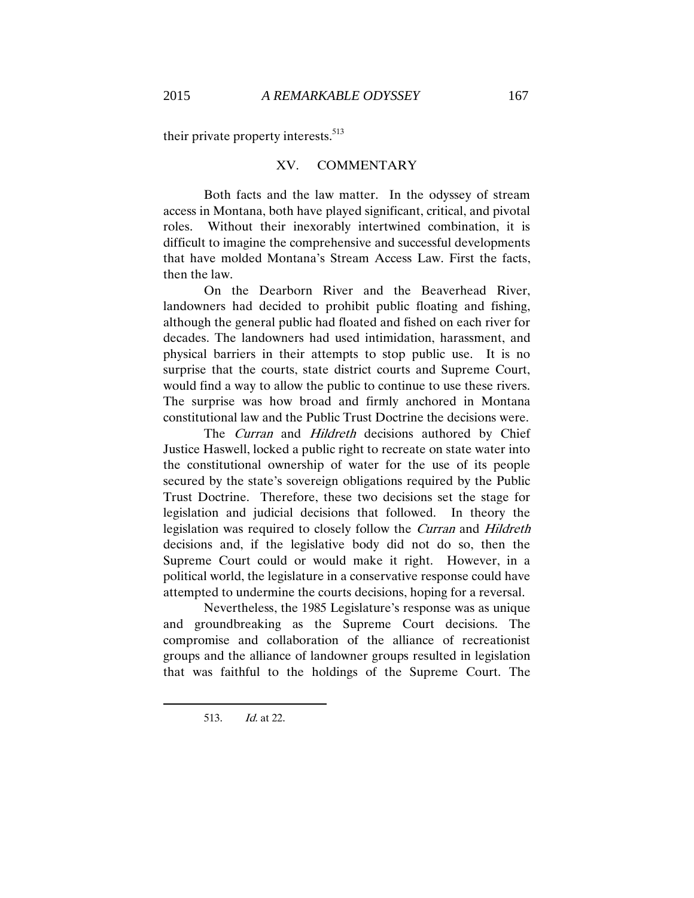their private property interests.<sup>513</sup>

#### XV. COMMENTARY

Both facts and the law matter. In the odyssey of stream access in Montana, both have played significant, critical, and pivotal roles. Without their inexorably intertwined combination, it is difficult to imagine the comprehensive and successful developments that have molded Montana's Stream Access Law. First the facts, then the law.

On the Dearborn River and the Beaverhead River, landowners had decided to prohibit public floating and fishing, although the general public had floated and fished on each river for decades. The landowners had used intimidation, harassment, and physical barriers in their attempts to stop public use. It is no surprise that the courts, state district courts and Supreme Court, would find a way to allow the public to continue to use these rivers. The surprise was how broad and firmly anchored in Montana constitutional law and the Public Trust Doctrine the decisions were.

The Curran and Hildreth decisions authored by Chief Justice Haswell, locked a public right to recreate on state water into the constitutional ownership of water for the use of its people secured by the state's sovereign obligations required by the Public Trust Doctrine. Therefore, these two decisions set the stage for legislation and judicial decisions that followed. In theory the legislation was required to closely follow the Curran and Hildreth decisions and, if the legislative body did not do so, then the Supreme Court could or would make it right. However, in a political world, the legislature in a conservative response could have attempted to undermine the courts decisions, hoping for a reversal.

Nevertheless, the 1985 Legislature's response was as unique and groundbreaking as the Supreme Court decisions. The compromise and collaboration of the alliance of recreationist groups and the alliance of landowner groups resulted in legislation that was faithful to the holdings of the Supreme Court. The

<sup>513.</sup> Id. at 22.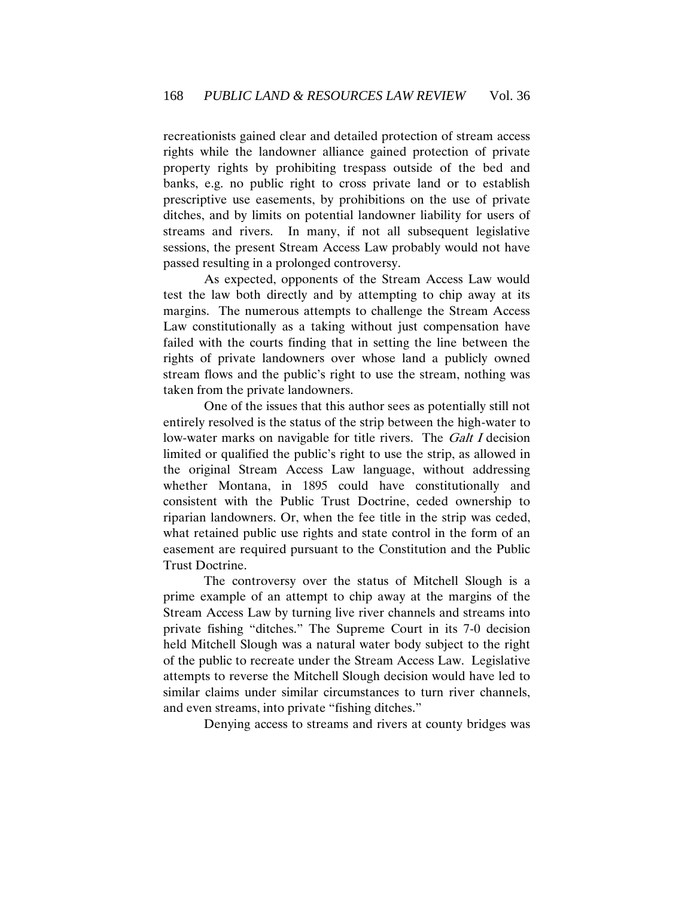recreationists gained clear and detailed protection of stream access rights while the landowner alliance gained protection of private property rights by prohibiting trespass outside of the bed and banks, e.g. no public right to cross private land or to establish prescriptive use easements, by prohibitions on the use of private ditches, and by limits on potential landowner liability for users of streams and rivers. In many, if not all subsequent legislative sessions, the present Stream Access Law probably would not have passed resulting in a prolonged controversy.

As expected, opponents of the Stream Access Law would test the law both directly and by attempting to chip away at its margins. The numerous attempts to challenge the Stream Access Law constitutionally as a taking without just compensation have failed with the courts finding that in setting the line between the rights of private landowners over whose land a publicly owned stream flows and the public's right to use the stream, nothing was taken from the private landowners.

One of the issues that this author sees as potentially still not entirely resolved is the status of the strip between the high-water to low-water marks on navigable for title rivers. The *Galt I* decision limited or qualified the public's right to use the strip, as allowed in the original Stream Access Law language, without addressing whether Montana, in 1895 could have constitutionally and consistent with the Public Trust Doctrine, ceded ownership to riparian landowners. Or, when the fee title in the strip was ceded, what retained public use rights and state control in the form of an easement are required pursuant to the Constitution and the Public Trust Doctrine.

The controversy over the status of Mitchell Slough is a prime example of an attempt to chip away at the margins of the Stream Access Law by turning live river channels and streams into private fishing "ditches." The Supreme Court in its 7-0 decision held Mitchell Slough was a natural water body subject to the right of the public to recreate under the Stream Access Law. Legislative attempts to reverse the Mitchell Slough decision would have led to similar claims under similar circumstances to turn river channels, and even streams, into private "fishing ditches."

Denying access to streams and rivers at county bridges was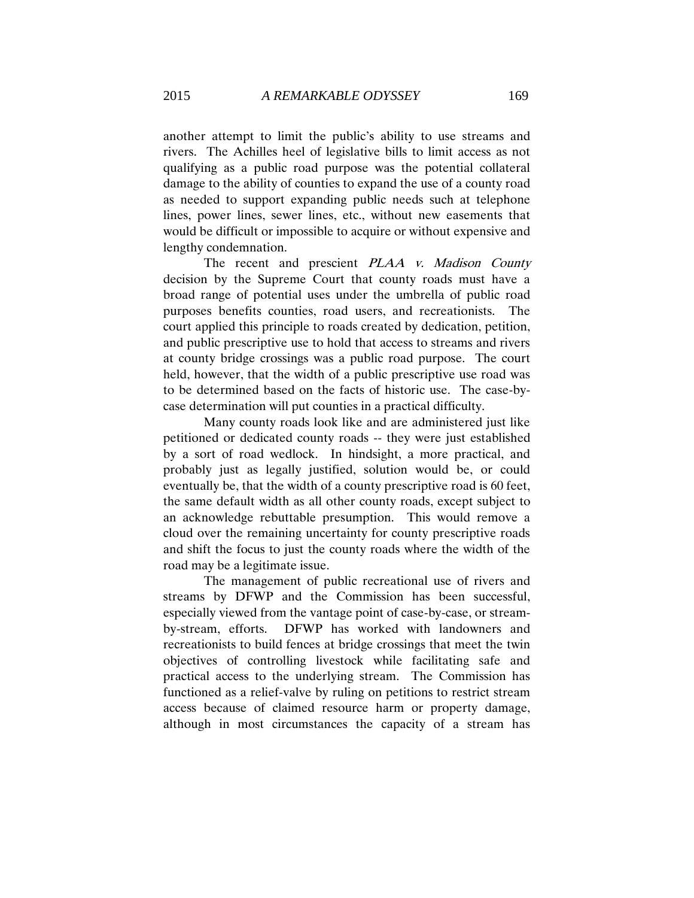another attempt to limit the public's ability to use streams and rivers. The Achilles heel of legislative bills to limit access as not qualifying as a public road purpose was the potential collateral damage to the ability of counties to expand the use of a county road as needed to support expanding public needs such at telephone lines, power lines, sewer lines, etc., without new easements that would be difficult or impossible to acquire or without expensive and lengthy condemnation.

The recent and prescient PLAA v. Madison County decision by the Supreme Court that county roads must have a broad range of potential uses under the umbrella of public road purposes benefits counties, road users, and recreationists. The court applied this principle to roads created by dedication, petition, and public prescriptive use to hold that access to streams and rivers at county bridge crossings was a public road purpose. The court held, however, that the width of a public prescriptive use road was to be determined based on the facts of historic use. The case-bycase determination will put counties in a practical difficulty.

Many county roads look like and are administered just like petitioned or dedicated county roads -- they were just established by a sort of road wedlock. In hindsight, a more practical, and probably just as legally justified, solution would be, or could eventually be, that the width of a county prescriptive road is 60 feet, the same default width as all other county roads, except subject to an acknowledge rebuttable presumption. This would remove a cloud over the remaining uncertainty for county prescriptive roads and shift the focus to just the county roads where the width of the road may be a legitimate issue.

The management of public recreational use of rivers and streams by DFWP and the Commission has been successful, especially viewed from the vantage point of case-by-case, or streamby-stream, efforts. DFWP has worked with landowners and recreationists to build fences at bridge crossings that meet the twin objectives of controlling livestock while facilitating safe and practical access to the underlying stream. The Commission has functioned as a relief-valve by ruling on petitions to restrict stream access because of claimed resource harm or property damage, although in most circumstances the capacity of a stream has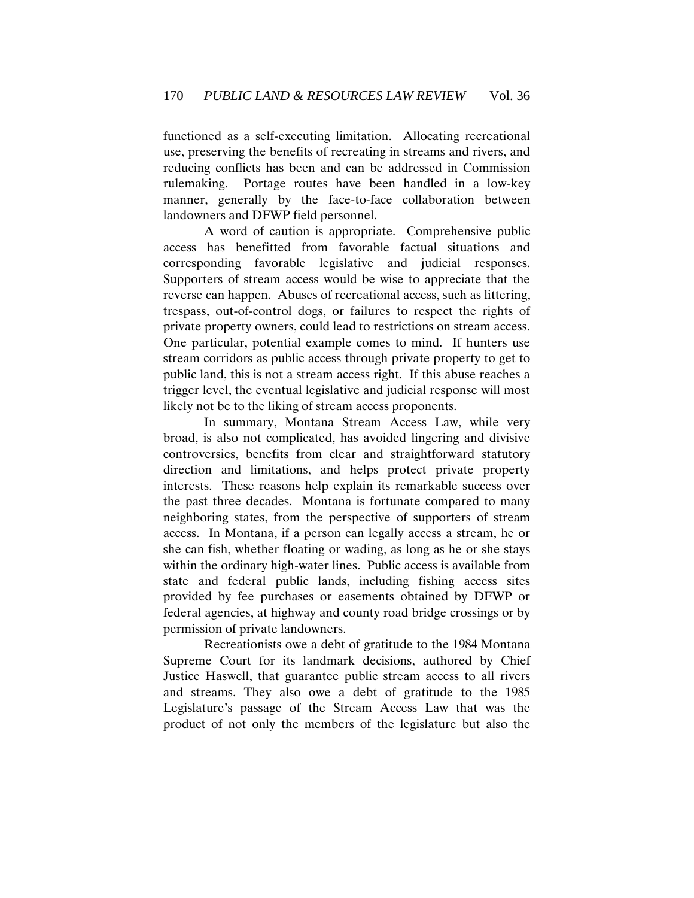functioned as a self-executing limitation. Allocating recreational use, preserving the benefits of recreating in streams and rivers, and reducing conflicts has been and can be addressed in Commission rulemaking. Portage routes have been handled in a low-key manner, generally by the face-to-face collaboration between landowners and DFWP field personnel.

A word of caution is appropriate. Comprehensive public access has benefitted from favorable factual situations and corresponding favorable legislative and judicial responses. Supporters of stream access would be wise to appreciate that the reverse can happen. Abuses of recreational access, such as littering, trespass, out-of-control dogs, or failures to respect the rights of private property owners, could lead to restrictions on stream access. One particular, potential example comes to mind. If hunters use stream corridors as public access through private property to get to public land, this is not a stream access right. If this abuse reaches a trigger level, the eventual legislative and judicial response will most likely not be to the liking of stream access proponents.

In summary, Montana Stream Access Law, while very broad, is also not complicated, has avoided lingering and divisive controversies, benefits from clear and straightforward statutory direction and limitations, and helps protect private property interests. These reasons help explain its remarkable success over the past three decades. Montana is fortunate compared to many neighboring states, from the perspective of supporters of stream access. In Montana, if a person can legally access a stream, he or she can fish, whether floating or wading, as long as he or she stays within the ordinary high-water lines. Public access is available from state and federal public lands, including fishing access sites provided by fee purchases or easements obtained by DFWP or federal agencies, at highway and county road bridge crossings or by permission of private landowners.

Recreationists owe a debt of gratitude to the 1984 Montana Supreme Court for its landmark decisions, authored by Chief Justice Haswell, that guarantee public stream access to all rivers and streams. They also owe a debt of gratitude to the 1985 Legislature's passage of the Stream Access Law that was the product of not only the members of the legislature but also the